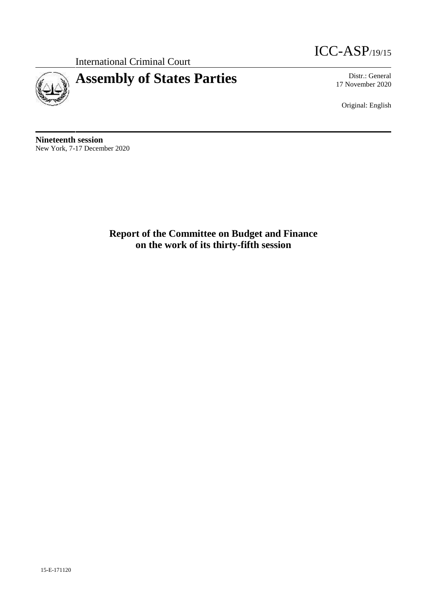International Criminal Court



# **Assembly of States Parties** Distr.: General

ICC-ASP/19/15

17 November 2020

Original: English

**Nineteenth session** New York, 7-17 December 2020

> **Report of the Committee on Budget and Finance on the work of its thirty-fifth session**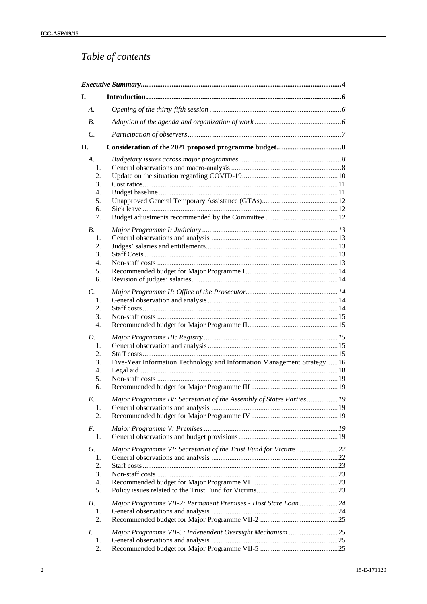## *Table of contents*

| I.               |                                                                          |  |
|------------------|--------------------------------------------------------------------------|--|
| $A$ .            |                                                                          |  |
| $B$ .            |                                                                          |  |
| $\mathcal{C}$ .  |                                                                          |  |
| П.               |                                                                          |  |
| A.               |                                                                          |  |
| 1.               |                                                                          |  |
| 2.               |                                                                          |  |
| 3.               |                                                                          |  |
| $\overline{4}$ . |                                                                          |  |
| 5.               |                                                                          |  |
| 6.               |                                                                          |  |
| 7.               |                                                                          |  |
| <b>B.</b>        |                                                                          |  |
| 1.               |                                                                          |  |
| 2.               |                                                                          |  |
| 3.               |                                                                          |  |
| $\overline{4}$ . |                                                                          |  |
| 5.               |                                                                          |  |
| 6.               |                                                                          |  |
| $\mathcal{C}$ .  |                                                                          |  |
| 1.               |                                                                          |  |
| 2.               |                                                                          |  |
| 3.               |                                                                          |  |
| $\overline{4}$ . |                                                                          |  |
| D.               |                                                                          |  |
| 1.               |                                                                          |  |
| 2.               |                                                                          |  |
| 3.               | Five-Year Information Technology and Information Management Strategy  16 |  |
| 4.               |                                                                          |  |
| 5.               |                                                                          |  |
| 6.               |                                                                          |  |
| E.               | Major Programme IV: Secretariat of the Assembly of States Parties19      |  |
| 1.               |                                                                          |  |
| 2.               |                                                                          |  |
| F.               |                                                                          |  |
| 1.               |                                                                          |  |
|                  |                                                                          |  |
| G.               | Major Programme VI: Secretariat of the Trust Fund for Victims22          |  |
| 1.               |                                                                          |  |
| 2.<br>3.         |                                                                          |  |
| 4.               |                                                                          |  |
| 5.               |                                                                          |  |
|                  |                                                                          |  |
| Н.               | Major Programme VII-2: Permanent Premises - Host State Loan 24           |  |
| 1.               |                                                                          |  |
| 2.               |                                                                          |  |
| I.               | Major Programme VII-5: Independent Oversight Mechanism25                 |  |
| 1.               |                                                                          |  |
| 2.               |                                                                          |  |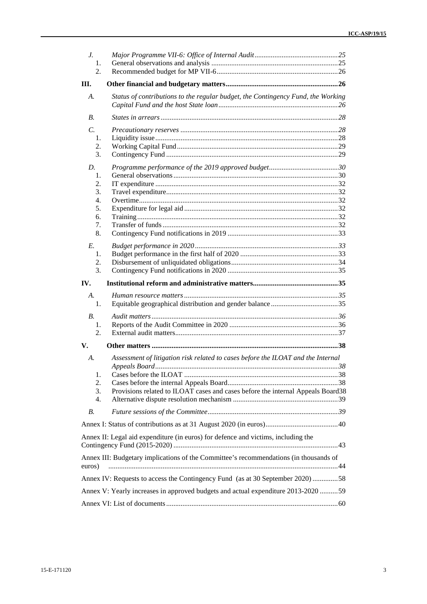| $J_{\cdot}$     |                                                                                       |  |
|-----------------|---------------------------------------------------------------------------------------|--|
| 1.              |                                                                                       |  |
| 2.              |                                                                                       |  |
| III.            |                                                                                       |  |
| А.              | Status of contributions to the regular budget, the Contingency Fund, the Working      |  |
|                 |                                                                                       |  |
| В.              |                                                                                       |  |
| $\mathcal{C}$ . |                                                                                       |  |
| 1.              |                                                                                       |  |
| 2.              |                                                                                       |  |
| 3.              |                                                                                       |  |
| $D_{\cdot}$     |                                                                                       |  |
| 1.              |                                                                                       |  |
| 2.              |                                                                                       |  |
|                 |                                                                                       |  |
| 3.<br>4.        |                                                                                       |  |
| 5.              |                                                                                       |  |
|                 |                                                                                       |  |
| 6.<br>7.        |                                                                                       |  |
|                 |                                                                                       |  |
| 8.              |                                                                                       |  |
| E.              |                                                                                       |  |
| 1.              |                                                                                       |  |
| 2.              |                                                                                       |  |
| 3.              |                                                                                       |  |
|                 |                                                                                       |  |
| IV.             |                                                                                       |  |
| $A_{\cdot}$     |                                                                                       |  |
| 1.              |                                                                                       |  |
| $B_{\cdot}$     |                                                                                       |  |
| 1.              |                                                                                       |  |
| 2.              |                                                                                       |  |
|                 |                                                                                       |  |
| V.              |                                                                                       |  |
| А.              | Assessment of litigation risk related to cases before the ILOAT and the Internal      |  |
|                 |                                                                                       |  |
| 1.              |                                                                                       |  |
| 2.              |                                                                                       |  |
| 3.              | Provisions related to ILOAT cases and cases before the internal Appeals Board38       |  |
| 4.              |                                                                                       |  |
| <b>B.</b>       |                                                                                       |  |
|                 |                                                                                       |  |
|                 | Annex II: Legal aid expenditure (in euros) for defence and victims, including the     |  |
|                 |                                                                                       |  |
|                 | Annex III: Budgetary implications of the Committee's recommendations (in thousands of |  |
| euros)          |                                                                                       |  |
|                 | Annex IV: Requests to access the Contingency Fund (as at 30 September 2020)58         |  |
|                 | Annex V: Yearly increases in approved budgets and actual expenditure 2013-2020 59     |  |
|                 |                                                                                       |  |
|                 |                                                                                       |  |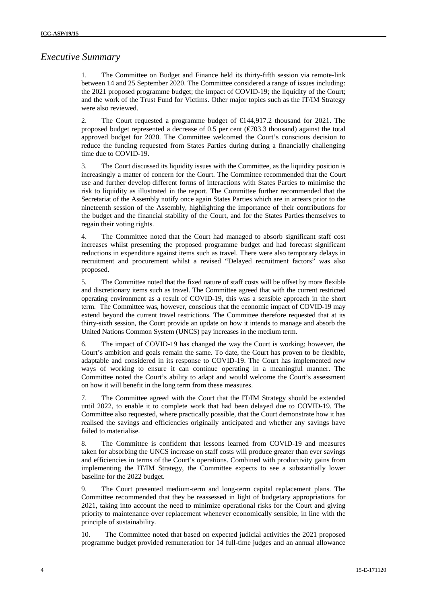## *Executive Summary*

1. The Committee on Budget and Finance held its thirty-fifth session via remote-link between 14 and 25 September 2020. The Committee considered a range of issues including: the 2021 proposed programme budget; the impact of COVID-19; the liquidity of the Court; and the work of the Trust Fund for Victims. Other major topics such as the IT/IM Strategy were also reviewed.

2. The Court requested a programme budget of  $\in$  144,917.2 thousand for 2021. The proposed budget represented a decrease of 0.5 per cent ( $\epsilon$ 703.3 thousand) against the total approved budget for 2020. The Committee welcomed the Court's conscious decision to reduce the funding requested from States Parties during during a financially challenging time due to COVID-19.

3. The Court discussed its liquidity issues with the Committee, as the liquidity position is increasingly a matter of concern for the Court. The Committee recommended that the Court use and further develop different forms of interactions with States Parties to minimise the risk to liquidity as illustrated in the report. The Committee further recommended that the Secretariat of the Assembly notify once again States Parties which are in arrears prior to the nineteenth session of the Assembly, highlighting the importance of their contributions for the budget and the financial stability of the Court, and for the States Parties themselves to regain their voting rights.

4. The Committee noted that the Court had managed to absorb significant staff cost increases whilst presenting the proposed programme budget and had forecast significant reductions in expenditure against items such as travel. There were also temporary delays in recruitment and procurement whilst a revised "Delayed recruitment factors" was also proposed.

5. The Committee noted that the fixed nature of staff costs will be offset by more flexible and discretionary items such as travel. The Committee agreed that with the current restricted operating environment as a result of COVID-19, this was a sensible approach in the short term. The Committee was, however, conscious that the economic impact of COVID-19 may extend beyond the current travel restrictions. The Committee therefore requested that at its thirty-sixth session, the Court provide an update on how it intends to manage and absorb the United Nations Common System (UNCS) pay increases in the medium term.

6. The impact of COVID-19 has changed the way the Court is working; however, the Court's ambition and goals remain the same. To date, the Court has proven to be flexible, adaptable and considered in its response to COVID-19. The Court has implemented new ways of working to ensure it can continue operating in a meaningful manner. The Committee noted the Court's ability to adapt and would welcome the Court's assessment on how it will benefit in the long term from these measures.

7. The Committee agreed with the Court that the IT/IM Strategy should be extended until 2022, to enable it to complete work that had been delayed due to COVID-19. The Committee also requested, where practically possible, that the Court demonstrate how it has realised the savings and efficiencies originally anticipated and whether any savings have failed to materialise.

8. The Committee is confident that lessons learned from COVID-19 and measures taken for absorbing the UNCS increase on staff costs will produce greater than ever savings and efficiencies in terms of the Court's operations. Combined with productivity gains from implementing the IT/IM Strategy, the Committee expects to see a substantially lower baseline for the 2022 budget.

9. The Court presented medium-term and long-term capital replacement plans. The Committee recommended that they be reassessed in light of budgetary appropriations for 2021, taking into account the need to minimize operational risks for the Court and giving priority to maintenance over replacement whenever economically sensible, in line with the principle of sustainability*.*

10. The Committee noted that based on expected judicial activities the 2021 proposed programme budget provided remuneration for 14 full-time judges and an annual allowance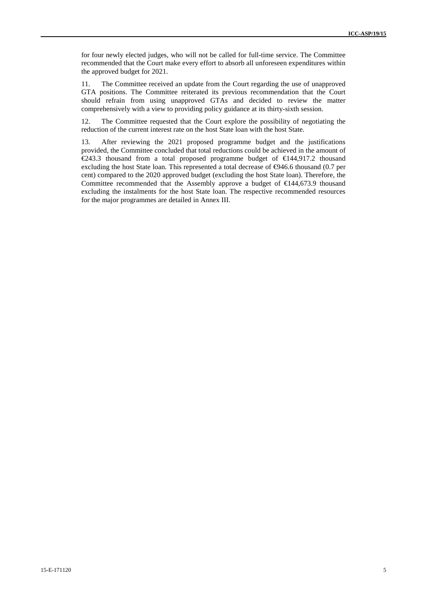for four newly elected judges, who will not be called for full-time service. The Committee recommended that the Court make every effort to absorb all unforeseen expenditures within the approved budget for 2021.

11. The Committee received an update from the Court regarding the use of unapproved GTA positions. The Committee reiterated its previous recommendation that the Court should refrain from using unapproved GTAs and decided to review the matter comprehensively with a view to providing policy guidance at its thirty-sixth session.

12. The Committee requested that the Court explore the possibility of negotiating the reduction of the current interest rate on the host State loan with the host State.

13. After reviewing the 2021 proposed programme budget and the justifications provided, the Committee concluded that total reductions could be achieved in the amount of  $\in$  243.3 thousand from a total proposed programme budget of  $\in$  444,917.2 thousand excluding the host State loan. This represented a total decrease of  $\Theta$ 46.6 thousand (0.7 per cent) compared to the 2020 approved budget (excluding the host State loan). Therefore, the Committee recommended that the Assembly approve a budget of  $\in$ 144,673.9 thousand excluding the instalments for the host State loan. The respective recommended resources for the major programmes are detailed in Annex III.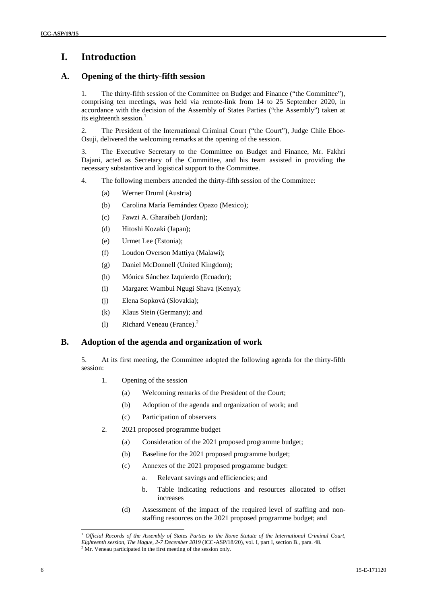## **I. Introduction**

### **A. Opening of the thirty-fifth session**

1. The thirty-fifth session of the Committee on Budget and Finance ("the Committee"), comprising ten meetings, was held via remote-link from 14 to 25 September 2020, in accordance with the decision of the Assembly of States Parties ("the Assembly") taken at its eighteenth session.<sup>1</sup>

2. The President of the International Criminal Court ("the Court"), Judge Chile Eboe- Osuji, delivered the welcoming remarks at the opening of the session.

3. The Executive Secretary to the Committee on Budget and Finance, Mr. Fakhri Dajani, acted as Secretary of the Committee, and his team assisted in providing the necessary substantive and logistical support to the Committee.

- 4. The following members attended the thirty-fifth session of the Committee:
	- (a) Werner Druml (Austria)
	- (b) Carolina María Fernández Opazo (Mexico);
	- (c) Fawzi A. Gharaibeh (Jordan);
	- (d) Hitoshi Kozaki (Japan);
	- (e) Urmet Lee (Estonia);
	- (f) Loudon Overson Mattiya (Malawi);
	- (g) Daniel McDonnell (United Kingdom);
	- (h) Mónica Sánchez Izquierdo (Ecuador);
	- (i) Margaret Wambui Ngugi Shava (Kenya);
	- (j) Elena Sopková (Slovakia);
	- (k) Klaus Stein (Germany); and
	- (l) Richard Veneau (France).<sup>2</sup>

### **B. Adoption of the agenda and organization of work**

5. At its first meeting, the Committee adopted the following agenda for the thirty-fifth session:

- 1. Opening of the session
	- (a) Welcoming remarks of the President of the Court;
	- (b) Adoption of the agenda and organization of work; and
	- (c) Participation of observers
- 2. 2021 proposed programme budget
	- (a) Consideration of the 2021 proposed programme budget;
	- (b) Baseline for the 2021 proposed programme budget;
	- (c) Annexes of the 2021 proposed programme budget:
		- a. Relevant savings and efficiencies; and
		- b. Table indicating reductions and resources allocated to offset increases
	- (d) Assessment of the impact of the required level of staffing and non staffing resources on the 2021 proposed programme budget; and

<sup>1</sup> *Official Records of the Assembly of States Parties to the Rome Statute of the International Criminal Court, Eighteenth session, The Hague, 2-7 December 2019* (ICC-ASP/18/20), vol. I, part I, section B., para. 48.

 $2^2$  Mr. Veneau participated in the first meeting of the session only.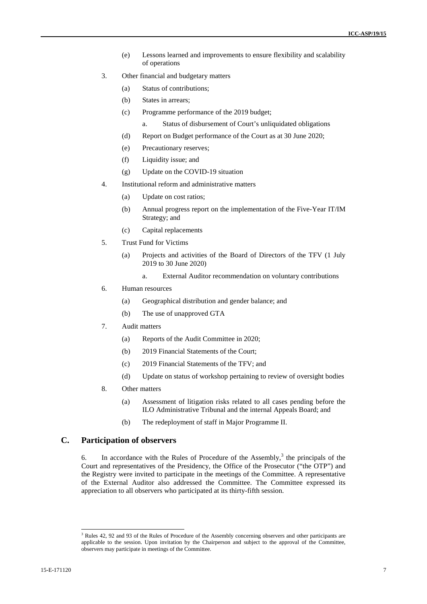- (e) Lessons learned and improvements to ensure flexibility and scalability of operations
- 3. Other financial and budgetary matters
	- (a) Status of contributions;
	- (b) States in arrears;
	- (c) Programme performance of the 2019 budget;
		- a. Status of disbursement of Court's unliquidated obligations
	- (d) Report on Budget performance of the Court as at 30 June 2020;
	- (e) Precautionary reserves;
	- (f) Liquidity issue; and
	- (g) Update on the COVID-19 situation
- 4. Institutional reform and administrative matters
	- (a) Update on cost ratios;
	- (b) Annual progress report on the implementation of the Five-Year IT/IM Strategy; and
	- (c) Capital replacements
- 5. Trust Fund for Victims
	- (a) Projects and activities of the Board of Directors of the TFV (1 July 2019 to 30 June 2020)
		- a. External Auditor recommendation on voluntary contributions
- 6. Human resources
	- (a) Geographical distribution and gender balance; and
	- (b) The use of unapproved GTA
- 7. Audit matters
	- (a) Reports of the Audit Committee in 2020;
	- (b) 2019 Financial Statements of the Court;
	- (c) 2019 Financial Statements of the TFV; and
	- (d) Update on status of workshop pertaining to review of oversight bodies
- 8. Other matters
	- (a) Assessment of litigation risks related to all cases pending before the ILO Administrative Tribunal and the internal Appeals Board; and
	- (b) The redeployment of staff in Major Programme II.

### **C. Participation of observers**

6. In accordance with the Rules of Procedure of the Assembly,<sup>3</sup> the principals of the Court and representatives of the Presidency, the Office of the Prosecutor ("the OTP") and the Registry were invited to participate in the meetings of the Committee. A representative of the External Auditor also addressed the Committee. The Committee expressed its appreciation to all observers who participated at its thirty-fifth session.

<sup>&</sup>lt;sup>3</sup> Rules 42, 92 and 93 of the Rules of Procedure of the Assembly concerning observers and other participants are applicable to the session. Upon invitation by the Chairperson and subject to the approval of the Committee, observers may participate in meetings of the Committee.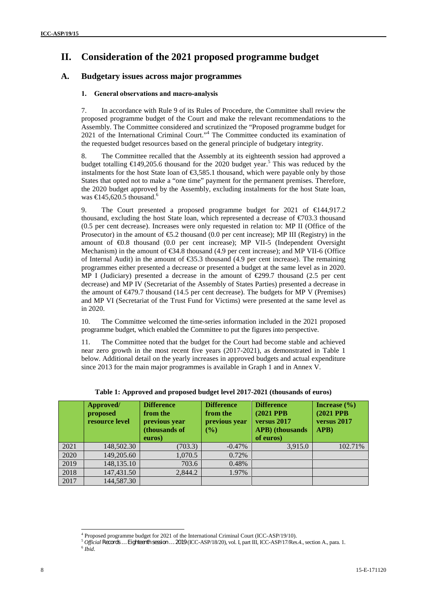## **II. Consideration of the 2021 proposed programme budget**

### **A. Budgetary issues across major programmes**

### **1. General observations and macro-analysis**

7. In accordance with Rule 9 of its Rules of Procedure, the Committee shall review the proposed programme budget of the Court and make the relevant recommendations to the Assembly. The Committee considered and scrutinized the "Proposed programme budget for 2021 of the International Criminal Court." <sup>4</sup> The Committee conducted its examination of the requested budget resources based on the general principle of budgetary integrity.

8. The Committee recalled that the Assembly at its eighteenth session had approved a budget totalling  $\epsilon$ 149,205.6 thousand for the 2020 budget year.<sup>5</sup> This was reduced by the instalments for the host State loan of  $\epsilon$ 3,585.1 thousand, which were payable only by those States that opted not to make a "one time" payment for the permanent premises. Therefore, the 2020 budget approved by the Assembly, excluding instalments for the host State loan, was  $\text{€}145,620.5$  thousand.<sup>6</sup>

9. The Court presented a proposed programme budget for 2021 of €144,917.2 thousand, excluding the host State loan, which represented a decrease of  $\epsilon/03.3$  thousand (0.5 per cent decrease). Increases were only requested in relation to: MP II (Office of the Prosecutor) in the amount of  $\epsilon$ 5.2 thousand (0.0 per cent increase); MP III (Registry) in the amount of €0.8 thousand (0.0 per cent increase); MP VII-5 (Independent Oversight Mechanism) in the amount of  $\epsilon$ 34.8 thousand (4.9 per cent increase); and MP VII-6 (Office of Internal Audit) in the amount of  $\epsilon$ 35.3 thousand (4.9 per cent increase). The remaining programmes either presented a decrease or presented a budget at the same level as in 2020. MP I (Judiciary) presented a decrease in the amount of  $E$ 299.7 thousand (2.5 per cent decrease) and MP IV (Secretariat of the Assembly of States Parties) presented a decrease in the amount of  $\epsilon$ 479.7 thousand (14.5 per cent decrease). The budgets for MP V (Premises) and MP VI (Secretariat of the Trust Fund for Victims) were presented at the same level as in 2020.

10. The Committee welcomed the time-series information included in the 2021 proposed programme budget, which enabled the Committee to put the figures into perspective.

11. The Committee noted that the budget for the Court had become stable and achieved near zero growth in the most recent five years (2017-2021), as demonstrated in Table 1 below. Additional detail on the yearly increases in approved budgets and actual expenditure since 2013 for the main major programmes is available in Graph 1 and in Annex V.

|      | Approved/<br>proposed<br>resource level | <b>Difference</b><br>from the<br>previous year<br>(thousands of<br>euros) | <b>Difference</b><br>from the<br>previous year<br>$($ %) | <b>Difference</b><br>(2021 PPB)<br>versus 2017<br><b>APB</b> ) (thousands<br>of euros) | Increase $(\% )$<br>(2021 PPB)<br>versus 2017<br>APB) |
|------|-----------------------------------------|---------------------------------------------------------------------------|----------------------------------------------------------|----------------------------------------------------------------------------------------|-------------------------------------------------------|
| 2021 | 148,502.30                              | (703.3)                                                                   | $-0.47\%$                                                | 3,915.0                                                                                | 102.71%                                               |
| 2020 | 149,205.60                              | 1,070.5                                                                   | 0.72%                                                    |                                                                                        |                                                       |
| 2019 | 148,135.10                              | 703.6                                                                     | 0.48%                                                    |                                                                                        |                                                       |
| 2018 | 147,431.50                              | 2,844.2                                                                   | 1.97%                                                    |                                                                                        |                                                       |
| 2017 | 144,587.30                              |                                                                           |                                                          |                                                                                        |                                                       |

**Table 1: Approved and proposed budget level 2017-2021 (thousands of euros)**

<sup>&</sup>lt;sup>4</sup> Proposed programme budget for 2021 of the International Criminal Court (ICC-ASP/19/10).<br><sup>5</sup> Official Records ... Eighteenth session ... 2019 (ICC-ASP/18/20), vol. I, part III, ICC-ASP/17/Res.4., section A., para. 1.<br><sup></sup>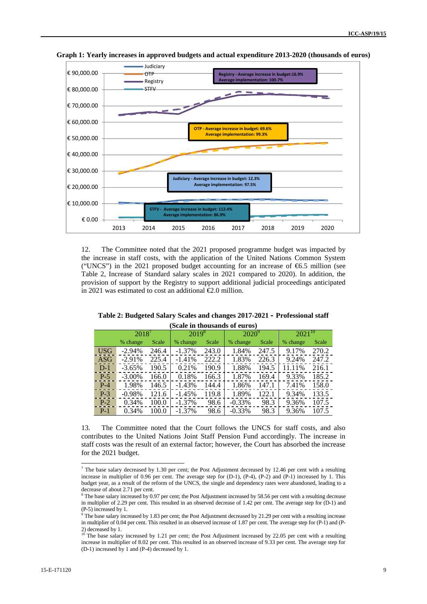

**Graph 1: Yearly increases in approved budgets and actual expenditure 2013-2020 (thousands of euros)**

12. The Committee noted that the 2021 proposed programme budget was impacted by the increase in staff costs, with the application of the United Nations Common System ("UNCS") in the 2021 proposed budget accounting for an increase of  $6.5$  million (see Table 2, Increase of Standard salary scales in 2021 compared to 2020). In addition, the provision of support by the Registry to support additional judicial proceedings anticipated in 2021 was estimated to cost an additional  $\epsilon$ 2.0 million.

**Table 2: Budgeted Salary Scales and changes 2017-2021 – Professional staff (Scale in thousands of euros)**

|            |           |       |            |       |          | $100$ and $100$ abando of $200$ |             |       |  |
|------------|-----------|-------|------------|-------|----------|---------------------------------|-------------|-------|--|
|            | $2018^7$  |       | $2019^{8}$ |       | $2020^9$ |                                 | $2021^{10}$ |       |  |
|            | % change  | Scale | % change   | Scale | % change | Scale                           | % change    | Scale |  |
| <b>USG</b> | $-2.94%$  | 246.4 | $-1.37\%$  | 243.0 | 1.84%    | 247.5                           | 9.17%       | 270.2 |  |
| <b>ASG</b> | $-2.91%$  | 225.4 | $-1.41%$   | 222.2 | 1.83%    | 226.3                           | 9.24%       | 247.2 |  |
| $D-1$      | $-3.65%$  | 190.5 | 0.21%      | 190.9 | 1.88%    | 194.5                           | 11.11%      | 216.1 |  |
| $P-5$      | $-3.00\%$ | 166.0 | 0.18%      | 166.3 | 1.87%    | 169.4                           | 9.33%       | 185.2 |  |
| $P-4$      | 1.98%     | 146.5 | $-1.43%$   | 144.4 | 1.86%    | 147.1                           | 7.41%       | 158.0 |  |
| $P-3$      | $-0.98%$  | 121.6 | $-1.45%$   | 119.8 | 1.89%    | 122.1                           | 9.34%       | 133.5 |  |
| $P-2$      | 0.34%     | 100.0 | $-1.37%$   | 98.6  | $-0.33%$ | 98.3                            | 9.36%       | 107.5 |  |
| $P-1$      | 0.34%     | 100.0 | $-1.37\%$  | 98.6  | $-0.33%$ | 98.3                            | 9.36%       | 107.5 |  |

13. The Committee noted that the Court follows the UNCS for staff costs, and also contributes to the United Nations Joint Staff Pension Fund accordingly. The increase in staff costs was the result of an external factor; however, the Court has absorbed the increase for the 2021 budget.

 $7$  The base salary decreased by 1.30 per cent; the Post Adjustment decreased by 12.46 per cent with a resulting increase in multiplier of 0.96 per cent. The average step for (D-1), (P-4), (P-2) and (P-1) increased by 1. This budget year, as a result of the reform of the UNCS, the single and dependency rates were abandoned, leading to a decrease of about 2.71 per cent.

<sup>&</sup>lt;sup>8</sup> The base salary increased by 0.97 per cent; the Post Adjustment increased by 58.56 per cent with a resulting decrease in multiplier of 2.29 per cent. This resulted in an observed decrease of 1.42 per cent. The average step for (D-1) and  $(P-5)$  increased by 1.

The base salary increased by 1.83 per cent; the Post Adjustment decreased by 21.29 per cent with a resulting increase in multiplier of 0.04 per cent. This resulted in an observed increase of 1.87 per cent. The average step for (P-1) and (P- 2) decreased by 1.

The base salary increased by 1.21 per cent; the Post Adjustment increased by 22.05 per cent with a resulting increase in multiplier of 8.02 per cent. This resulted in an observed increase of 9.33 per cent. The average step for (D-1) increased by 1 and (P-4) decreased by 1.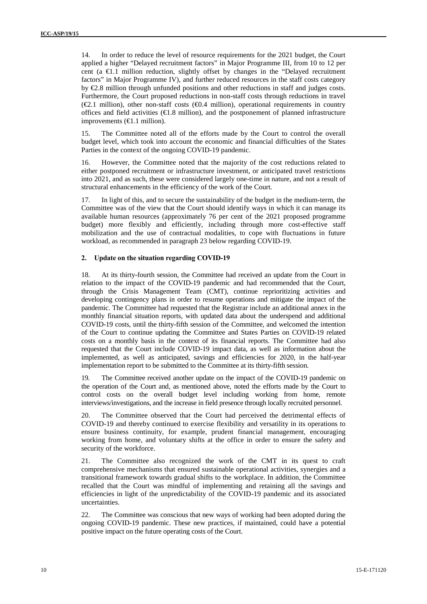14. In order to reduce the level of resource requirements for the 2021 budget, the Court applied a higher "Delayed recruitment factors" in Major Programme III, from 10 to 12 per cent (a  $\bigoplus$ .1 million reduction, slightly offset by changes in the "Delayed recruitment" factors" in Major Programme IV), and further reduced resources in the staff costs category by  $E.8$  million through unfunded positions and other reductions in staff and judges costs. Furthermore, the Court proposed reductions in non-staff costs through reductions in travel  $(\mathcal{L}1$  million), other non-staff costs ( $\mathcal{L}0.4$  million), operational requirements in country offices and field activities  $(\epsilon)$ .8 million), and the postponement of planned infrastructure improvements  $(\text{\e{1.1}}$  million).

15. The Committee noted all of the efforts made by the Court to control the overall budget level, which took into account the economic and financial difficulties of the States Parties in the context of the ongoing COVID-19 pandemic.

16. However, the Committee noted that the majority of the cost reductions related to either postponed recruitment or infrastructure investment, or anticipated travel restrictions into 2021, and as such, these were considered largely one-time in nature, and not a result of structural enhancements in the efficiency of the work of the Court.

17. In light of this, and to secure the sustainability of the budget in the medium-term, the Committee was of the view that the Court should identify ways in which it can manage its available human resources (approximately 76 per cent of the 2021 proposed programme budget) more flexibly and efficiently, including through more cost-effective staff mobilization and the use of contractual modalities, to cope with fluctuations in future workload, as recommended in paragraph 23 below regarding COVID-19.

#### **2. Update on the situation regarding COVID-19**

18. At its thirty-fourth session, the Committee had received an update from the Court in relation to the impact of the COVID-19 pandemic and had recommended that the Court, through the Crisis Management Team (CMT), continue reprioritizing activities and developing contingency plans in order to resume operations and mitigate the impact of the pandemic. The Committee had requested that the Registrar include an additional annex in the monthly financial situation reports, with updated data about the underspend and additional COVID-19 costs, until the thirty-fifth session of the Committee, and welcomed the intention of the Court to continue updating the Committee and States Parties on COVID-19 related costs on a monthly basis in the context of its financial reports. The Committee had also requested that the Court include COVID-19 impact data, as well as information about the implemented, as well as anticipated, savings and efficiencies for 2020, in the half-year implementation report to be submitted to the Committee at its thirty-fifth session.

19. The Committee received another update on the impact of the COVID-19 pandemic on the operation of the Court and, as mentioned above, noted the efforts made by the Court to control costs on the overall budget level including working from home, remote interviews/investigations, and the increase in field presence through locally recruited personnel.

20. The Committee observed that the Court had perceived the detrimental effects of COVID-19 and thereby continued to exercise flexibility and versatility in its operations to ensure business continuity, for example, prudent financial management, encouraging working from home, and voluntary shifts at the office in order to ensure the safety and security of the workforce.

21. The Committee also recognized the work of the CMT in its quest to craft comprehensive mechanisms that ensured sustainable operational activities, synergies and a transitional framework towards gradual shifts to the workplace. In addition, the Committee recalled that the Court was mindful of implementing and retaining all the savings and efficiencies in light of the unpredictability of the COVID-19 pandemic and its associated uncertainties.

22. The Committee was conscious that new ways of working had been adopted during the ongoing COVID-19 pandemic. These new practices, if maintained, could have a potential positive impact on the future operating costs of the Court.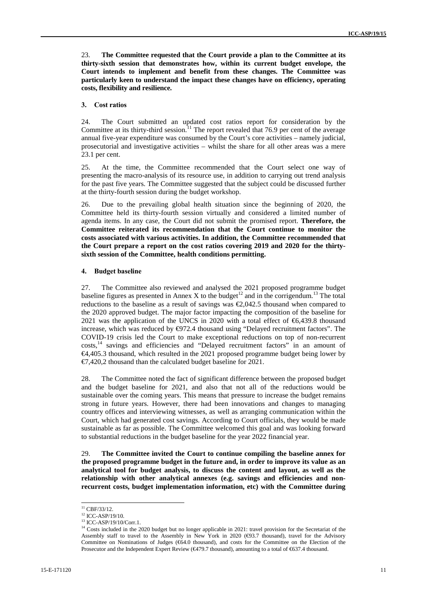23. **The Committee requested that the Court provide a plan to the Committee at its thirty-sixth session that demonstrates how, within its current budget envelope, the Court intends to implement and benefit from these changes. The Committee was particularly keen to understand the impact these changes have on efficiency, operating costs, flexibility and resilience.**

#### **3. Cost ratios**

24. The Court submitted an updated cost ratios report for consideration by the Committee at its thirty-third session.<sup>11</sup> The report revealed that 76.9 per cent of the average annual five-year expenditure was consumed by the Court's core activities – namely judicial, prosecutorial and investigative activities – whilst the share for all other areas was a mere 23.1 per cent.

25. At the time, the Committee recommended that the Court select one way of presenting the macro-analysis of its resource use, in addition to carrying out trend analysis for the past five years. The Committee suggested that the subject could be discussed further at the thirty-fourth session during the budget workshop.

26. Due to the prevailing global health situation since the beginning of 2020, the Committee held its thirty-fourth session virtually and considered a limited number of agenda items. In any case, the Court did not submit the promised report. **Therefore, the Committee reiterated its recommendation that the Court continue to monitor the costs associated with various activities. In addition, the Committee recommended that the Court prepare a report on the cost ratios covering 2019 and 2020 for the thirty sixth session of the Committee, health conditions permitting.**

#### **4. Budget baseline**

27. The Committee also reviewed and analysed the 2021 proposed programme budget baseline figures as presented in Annex X to the budget<sup>12</sup> and in the corrigendum.<sup>13</sup> The total reductions to the baseline as a result of savings was  $\epsilon$  2,042.5 thousand when compared to the 2020 approved budget. The major factor impacting the composition of the baseline for 2021 was the application of the UNCS in 2020 with a total effect of €6,439.8 thousand increase, which was reduced by  $\Theta$ 72.4 thousand using "Delayed recruitment factors". The COVID-19 crisis led the Court to make exceptional reductions on top of non-recurrent costs,<sup>14</sup> savings and efficiencies and "Delayed recruitment factors" in an amount of €4,405.3 thousand, which resulted in the 2021 proposed programme budget being lower by €7,420,2 thousand than the calculated budget baseline for 2021.

28. The Committee noted the fact of significant difference between the proposed budget and the budget baseline for 2021, and also that not all of the reductions would be sustainable over the coming years. This means that pressure to increase the budget remains strong in future years. However, there had been innovations and changes to managing country offices and interviewing witnesses, as well as arranging communication within the Court, which had generated cost savings. According to Court officials, they would be made sustainable as far as possible. The Committee welcomed this goal and was looking forward to substantial reductions in the budget baseline for the year 2022 financial year.

29. **The Committee invited the Court to continue compiling the baseline annex for the proposed programme budget in the future and, in order to improve its value as an analytical tool for budget analysis, to discuss the content and layout, as well as the relationship with other analytical annexes (e.g. savings and efficiencies and non recurrent costs, budget implementation information, etc) with the Committee during**

 $^{11}$  CBF/33/12.<br> $^{12}$  ICC-ASP/19/10.

<sup>&</sup>lt;sup>13</sup> ICC-ASP/19/10/Corr.1.

<sup>&</sup>lt;sup>14</sup> Costs included in the 2020 budget but no longer applicable in 2021: travel provision for the Secretariat of the Assembly staff to travel to the Assembly in New York in 2020 ( $big$ 3.7 thousand), travel for the Advisory Committee on Nominations of Judges (€64.0 thousand), and costs for the Committee on the Election of the Prosecutor and the Independent Expert Review (€479.7 thousand), amounting to a total of €637.4 thousand.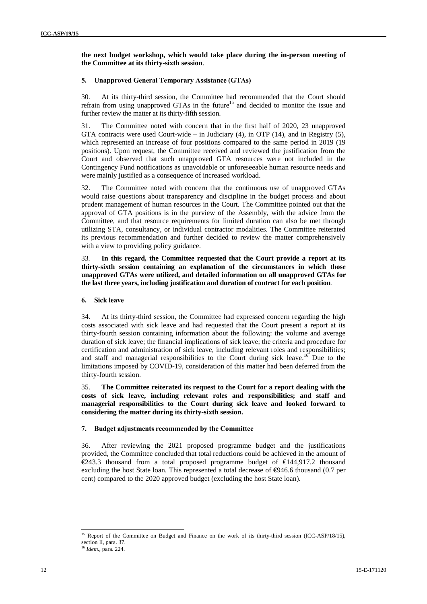**the next budget workshop, which would take place during the in-person meeting of the Committee at its thirty-sixth session**.

#### **5. Unapproved General Temporary Assistance (GTAs)**

30. At its thirty-third session, the Committee had recommended that the Court should refrain from using unapproved GTAs in the future<sup>15</sup> and decided to monitor the issue and further review the matter at its thirty-fifth session.

31. The Committee noted with concern that in the first half of 2020, 23 unapproved GTA contracts were used Court-wide – in Judiciary  $(4)$ , in OTP  $(14)$ , and in Registry  $(5)$ , which represented an increase of four positions compared to the same period in 2019 (19 positions). Upon request, the Committee received and reviewed the justification from the Court and observed that such unapproved GTA resources were not included in the Contingency Fund notifications as unavoidable or unforeseeable human resource needs and were mainly justified as a consequence of increased workload.

32. The Committee noted with concern that the continuous use of unapproved GTAs would raise questions about transparency and discipline in the budget process and about prudent management of human resources in the Court. The Committee pointed out that the approval of GTA positions is in the purview of the Assembly, with the advice from the Committee, and that resource requirements for limited duration can also be met through utilizing STA, consultancy, or individual contractor modalities. The Committee reiterated its previous recommendation and further decided to review the matter comprehensively with a view to providing policy guidance.

33. **In this regard, the Committee requested that the Court provide a report at its thirty-sixth session containing an explanation of the circumstances in which those unapproved GTAs were utilized, and detailed information on all unapproved GTAs for the last three years, including justification and duration of contract for each position**.

#### **6. Sick leave**

34. At its thirty-third session, the Committee had expressed concern regarding the high costs associated with sick leave and had requested that the Court present a report at its thirty-fourth session containing information about the following: the volume and average duration of sick leave; the financial implications of sick leave; the criteria and procedure for certification and administration of sick leave, including relevant roles and responsibilities; and staff and managerial responsibilities to the Court during sick leave.<sup>16</sup> Due to the limitations imposed by COVID-19, consideration of this matter had been deferred from the thirty-fourth session.

35. **The Committee reiterated its request to the Court for a report dealing with the costs of sick leave, including relevant roles and responsibilities; and staff and managerial responsibilities to the Court during sick leave and looked forward to considering the matter during its thirty-sixth session.**

#### **7. Budget adjustments recommended by the Committee**

36. After reviewing the 2021 proposed programme budget and the justifications provided, the Committee concluded that total reductions could be achieved in the amount of  $\in$  243.3 thousand from a total proposed programme budget of  $\in$  444,917.2 thousand excluding the host State loan. This represented a total decrease of  $\Theta$ 46.6 thousand (0.7 per cent) compared to the 2020 approved budget (excluding the host State loan).

<sup>15</sup> Report of the Committee on Budget and Finance on the work of its thirty-third session (ICC-ASP/18/15), section II, para. 37. <sup>16</sup> *Idem.,* para. 224.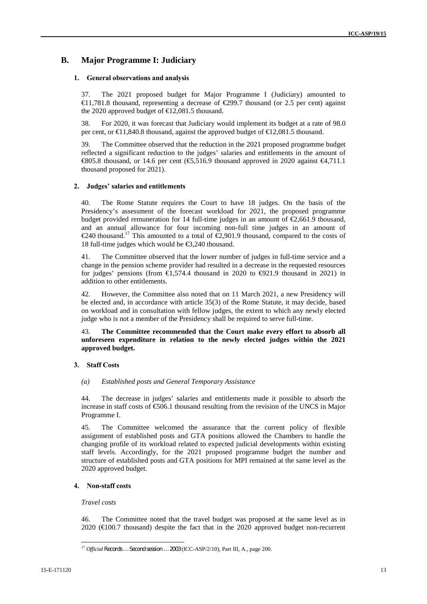### **B. Major Programme I: Judiciary**

#### **1. General observations and analysis**

37. The 2021 proposed budget for Major Programme I (Judiciary) amounted to  $\in$  1,781.8 thousand, representing a decrease of  $\in$ 299.7 thousand (or 2.5 per cent) against the 2020 approved budget of  $\text{E}2,081.5$  thousand.

38. For 2020, it was forecast that Judiciary would implement its budget at a rate of 98.0 per cent, or €11,840.8 thousand, against the approved budget of €12,081.5 thousand.

39. The Committee observed that the reduction in the 2021 proposed programme budget reflected a significant reduction to the judges' salaries and entitlements in the amount of €805.8 thousand, or 14.6 per cent (€5,516.9 thousand approved in 2020 against  $€4,711.1$ thousand proposed for 2021).

#### **2. Judges' salaries and entitlements**

40. The Rome Statute requires the Court to have 18 judges. On the basis of the Presidency's assessment of the forecast workload for 2021, the proposed programme budget provided remuneration for 14 full-time judges in an amount of  $\mathcal{L}$ ,661.9 thousand, and an annual allowance for four incoming non-full time judges in an amount of €240 thousand.<sup>17</sup> This amounted to a total of €2,901.9 thousand, compared to the costs of 18 full-time judges which would be €3,240 thousand.

41. The Committee observed that the lower number of judges in full-time service and a change in the pension scheme provider had resulted in a decrease in the requested resources for judges' pensions (from  $\epsilon$ 1,574.4 thousand in 2020 to  $\epsilon$ 921.9 thousand in 2021) in addition to other entitlements.

42. However, the Committee also noted that on 11 March 2021, a new Presidency will be elected and, in accordance with article 35(3) of the Rome Statute, it may decide, based on workload and in consultation with fellow judges, the extent to which any newly elected judge who is not a member of the Presidency shall be required to serve full-time.

43. **The Committee recommended that the Court make every effort to absorb all unforeseen expenditure in relation to the newly elected judges within the 2021 approved budget.**

#### **3. Staff Costs**

#### *(a) Established posts and General Temporary Assistance*

44. The decrease in judges' salaries and entitlements made it possible to absorb the increase in staff costs of  $\epsilon$ 606.1 thousand resulting from the revision of the UNCS in Major Programme I.

45. The Committee welcomed the assurance that the current policy of flexible assignment of established posts and GTA positions allowed the Chambers to handle the changing profile of its workload related to expected judicial developments within existing staff levels. Accordingly, for the 2021 proposed programme budget the number and structure of established posts and GTA positions for MPI remained at the same level as the 2020 approved budget.

#### **4. Non-staff costs**

#### *Travel costs*

46. The Committee noted that the travel budget was proposed at the same level as in 2020 (€100.7 thousand) despite the fact that in the 2020 approved budget non-recurrent

<sup>17</sup> *Official Records … Second session … 2003* (ICC-ASP/2/10), Part III, A., page 200.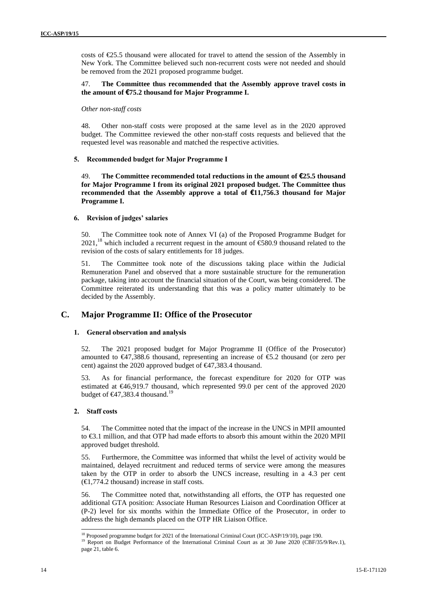costs of  $E$ 5.5 thousand were allocated for travel to attend the session of the Assembly in New York. The Committee believed such non-recurrent costs were not needed and should be removed from the 2021 proposed programme budget.

#### 47. **The Committee thus recommended that the Assembly approve travel costs in the amount of €75.2 thousand for Major Programme I.**

#### *Other non-staff costs*

48. Other non-staff costs were proposed at the same level as in the 2020 approved budget. The Committee reviewed the other non-staff costs requests and believed that the requested level was reasonable and matched the respective activities.

#### **5. Recommended budget for Major Programme I**

49. **The Committee recommended total reductions in the amount of €25.5 thousand for Major Programme I from its original 2021 proposed budget. The Committee thus recommended that the Assembly approve a total of €11,756.3 thousand for Major Programme I.**

#### **6. Revision of judges' salaries**

50. The Committee took note of Annex VI (a) of the Proposed Programme Budget for 2021,<sup>18</sup> which included a recurrent request in the amount of  $\text{\textsterling}80.9$  thousand related to the revision of the costs of salary entitlements for 18 judges.

51. The Committee took note of the discussions taking place within the Judicial Remuneration Panel and observed that a more sustainable structure for the remuneration package, taking into account the financial situation of the Court, was being considered. The Committee reiterated its understanding that this was a policy matter ultimately to be decided by the Assembly.

### **C. Major Programme II: Office of the Prosecutor**

#### **1. General observation and analysis**

52. The 2021 proposed budget for Major Programme II (Office of the Prosecutor) amounted to  $\epsilon$ 47,388.6 thousand, representing an increase of  $\epsilon$ 5.2 thousand (or zero per cent) against the 2020 approved budget of €47,383.4 thousand.

53. As for financial performance, the forecast expenditure for 2020 for OTP was estimated at €46,919.7 thousand, which represented 99.0 per cent of the approved 2020 budget of  $\bigoplus$  7,383.4 thousand.<sup>19</sup>

#### **2. Staff costs**

54. The Committee noted that the impact of the increase in the UNCS in MPII amounted to €3.1 million, and that OTP had made efforts to absorb this amount within the 2020 MPII approved budget threshold.

55. Furthermore, the Committee was informed that whilst the level of activity would be maintained, delayed recruitment and reduced terms of service were among the measures taken by the OTP in order to absorb the UNCS increase, resulting in a 4.3 per cent  $(\bigoplus, 774.2 \text{ thousand})$  increase in staff costs.

56. The Committee noted that, notwithstanding all efforts, the OTP has requested one additional GTA position: Associate Human Resources Liaison and Coordination Officer at (P-2) level for six months within the Immediate Office of the Prosecutor, in order to address the high demands placed on the OTP HR Liaison Office.

<sup>&</sup>lt;sup>18</sup> Proposed programme budget for 2021 of the International Criminal Court (ICC-ASP/19/10), page 190.<br><sup>19</sup> Report on Budget Performance of the International Criminal Court as at 30 June 2020 (CBF/35/9/Rev.1), page 21, table 6.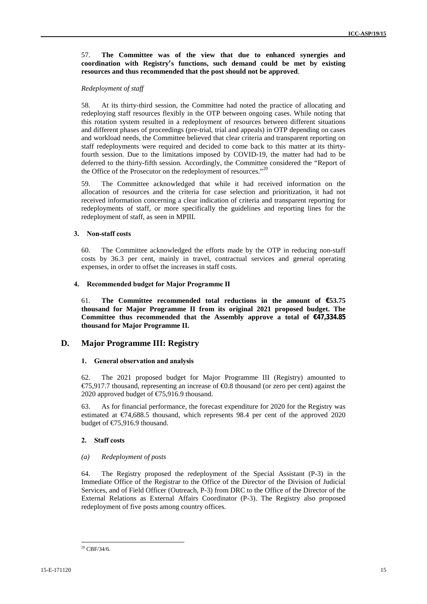57. **The Committee was of the view that due to enhanced synergies and coordination with Registry's functions, such demand could be met by existing resources and thus recommended that the post should not be approved**.

#### *Redeployment of staff*

58. At its thirty-third session, the Committee had noted the practice of allocating and redeploying staff resources flexibly in the OTP between ongoing cases. While noting that this rotation system resulted in a redeployment of resources between different situations and different phases of proceedings (pre-trial, trial and appeals) in OTP depending on cases and workload needs, the Committee believed that clear criteria and transparent reporting on staff redeployments were required and decided to come back to this matter at its thirtyfourth session. Due to the limitations imposed by COVID-19, the matter had had to be deferred to the thirty-fifth session. Accordingly, the Committee considered the "Report of the Office of the Prosecutor on the redeployment of resources."<sup>20</sup>

59. The Committee acknowledged that while it had received information on the allocation of resources and the criteria for case selection and prioritization, it had not received information concerning a clear indication of criteria and transparent reporting for redeployments of staff, or more specifically the guidelines and reporting lines for the redeployment of staff, as seen in MPIII*.*

#### **3. Non-staff costs**

60. The Committee acknowledged the efforts made by the OTP in reducing non-staff costs by 36.3 per cent, mainly in travel, contractual services and general operating expenses, in order to offset the increases in staff costs.

#### **4. Recommended budget for Major Programme II**

61. **The Committee recommended total reductions in the amount of €53.75 thousand for Major Programme II from its original 2021 proposed budget. The Committee thus recommended that the Assembly approve a total of €47,334.85 thousand for Major Programme II.**

### **D. Major Programme III: Registry**

#### **1. General observation and analysis**

62. The 2021 proposed budget for Major Programme III (Registry) amounted to  $\epsilon$ 75,917.7 thousand, representing an increase of  $\epsilon$ 0.8 thousand (or zero per cent) against the 2020 approved budget of €75,916.9 thousand.

63. As for financial performance, the forecast expenditure for 2020 for the Registry was estimated at  $\epsilon$ 74,688.5 thousand, which represents 98.4 per cent of the approved 2020 budget of  $\text{\textsterling}75,916.9$  thousand.

#### **2. Staff costs**

#### *(a) Redeployment of posts*

64. The Registry proposed the redeployment of the Special Assistant (P-3) in the Immediate Office of the Registrar to the Office of the Director of the Division of Judicial Services, and of Field Officer (Outreach, P-3) from DRC to the Office of the Director of the External Relations as External Affairs Coordinator (P-3). The Registry also proposed redeployment of five posts among country offices.

 $20$  CBF/34/6.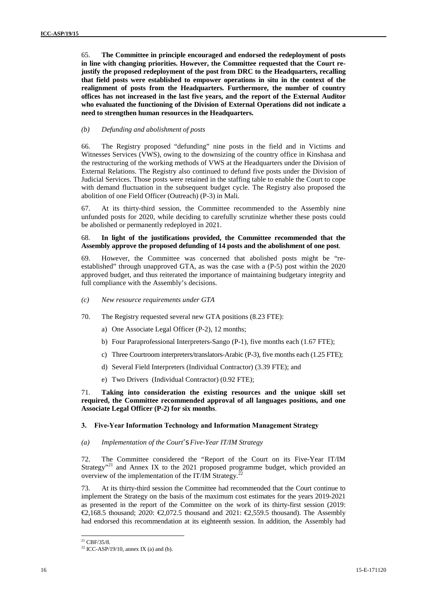65. **The Committee in principle encouraged and endorsed the redeployment of posts in line with changing priorities. However, the Committee requested that the Court rejustify the proposed redeployment of the post from DRC to the Headquarters, recalling that field posts were established to empower operations in situ in the context of the realignment of posts from the Headquarters. Furthermore, the number of country offices has not increased in the last five years, and the report of the External Auditor who evaluated the functioning of the Division of External Operations did not indicate a need to strengthen human resources in the Headquarters.**

#### *(b) Defunding and abolishment of posts*

66. The Registry proposed "defunding" nine posts in the field and in Victims and Witnesses Services (VWS), owing to the downsizing of the country office in Kinshasa and the restructuring of the working methods of VWS at the Headquarters under the Division of External Relations. The Registry also continued to defund five posts under the Division of Judicial Services. Those posts were retained in the staffing table to enable the Court to cope with demand fluctuation in the subsequent budget cycle. The Registry also proposed the abolition of one Field Officer (Outreach) (P-3) in Mali.

67. At its thirty-third session, the Committee recommended to the Assembly nine unfunded posts for 2020, while deciding to carefully scrutinize whether these posts could be abolished or permanently redeployed in 2021.

#### 68. **In light of the justifications provided, the Committee recommended that the Assembly approve the proposed defunding of 14 posts and the abolishment of one post**.

69. However, the Committee was concerned that abolished posts might be "re established" through unapproved GTA, as was the case with a (P-5) post within the 2020 approved budget, and thus reiterated the importance of maintaining budgetary integrity and full compliance with the Assembly's decisions.

- *(c) New resource requirements under GTA*
- 70. The Registry requested several new GTA positions (8.23 FTE):
	- a) One Associate Legal Officer (P-2), 12 months;
	- b) Four Paraprofessional Interpreters-Sango (P-1), five months each (1.67 FTE);
	- c) Three Courtroom interpreters/translators-Arabic (P-3), five months each (1.25 FTE);
	- d) Several Field Interpreters (Individual Contractor) (3.39 FTE); and
	- e) Two Drivers (Individual Contractor) (0.92 FTE);

71. **Taking into consideration the existing resources and the unique skill set required, the Committee recommended approval of all languages positions, and one Associate Legal Officer (P-2) for six months**.

#### **3. Five-Year Information Technology and Information Management Strategy**

#### *(a) Implementation of the Court's Five-Year IT/IM Strategy*

72. The Committee considered the "Report of the Court on its Five-Year IT/IM Strategy<sup>"21</sup> and Annex IX to the 2021 proposed programme budget, which provided an overview of the implementation of the IT/IM Strategy.<sup>2</sup>

73. At its thirty-third session the Committee had recommended that the Court continue to implement the Strategy on the basis of the maximum cost estimates for the years 2019-2021 as presented in the report of the Committee on the work of its thirty-first session (2019: €2,168.5 thousand; 2020: €2,072.5 thousand and 2021: €2,559.5 thousand). The Assembly had endorsed this recommendation at its eighteenth session. In addition, the Assembly had

 $^{21}$  CBF/35/8.

 $22$  ICC-ASP/19/10, annex IX (a) and (b).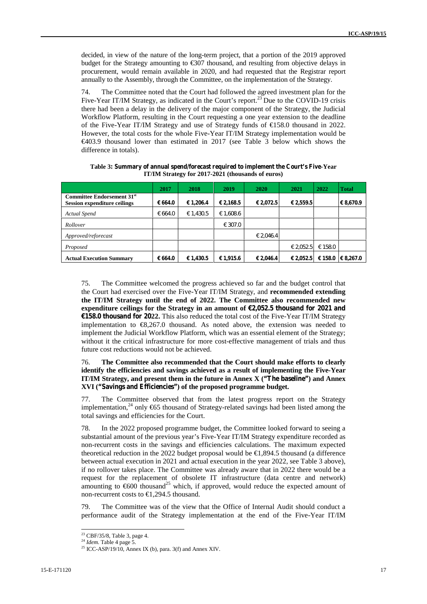decided, in view of the nature of the long-term project, that a portion of the 2019 approved budget for the Strategy amounting to  $\text{\textsterling}07$  thousand, and resulting from objective delays in procurement, would remain available in 2020, and had requested that the Registrar report annually to the Assembly, through the Committee, on the implementation of the Strategy.

74. The Committee noted that the Court had followed the agreed investment plan for the Five-Year IT/IM Strategy, as indicated in the Court's report.<sup>23</sup> Due to the COVID-19 crisis there had been a delay in the delivery of the major component of the Strategy, the Judicial Workflow Platform, resulting in the Court requesting a one year extension to the deadline of the Five-Year IT/IM Strategy and use of Strategy funds of €158.0 thousand in 2022. However, the total costs for the whole Five-Year IT/IM Strategy implementation would be €403.9 thousand lower than estimated in 2017 (see Table 3 below which shows the difference in totals).

|                                                                               | 2017    | 2018      | 2019             | <b>2020</b> | 2021      | 2022    | <b>Total</b>  |
|-------------------------------------------------------------------------------|---------|-----------|------------------|-------------|-----------|---------|---------------|
| Committee Endorsement 31 <sup>st</sup><br><b>Session expenditure ceilings</b> | € 664.0 | € 1,206.4 | € 2,168.5        | € 2,072.5   | € 2,559.5 |         | € 8,670.9     |
| Actual Spend                                                                  | € 664.0 | € 1,430.5 | € 1,608.6        |             |           |         |               |
| Rollover                                                                      |         |           | $\epsilon$ 307.0 |             |           |         |               |
| Approved/reforecast                                                           |         |           |                  | € 2.046.4   |           |         |               |
| Proposed                                                                      |         |           |                  |             | € 2,052.5 | € 158.0 |               |
| <b>Actual Execution Summary</b>                                               | € 664.0 | € 1,430.5 | € 1,915.6        | € 2,046.4   | € 2,052.5 | € 158.0 | $\in 8.267.0$ |

**Table 3: Summary of annual spend/forecast required to implement the Court's Five-Year IT/IM Strategy for 2017-2021 (thousands of euros)**

75. The Committee welcomed the progress achieved so far and the budget control that the Court had exercised over the Five-Year IT/IM Strategy, and **recommended extending the IT/IM Strategy until the end of 2022. The Committee also recommended new expenditure ceilings for the Strategy in an amount of €2,052.5 thousand for 2021 and €158.0 thousand for 2022.** This also reduced the total cost of the Five-Year IT/IM Strategy implementation to €8,267.0 thousand. As noted above, the extension was needed to implement the Judicial Workflow Platform, which was an essential element of the Strategy; without it the critical infrastructure for more cost-effective management of trials and thus future cost reductions would not be achieved.

#### 76. **The Committee also recommended that the Court should make efforts to clearly identify the efficiencies and savings achieved as a result of implementing the Five-Year IT/IM Strategy, and present them in the future in Annex X ("The baseline") and Annex XVI ("Savings and Efficiencies") of the proposed programme budget.**

77. The Committee observed that from the latest progress report on the Strategy implementation,<sup>24</sup> only  $\epsilon$ 65 thousand of Strategy-related savings had been listed among the total savings and efficiencies for the Court.

78. In the 2022 proposed programme budget, the Committee looked forward to seeing a substantial amount of the previous year's Five-Year IT/IM Strategy expenditure recorded as non-recurrent costs in the savings and efficiencies calculations. The maximum expected theoretical reduction in the 2022 budget proposal would be  $\in$ 1,894.5 thousand (a difference between actual execution in 2021 and actual execution in the year 2022, see Table 3 above), if no rollover takes place. The Committee was already aware that in 2022 there would be a request for the replacement of obsolete IT infrastructure (data centre and network) amounting to  $600$  thousand<sup>25</sup> which, if approved, would reduce the expected amount of non-recurrent costs to €1,294.5 thousand.

79. The Committee was of the view that the Office of Internal Audit should conduct a performance audit of the Strategy implementation at the end of the Five-Year IT/IM

<sup>23</sup> CBF/35/8, Table 3, page 4. <sup>24</sup> *Idem.* Table 4 page 5.

<sup>&</sup>lt;sup>25</sup> ICC-ASP/19/10, Annex IX (b), para. 3(f) and Annex XIV.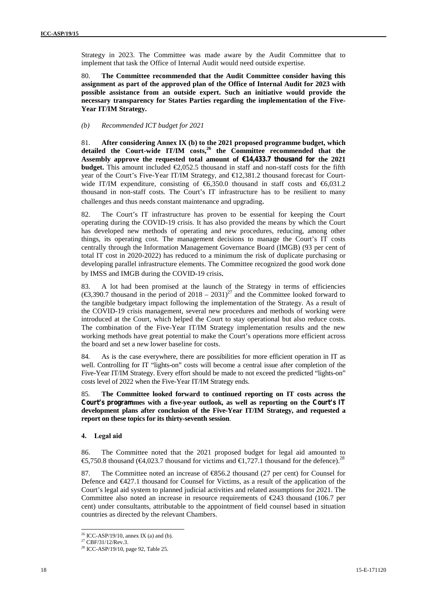Strategy in 2023. The Committee was made aware by the Audit Committee that to implement that task the Office of Internal Audit would need outside expertise.

80. **The Committee recommended that the Audit Committee consider having this assignment as part of the approved plan of the Office of Internal Audit for 2023 with possible assistance from an outside expert. Such an initiative would provide the necessary transparency for States Parties regarding the implementation of the Five- Year IT/IM Strategy.**

*(b) Recommended ICT budget for 2021*

81. **After considering Annex IX (b) to the 2021 proposed programme budget, which detailed the Court-wide IT/IM costs,<sup>26</sup> the Committee recommended that the Assembly approve the requested total amount of €14,433.7 thousand for the 2021 budget.** This amount included  $\epsilon$ 2,052.5 thousand in staff and non-staff costs for the fifth year of the Court's Five-Year IT/IM Strategy, and €12,381.2 thousand forecast for Court wide IT/IM expenditure, consisting of  $6,350.0$  thousand in staff costs and  $6,031.2$ thousand in non-staff costs. The Court's IT infrastructure has to be resilient to many challenges and thus needs constant maintenance and upgrading.

82. The Court's IT infrastructure has proven to be essential for keeping the Court operating during the COVID-19 crisis. It has also provided the means by which the Court has developed new methods of operating and new procedures, reducing, among other things, its operating cost. The management decisions to manage the Court's IT costs centrally through the Information Management Governance Board (IMGB) (93 per cent of total IT cost in 2020-2022) has reduced to a minimum the risk of duplicate purchasing or developing parallel infrastructure elements. The Committee recognized the good work done by IMSS and IMGB during the COVID-19 crisis.

83. A lot had been promised at the launch of the Strategy in terms of efficiencies (€3,390.7 thousand in the period of 2018 – 2031)<sup>27</sup> and the Committee looked forward to the tangible budgetary impact following the implementation of the Strategy. As a result of the COVID-19 crisis management, several new procedures and methods of working were introduced at the Court, which helped the Court to stay operational but also reduce costs. The combination of the Five-Year IT/IM Strategy implementation results and the new working methods have great potential to make the Court's operations more efficient across the board and set a new lower baseline for costs.

84. As is the case everywhere, there are possibilities for more efficient operation in IT as well. Controlling for IT "lights-on" costs will become a central issue after completion of the Five-Year IT/IM Strategy. Every effort should be made to not exceed the predicted "lights-on" costs level of 2022 when the Five-Year IT/IM Strategy ends.

85. **The Committee looked forward to continued reporting on IT costs across the Court's programmes with a five-year outlook, as well as reporting on the Court's IT development plans after conclusion of the Five-Year IT/IM Strategy, and requested a report on these topics for its thirty-seventh session**.

#### **4. Legal aid**

86. The Committee noted that the 2021 proposed budget for legal aid amounted to €5,750.8 thousand (€4,023.7 thousand for victims and €1,727.1 thousand for the defence).<sup>28</sup>

87. The Committee noted an increase of €856.2 thousand (27 per cent) for Counsel for Defence and €427.1 thousand for Counsel for Victims, as a result of the application of the Court's legal aid system to planned judicial activities and related assumptions for 2021. The Committee also noted an increase in resource requirements of €243 thousand (106.7 per cent) under consultants, attributable to the appointment of field counsel based in situation countries as directed by the relevant Chambers.

<sup>&</sup>lt;sup>26</sup> ICC-ASP/19/10, annex IX (a) and (b). <sup>27</sup> CBF/31/12/Rev.3.

<sup>28</sup> ICC-ASP/19/10, page 92, Table 25.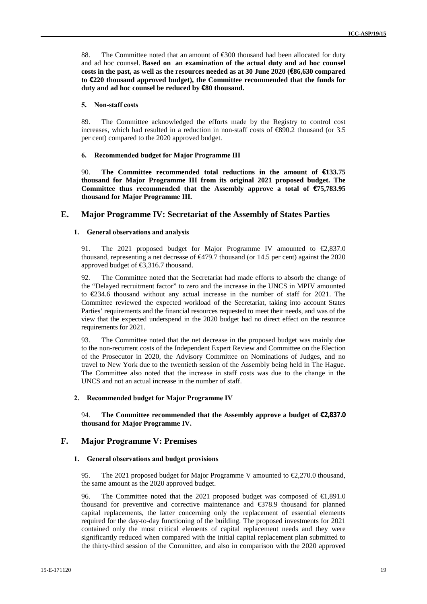88. The Committee noted that an amount of €300 thousand had been allocated for duty and ad hoc counsel. **Based on an examination of the actual duty and ad hoc counsel costs in the past, as well as the resources needed as at 30 June 2020 (€86,630 compared to €220 thousand approved budget), the Committee recommended that the funds for duty and ad hoc counsel be reduced by €80 thousand.**

#### **5. Non-staff costs**

89. The Committee acknowledged the efforts made by the Registry to control cost increases, which had resulted in a reduction in non-staff costs of  $\text{\textsterling}890.2$  thousand (or 3.5) per cent) compared to the 2020 approved budget.

#### **6. Recommended budget for Major Programme III**

90. **The Committee recommended total reductions in the amount of €133.75 thousand for Major Programme III from its original 2021 proposed budget. The Committee thus recommended that the Assembly approve a total of €75,783.95 thousand for Major Programme III.**

#### **E. Major Programme IV: Secretariat of the Assembly of States Parties**

#### **1. General observations and analysis**

91. The 2021 proposed budget for Major Programme IV amounted to  $\epsilon$ 2,837.0 thousand, representing a net decrease of €479.7 thousand (or 14.5 per cent) against the 2020 approved budget of €3,316.7 thousand.

92. The Committee noted that the Secretariat had made efforts to absorb the change of the "Delayed recruitment factor" to zero and the increase in the UNCS in MPIV amounted to €234.6 thousand without any actual increase in the number of staff for 2021. The Committee reviewed the expected workload of the Secretariat, taking into account States Parties' requirements and the financial resources requested to meet their needs, and was of the view that the expected underspend in the 2020 budget had no direct effect on the resource requirements for 2021.

93. The Committee noted that the net decrease in the proposed budget was mainly due to the non-recurrent costs of the Independent Expert Review and Committee on the Election of the Prosecutor in 2020, the Advisory Committee on Nominations of Judges, and no travel to New York due to the twentieth session of the Assembly being held in The Hague. The Committee also noted that the increase in staff costs was due to the change in the UNCS and not an actual increase in the number of staff.

#### **2. Recommended budget for Major Programme IV**

94. **The Committee recommended that the Assembly approve a budget of €2,837.0 thousand for Major Programme IV.**

#### **F. Major Programme V: Premises**

#### **1. General observations and budget provisions**

95. The 2021 proposed budget for Major Programme V amounted to  $\epsilon$  2.270.0 thousand, the same amount as the 2020 approved budget.

96. The Committee noted that the 2021 proposed budget was composed of €1,891.0 thousand for preventive and corrective maintenance and €378.9 thousand for planned capital replacements, the latter concerning only the replacement of essential elements required for the day-to-day functioning of the building. The proposed investments for 2021 contained only the most critical elements of capital replacement needs and they were significantly reduced when compared with the initial capital replacement plan submitted to the thirty-third session of the Committee, and also in comparison with the 2020 approved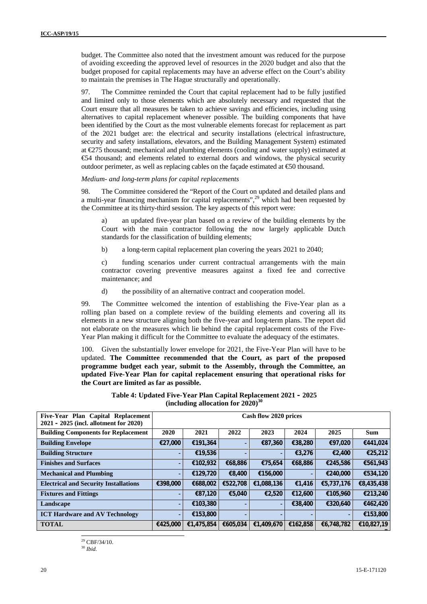budget. The Committee also noted that the investment amount was reduced for the purpose of avoiding exceeding the approved level of resources in the 2020 budget and also that the budget proposed for capital replacements may have an adverse effect on the Court's ability to maintain the premises in The Hague structurally and operationally.

97. The Committee reminded the Court that capital replacement had to be fully justified and limited only to those elements which are absolutely necessary and requested that the Court ensure that all measures be taken to achieve savings and efficiencies, including using alternatives to capital replacement whenever possible. The building components that have been identified by the Court as the most vulnerable elements forecast for replacement as part of the 2021 budget are: the electrical and security installations (electrical infrastructure, security and safety installations, elevators, and the Building Management System) estimated at €275 thousand; mechanical and plumbing elements (cooling and water supply) estimated at €54 thousand; and elements related to external doors and windows, the physical security outdoor perimeter, as well as replacing cables on the façade estimated at  $\epsilon$ 50 thousand.

#### *Medium- and long-term plans for capital replacements*

98. The Committee considered the "Report of the Court on updated and detailed plans and a multi-year financing mechanism for capital replacements",<sup>29</sup> which had been requested by the Committee at its thirty-third session. The key aspects of this report were:

an updated five-year plan based on a review of the building elements by the Court with the main contractor following the now largely applicable Dutch standards for the classification of building elements;

b) a long-term capital replacement plan covering the years 2021 to 2040;

c) funding scenarios under current contractual arrangements with the main contractor covering preventive measures against a fixed fee and corrective maintenance; and

d) the possibility of an alternative contract and cooperation model.

99. The Committee welcomed the intention of establishing the Five-Year plan as a rolling plan based on a complete review of the building elements and covering all its elements in a new structure aligning both the five-year and long-term plans. The report did not elaborate on the measures which lie behind the capital replacement costs of the Five- Year Plan making it difficult for the Committee to evaluate the adequacy of the estimates.

100. Given the substantially lower envelope for 2021, the Five-Year Plan will have to be updated. **The Committee recommended that the Court, as part of the proposed programme budget each year, submit to the Assembly, through the Committee, an updated Five-Year Plan for capital replacement ensuring that operational risks for the Court are limited as far as possible.**

| Five-Year Plan Capital Replacement<br>$2021 - 2025$ (incl. allotment for $2020$ ) | Cash flow 2020 prices |            |          |                |          |            |            |  |  |
|-----------------------------------------------------------------------------------|-----------------------|------------|----------|----------------|----------|------------|------------|--|--|
| <b>Building Components for Replacement</b>                                        | 2020                  | 2021       | 2022     | 2023           | 2024     | 2025       | <b>Sum</b> |  |  |
| <b>Building Envelope</b>                                                          | €27,000               | €191,364   |          | €87,360        | €38,280  | €97,020    | €441,024   |  |  |
| <b>Building Structure</b>                                                         | ۰                     | €19,536    |          | ۰              | €3,276   | €2,400     | €25,212    |  |  |
| <b>Finishes and Surfaces</b>                                                      | ٠                     | €102,932   | €68,886  | €75,654        | €68,886  | €245,586   | €561,943   |  |  |
| <b>Mechanical and Plumbing</b>                                                    | ٠                     | €129,720   | €8,400   | €156,000       | ۰        | €240,000   | €534,120   |  |  |
| <b>Electrical and Security Installations</b>                                      | €398,000              | €688,002   | €522,708 | €1,088,136     | €1,416   | €5,737,176 | €8,435,438 |  |  |
| <b>Fixtures and Fittings</b>                                                      | ۰                     | €87,120    | €5,040   | €2,520         | €12,600  | €105,960   | €213,240   |  |  |
| Landscape                                                                         |                       | €103,380   |          | $\blacksquare$ | €38,400  | €320,640   | €462,420   |  |  |
| <b>ICT Hardware and AV Technology</b>                                             |                       | €153,800   |          |                |          | ۰.         | €153,800   |  |  |
| <b>TOTAL</b>                                                                      | €425,000              | €1,475,854 | €605,034 | €1,409,670     | €162,858 | €6,748,782 | €10,827,19 |  |  |

**Table 4: Updated Five-Year Plan Capital Replacement 2021 – 2025 (including allocation for 2020)<sup>30</sup>**

 $29$  CBF/34/10. <sup>30</sup> *Ibid.*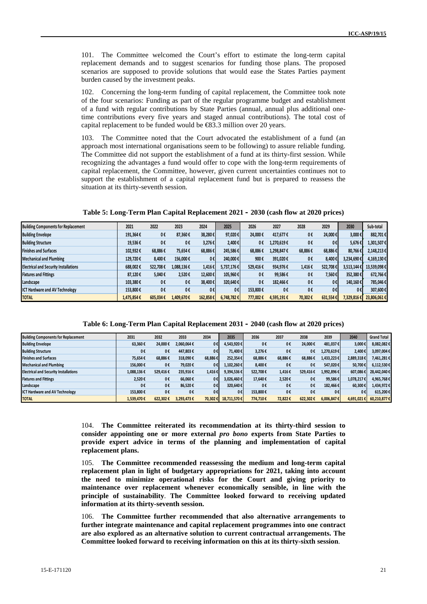101. The Committee welcomed the Court's effort to estimate the long-term capital replacement demands and to suggest scenarios for funding those plans. The proposed scenarios are supposed to provide solutions that would ease the States Parties payment burden caused by the investment peaks.

102. Concerning the long-term funding of capital replacement, the Committee took note of the four scenarios: Funding as part of the regular programme budget and establishment of a fund with regular contributions by State Parties (annual, annual plus additional onetime contributions every five years and staged annual contributions). The total cost of capital replacement to be funded would be  $\text{\textcircled{}}83.3$  million over 20 years.

103. The Committee noted that the Court advocated the establishment of a fund (an approach most international organisations seem to be following) to assure reliable funding. The Committee did not support the establishment of a fund at its thirty-first session. While recognizing the advantages a fund would offer to cope with the long-term requirements of capital replacement, the Committee, however, given current uncertainties continues not to support the establishment of a capital replacement fund but is prepared to reassess the situation at its thirty-seventh session.

**Table 5: Long-Term Plan Capital Replacement 2021 – 2030 (cash flow at 2020 prices)**

| <b>Building Components for Replacement</b>   | 2021       | 2022     | 2023       | 2024           | 2025       | 2026     | 2027       | 2028    | 2029     | 2030       | Sub-total   |
|----------------------------------------------|------------|----------|------------|----------------|------------|----------|------------|---------|----------|------------|-------------|
| <b>Building Envelope</b>                     | 191,364€   | 0€       | 87,360€    | 38.280€        | 97.020€    | 24.000€  | 417.677€   | 0€      | 24,000€  | 3.000€     | 882.701€    |
| <b>Building Structure</b>                    | 19,536€    | 0€       | O€         | 3.276€         | 2,400€     | 0€       | 1,270,619€ | 0€      | 0€       | 5,676€     | 1,301,507€  |
| <b>Finishes and Surfaces</b>                 | 102.932€   | 68.886€  | 75,654€    | 68,886€        | 245,586€   | 68,886€  | 1,298,847€ | 68,886€ | 68,886€  | 80,766€    | 2,148,213€  |
| <b>Mechanical and Plumbing</b>               | 129.720€   | 8,400€   | 156,000€   | 0 <sub>f</sub> | 240,000€   | 900€     | 391,020€   | O€      | 8.400€   | 3,234,690€ | 4,169,130€  |
| <b>Electrical and Security Installations</b> | 688,002€   | 522.708€ | 1.088.136€ | 1,416€         | 5,737,176€ | 529.416€ | 934,976€   | 1,416€  | 522.7086 | 3,513,144€ | 13,539,098€ |
| <b>Fixtures and Fittings</b>                 | 87.120€    | 5.040€   | 2.520€     | 12,600€        | 105,960€   | 0€       | 99,586€    | 0€      | 7,560€   | 352,380€   | 672,766€    |
| Landscape                                    | 103,380€   | 0€       | 0€         | 38,400€        | 320,640€   | 0€       | 182.466€   | 0€      | 0€       | 140.160€   | 785,046€    |
| <b>ICT Hardware and AV Technology</b>        | 153,800€   | 0€       | O€         | 0€             | 0€         | 153,800€ | 0€         | O€      | 0€       | 0€         | 307,600€    |
| <b>TOTAL</b>                                 | 1,475,854€ | 605.034€ | 1.409.670€ | 162,858€       | 6,748,782€ | 777,002€ | 4,595,191€ | 70,302€ | 631,554€ | 1,329,816€ | 23,806,061€ |

**Table 6: Long-Term Plan Capital Replacement 2031 – 2040 (cash flow at 2020 prices)**

| <b>Building Components for Replacement</b>   | 2031       | 2032     | 2033       | 2034    | 2035        | 2036     | 2037    | 2038     | 2039            | 2040       | <b>Grand Total</b> |
|----------------------------------------------|------------|----------|------------|---------|-------------|----------|---------|----------|-----------------|------------|--------------------|
| <b>Building Envelope</b>                     | 63,360€    | 24.000€  | 2.060.064€ | 0€      | 4,543,920€  | 0€       | 0€      | 24.000€  | 481.037€        | 3.000€     | 8,082,082€         |
| <b>Building Structure</b>                    | 0€         | 0€       | 447.803€   | 0€      | 71.400€     | 3.276€   | 0€      | 0€       | 1,270,619€      | 2.400€     | 3,097,004€         |
| <b>Finishes and Surfaces</b>                 | 75.654€    | 68,886€  | 318,090€   | 68,886€ | 252,354€    | 68,886€  | 68,886€ | 68,886€  | 1,433,223€      | 2,889,318€ | 7,461,281€         |
| <b>Mechanical and Plumbing</b>               | 156,000€   | 0€       | 79,020€    | 0€      | 1,102,260€  | 8.400€   | 0€      | 0€       | 547,020€        | 50.700€    | $6,112,530$ €      |
| <b>Electrical and Security Installations</b> | 1.088.136€ | 529,416€ | 235,916€   | 1,416€  | 9,394,536€  | 522.708€ | 1,416€  | 529.416€ | 1,992,896 €     | 607,086€   | 28.442.040€        |
| <b>Fixtures and Fittings</b>                 | 2.520€     | 0€       | 66.060€    | 0€      | 3,026,460€  | 17.640€  | 2,520€  | 0€       | 99.586€         | 1.078.217€ | 4.965.768€         |
| Landscape                                    | 0€         | 0€       | 86.520€    | 0€      | 320.640€    | 0€       | 0€      | 0€       | 182.466€        | 60.300€    | 1,434,972€         |
| <b>ICT Hardware and AV Technology</b>        | 153,800€   | 0€       | 0€         | 0€      | 0€          | 153.800€ | 0€      | 0€       | 0€              | 0€         | 615,200€           |
| <b>TOTAL</b>                                 | 1.539.470€ | 622.302€ | 3.293.473€ | 70.302€ | 18,711,570€ | 774.710€ | 72.822€ | 622.302€ | $6.006.847 \in$ | 4,691,021€ | $60,210,877$ €     |

104. **The Committee reiterated its recommendation at its thirty-third session to consider appointing one or more external** *pro bono* **experts from State Parties to provide expert advice in terms of the planning and implementation of capital replacement plans.**

105. **The Committee recommended reassessing the medium and long-term capital replacement plan in light of budgetary appropriations for 2021, taking into account the need to minimize operational risks for the Court and giving priority to maintenance over replacement whenever economically sensible, in line with the principle of sustainability**. **The Committee looked forward to receiving updated information at its thirty-seventh session.**

106. **The Committee further recommended that also alternative arrangements to further integrate maintenance and capital replacement programmes into one contract are also explored as an alternative solution to current contractual arrangements. The Committee looked forward to receiving information on this at its thirty-sixth session**.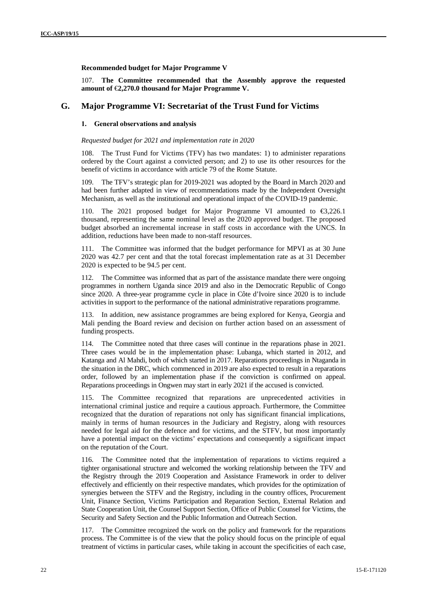#### **Recommended budget for Major Programme V**

107. **The Committee recommended that the Assembly approve the requested amount of** €**2,270.0 thousand for Major Programme V.**

#### **G. Major Programme VI: Secretariat of the Trust Fund for Victims**

#### **1. General observations and analysis**

#### *Requested budget for 2021 and implementation rate in 2020*

108. The Trust Fund for Victims (TFV) has two mandates: 1) to administer reparations ordered by the Court against a convicted person; and 2) to use its other resources for the benefit of victims in accordance with article 79 of the Rome Statute.

109. The TFV's strategic plan for 2019-2021 was adopted by the Board in March 2020 and had been further adapted in view of recommendations made by the Independent Oversight Mechanism, as well as the institutional and operational impact of the COVID-19 pandemic.

The 2021 proposed budget for Major Programme VI amounted to  $\epsilon$ 3,226.1 thousand, representing the same nominal level as the 2020 approved budget. The proposed budget absorbed an incremental increase in staff costs in accordance with the UNCS. In addition, reductions have been made to non-staff resources.

111. The Committee was informed that the budget performance for MPVI as at 30 June 2020 was 42.7 per cent and that the total forecast implementation rate as at 31 December 2020 is expected to be 94.5 per cent.

112. The Committee was informed that as part of the assistance mandate there were ongoing programmes in northern Uganda since 2019 and also in the Democratic Republic of Congo since 2020. A three-year programme cycle in place in Côte d'Ivoire since 2020 is to include activities in support to the performance of the national administrative reparations programme.

113. In addition, new assistance programmes are being explored for Kenya, Georgia and Mali pending the Board review and decision on further action based on an assessment of funding prospects.

114. The Committee noted that three cases will continue in the reparations phase in 2021. Three cases would be in the implementation phase: Lubanga, which started in 2012, and Katanga and Al Mahdi, both of which started in 2017. Reparations proceedings in Ntaganda in the situation in the DRC, which commenced in 2019 are also expected to result in a reparations order, followed by an implementation phase if the conviction is confirmed on appeal. Reparations proceedings in Ongwen may start in early 2021 if the accused is convicted.

115. The Committee recognized that reparations are unprecedented activities in international criminal justice and require a cautious approach. Furthermore, the Committee recognized that the duration of reparations not only has significant financial implications, mainly in terms of human resources in the Judiciary and Registry, along with resources needed for legal aid for the defence and for victims, and the STFV, but most importantly have a potential impact on the victims' expectations and consequently a significant impact on the reputation of the Court.

116. The Committee noted that the implementation of reparations to victims required a tighter organisational structure and welcomed the working relationship between the TFV and the Registry through the 2019 Cooperation and Assistance Framework in order to deliver effectively and efficiently on their respective mandates, which provides for the optimization of synergies between the STFV and the Registry, including in the country offices, Procurement Unit, Finance Section, Victims Participation and Reparation Section, External Relation and State Cooperation Unit, the Counsel Support Section, Office of Public Counsel for Victims, the Security and Safety Section and the Public Information and Outreach Section.

117. The Committee recognized the work on the policy and framework for the reparations process. The Committee is of the view that the policy should focus on the principle of equal treatment of victims in particular cases, while taking in account the specificities of each case,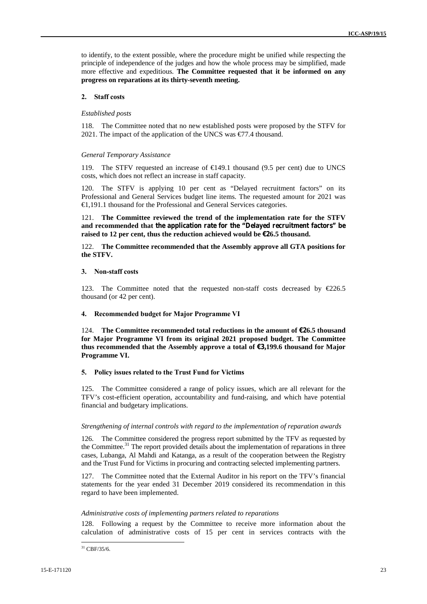to identify, to the extent possible, where the procedure might be unified while respecting the principle of independence of the judges and how the whole process may be simplified, made more effective and expeditious. **The Committee requested that it be informed on any progress on reparations at its thirty-seventh meeting.**

#### **2. Staff costs**

#### *Established posts*

118. The Committee noted that no new established posts were proposed by the STFV for 2021. The impact of the application of the UNCS was  $\epsilon$ 7.4 thousand.

#### *General Temporary Assistance*

119. The STFV requested an increase of €149.1 thousand (9.5 per cent) due to UNCS costs, which does not reflect an increase in staff capacity.

120. The STFV is applying 10 per cent as "Delayed recruitment factors" on its Professional and General Services budget line items. The requested amount for 2021 was €1,191.1 thousand for the Professional and General Services categories.

121. **The Committee reviewed the trend of the implementation rate for the STFV and recommended that the application rate for the "Delayed recruitment factors" be raised to 12 per cent, thus the reduction achieved would be €26.5 thousand.**

122. **The Committee recommended that the Assembly approve all GTA positions for the STFV.**

#### **3. Non-staff costs**

123. The Committee noted that the requested non-staff costs decreased by €226.5 thousand (or 42 per cent).

#### **4. Recommended budget for Major Programme VI**

124. **The Committee recommended total reductions in the amount of €26.5 thousand for Major Programme VI from its original 2021 proposed budget. The Committee thus recommended that the Assembly approve a total of €3,199.6 thousand for Major Programme VI.**

#### **5. Policy issues related to the Trust Fund for Victims**

125. The Committee considered a range of policy issues, which are all relevant for the TFV's cost-efficient operation, accountability and fund-raising, and which have potential financial and budgetary implications.

#### *Strengthening of internal controls with regard to the implementation of reparation awards*

126. The Committee considered the progress report submitted by the TFV as requested by the Committee.<sup>31</sup> The report provided details about the implementation of reparations in three cases, Lubanga, Al Mahdi and Katanga, as a result of the cooperation between the Registry and the Trust Fund for Victims in procuring and contracting selected implementing partners.

127. The Committee noted that the External Auditor in his report on the TFV's financial statements for the year ended 31 December 2019 considered its recommendation in this regard to have been implemented.

#### *Administrative costs of implementing partners related to reparations*

128. Following a request by the Committee to receive more information about the calculation of administrative costs of 15 per cent in services contracts with the

 $31$  CBF/35/6.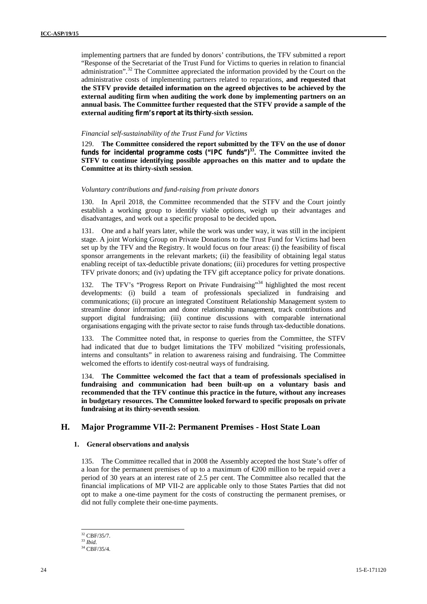implementing partners that are funded by donors' contributions, the TFV submitted a report "Response of the Secretariat of the Trust Fund for Victims to queries in relation to financial administration".<sup>32</sup> The Committee appreciated the information provided by the Court on the administrative costs of implementing partners related to reparations, **and requested that the STFV provide detailed information on the agreed objectives to be achieved by the external auditing firm when auditing the work done by implementing partners on an annual basis. The Committee further requested that the STFV provide a sample of the external auditing firm's report at its thirty-sixth session.**

#### *Financial self-sustainability of the Trust Fund for Victims*

129. **The Committee considered the report submitted by the TFV on the use of donor funds for incidental programme costs ("IPC funds")<sup>33</sup> . The Committee invited the STFV to continue identifying possible approaches on this matter and to update the Committee at its thirty-sixth session**.

#### *Voluntary contributions and fund-raising from private donors*

130. In April 2018, the Committee recommended that the STFV and the Court jointly establish a working group to identify viable options, weigh up their advantages and disadvantages, and work out a specific proposal to be decided upon**.**

131. One and a half years later, while the work was under way, it was still in the incipient stage. A joint Working Group on Private Donations to the Trust Fund for Victims had been set up by the TFV and the Registry. It would focus on four areas: (i) the feasibility of fiscal sponsor arrangements in the relevant markets; (ii) the feasibility of obtaining legal status enabling receipt of tax-deductible private donations; (iii) procedures for vetting prospective TFV private donors; and (iv) updating the TFV gift acceptance policy for private donations.

132. The TFV's "Progress Report on Private Fundraising"<sup>34</sup> highlighted the most recent developments: (i) build a team of professionals specialized in fundraising and communications; (ii) procure an integrated Constituent Relationship Management system to streamline donor information and donor relationship management, track contributions and support digital fundraising; (iii) continue discussions with comparable international organisations engaging with the private sector to raise funds through tax-deductible donations.

133. The Committee noted that, in response to queries from the Committee, the STFV had indicated that due to budget limitations the TFV mobilized "visiting professionals, interns and consultants" in relation to awareness raising and fundraising. The Committee welcomed the efforts to identify cost-neutral ways of fundraising.

134. **The Committee welcomed the fact that a team of professionals specialised in fundraising and communication had been built-up on a voluntary basis and recommended that the TFV continue this practice in the future, without any increases in budgetary resources. The Committee looked forward to specific proposals on private fundraising at its thirty-seventh session**.

### **H. Major Programme VII-2: Permanent Premises - Host State Loan**

#### **1. General observations and analysis**

135. The Committee recalled that in 2008 the Assembly accepted the host State's offer of a loan for the permanent premises of up to a maximum of  $\epsilon$ 200 million to be repaid over a period of 30 years at an interest rate of 2.5 per cent. The Committee also recalled that the financial implications of MP VII-2 are applicable only to those States Parties that did not opt to make a one-time payment for the costs of constructing the permanent premises, or did not fully complete their one-time payments.

<sup>32</sup> CBF/35/7. <sup>33</sup> *Ibid.*

<sup>34</sup> CBF/35/4.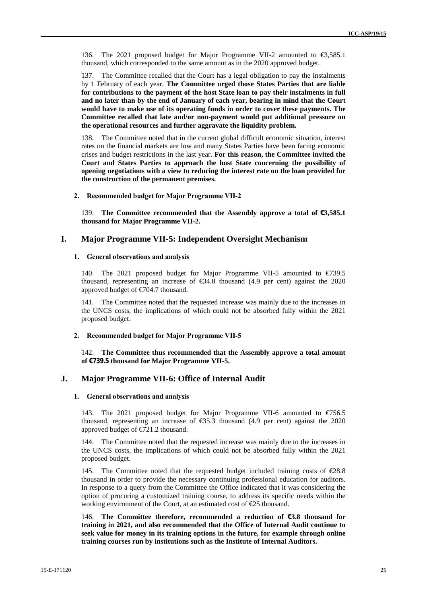136. The 2021 proposed budget for Major Programme VII-2 amounted to €3,585.1 thousand, which corresponded to the same amount as in the 2020 approved budget.

137. The Committee recalled that the Court has a legal obligation to pay the instalments by 1 February of each year. **The Committee urged those States Parties that are liable for contributions to the payment of the host State loan to pay their instalments in full and no later than by the end of January of each year, bearing in mind that the Court would have to make use of its operating funds in order to cover these payments. The Committee recalled that late and/or non-payment would put additional pressure on the operational resources and further aggravate the liquidity problem.**

138. The Committee noted that in the current global difficult economic situation, interest rates on the financial markets are low and many States Parties have been facing economic crises and budget restrictions in the last year. **For this reason, the Committee invited the Court and States Parties to approach the host State concerning the possibility of opening negotiations with a view to reducing the interest rate on the loan provided for the construction of the permanent premises.**

#### **2. Recommended budget for Major Programme VII-2**

139. **The Committee recommended that the Assembly approve a total of €3,585.1 thousand for Major Programme VII-2.**

#### **I. Major Programme VII-5: Independent Oversight Mechanism**

#### **1. General observations and analysis**

140. The 2021 proposed budget for Major Programme VII-5 amounted to €739.5 thousand, representing an increase of  $\epsilon$ 34.8 thousand (4.9 per cent) against the 2020 approved budget of €704.7 thousand.

141. The Committee noted that the requested increase was mainly due to the increases in the UNCS costs, the implications of which could not be absorbed fully within the 2021 proposed budget.

#### **2. Recommended budget for Major Programme VII-5**

142. **The Committee thus recommended that the Assembly approve a total amount of €739.5 thousand for Major Programme VII-5.**

#### **J. Major Programme VII-6: Office of Internal Audit**

#### **1. General observations and analysis**

143. The 2021 proposed budget for Major Programme VII-6 amounted to  $\epsilon$ 756.5 thousand, representing an increase of  $\epsilon$ 35.3 thousand (4.9 per cent) against the 2020 approved budget of €721.2 thousand.

144. The Committee noted that the requested increase was mainly due to the increases in the UNCS costs, the implications of which could not be absorbed fully within the 2021 proposed budget.

145. The Committee noted that the requested budget included training costs of  $\epsilon$ 28.8 thousand in order to provide the necessary continuing professional education for auditors. In response to a query from the Committee the Office indicated that it was considering the option of procuring a customized training course, to address its specific needs within the working environment of the Court, at an estimated cost of €25 thousand.

146. **The Committee therefore, recommended a reduction of €3.8 thousand for training in 2021, and also recommended that the Office of Internal Audit continue to seek value for money in its training options in the future, for example through online training courses run by institutions such as the Institute of Internal Auditors.**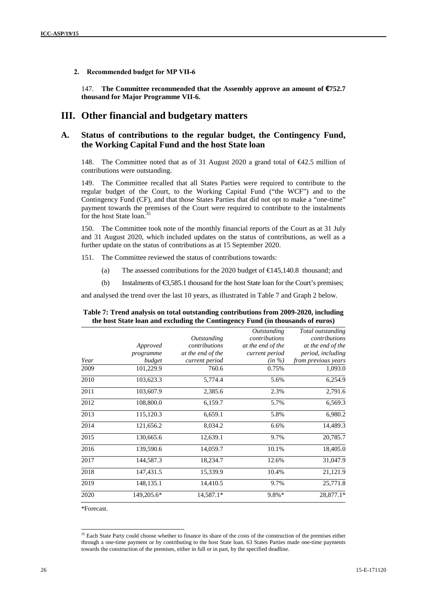**2. Recommended budget for MP VII-6**

147. **The Committee recommended that the Assembly approve an amount of €752.7 thousand for Major Programme VII-6.**

### **III. Other financial and budgetary matters**

### **A. Status of contributions to the regular budget, the Contingency Fund, the Working Capital Fund and the host State loan**

148. The Committee noted that as of 31 August 2020 a grand total of €42.5 million of contributions were outstanding.

149. The Committee recalled that all States Parties were required to contribute to the regular budget of the Court, to the Working Capital Fund ("the WCF") and to the Contingency Fund (CF), and that those States Parties that did not opt to make a "one-time" payment towards the premises of the Court were required to contribute to the instalments for the host State loan.<sup>35</sup>

150. The Committee took note of the monthly financial reports of the Court as at 31 July and 31 August 2020, which included updates on the status of contributions, as well as a further update on the status of contributions as at 15 September 2020.

151. The Committee reviewed the status of contributions towards:

- (a) The assessed contributions for the 2020 budget of  $\text{€}145,140.8$  thousand; and
- (b) Instalments of  $\epsilon$ 3,585.1 thousand for the host State loan for the Court's premises;

and analysed the trend over the last 10 years, as illustrated in Table 7 and Graph 2 below.

|      |            | Outstanding       | <i><b>Outstanding</b></i><br>contributions | Total outstanding<br>contributions |
|------|------------|-------------------|--------------------------------------------|------------------------------------|
|      | Approved   | contributions     | at the end of the                          | at the end of the                  |
|      | programme  | at the end of the | current period                             | period, including                  |
| Year | budget     | current period    | $(in \%)$                                  | from previous years                |
| 2009 | 101,229.9  | 760.6             | 0.75%                                      | 1,093.0                            |
| 2010 | 103,623.3  | 5,774.4           | 5.6%                                       | 6,254.9                            |
| 2011 | 103,607.9  | 2,385.6           | 2.3%                                       | 2,791.6                            |
| 2012 | 108,800.0  | 6,159.7           | 5.7%                                       | 6,569.3                            |
| 2013 | 115,120.3  | 6,659.1           | 5.8%                                       | 6,980.2                            |
| 2014 | 121,656.2  | 8,034.2           | 6.6%                                       | 14,489.3                           |
| 2015 | 130,665.6  | 12,639.1          | 9.7%                                       | 20,785.7                           |
| 2016 | 139,590.6  | 14,059.7          | 10.1%                                      | 18,405.0                           |
| 2017 | 144,587.3  | 18,234.7          | 12.6%                                      | 31,047.9                           |
| 2018 | 147,431.5  | 15,339.9          | 10.4%                                      | 21,121.9                           |
| 2019 | 148,135.1  | 14,410.5          | 9.7%                                       | 25,771.8                           |
| 2020 | 149,205.6* | 14,587.1*         | 9.8%*                                      | 28,877.1*                          |

| Table 7: Trend analysis on total outstanding contributions from 2009-2020, including |  |
|--------------------------------------------------------------------------------------|--|
| the host State loan and excluding the Contingency Fund (in thousands of euros)       |  |

\*Forecast.

<sup>&</sup>lt;sup>35</sup> Each State Party could choose whether to finance its share of the costs of the construction of the premises either through a one-time payment or by contributing to the host State loan. 63 States Parties made one-time payments towards the construction of the premises, either in full or in part, by the specified deadline.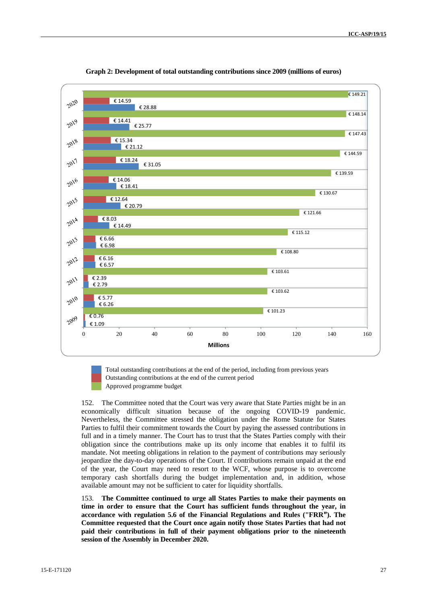

**Graph 2: Development of total outstanding contributions since 2009 (millions of euros)**

Total outstanding contributions at the end of the period, including from previous years Outstanding contributions at the end of the current period Approved programme budget

152. The Committee noted that the Court was very aware that State Parties might be in an economically difficult situation because of the ongoing COVID-19 pandemic. Nevertheless, the Committee stressed the obligation under the Rome Statute for States Parties to fulfil their commitment towards the Court by paying the assessed contributions in full and in a timely manner. The Court has to trust that the States Parties comply with their obligation since the contributions make up its only income that enables it to fulfil its mandate. Not meeting obligations in relation to the payment of contributions may seriously jeopardize the day-to-day operations of the Court. If contributions remain unpaid at the end of the year, the Court may need to resort to the WCF, whose purpose is to overcome temporary cash shortfalls during the budget implementation and, in addition, whose available amount may not be sufficient to cater for liquidity shortfalls.

153. **The Committee continued to urge all States Parties to make their payments on time in order to ensure that the Court has sufficient funds throughout the year, in accordance with regulation 5.6 of the Financial Regulations and Rules ("FRR"). The Committee requested that the Court once again notify those States Parties that had not paid their contributions in full of their payment obligations prior to the nineteenth session of the Assembly in December 2020.**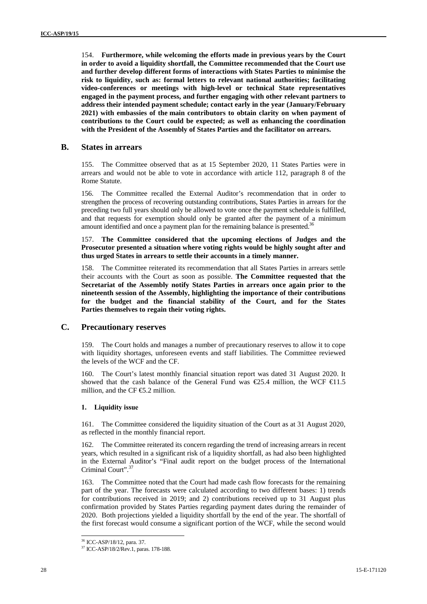154. **Furthermore, while welcoming the efforts made in previous years by the Court in order to avoid a liquidity shortfall, the Committee recommended that the Court use and further develop different forms of interactions with States Parties to minimise the risk to liquidity, such as: formal letters to relevant national authorities; facilitating video-conferences or meetings with high-level or technical State representatives engaged in the payment process, and further engaging with other relevant partners to address their intended payment schedule; contact early in the year (January/February 2021) with embassies of the main contributors to obtain clarity on when payment of contributions to the Court could be expected; as well as enhancing the coordination with the President of the Assembly of States Parties and the facilitator on arrears.**

#### **B. States in arrears**

155. The Committee observed that as at 15 September 2020, 11 States Parties were in arrears and would not be able to vote in accordance with article 112, paragraph 8 of the Rome Statute.

156. The Committee recalled the External Auditor's recommendation that in order to strengthen the process of recovering outstanding contributions, States Parties in arrears for the preceding two full years should only be allowed to vote once the payment schedule is fulfilled, and that requests for exemption should only be granted after the payment of a minimum amount identified and once a payment plan for the remaining balance is presented.<sup>36</sup>

157. **The Committee considered that the upcoming elections of Judges and the Prosecutor presented a situation where voting rights would be highly sought after and thus urged States in arrears to settle their accounts in a timely manner.**

158. The Committee reiterated its recommendation that all States Parties in arrears settle their accounts with the Court as soon as possible. **The Committee requested that the Secretariat of the Assembly notify States Parties in arrears once again prior to the nineteenth session of the Assembly, highlighting the importance of their contributions for the budget and the financial stability of the Court, and for the States Parties themselves to regain their voting rights.**

### **C. Precautionary reserves**

159. The Court holds and manages a number of precautionary reserves to allow it to cope with liquidity shortages, unforeseen events and staff liabilities. The Committee reviewed the levels of the WCF and the CF.

160. The Court's latest monthly financial situation report was dated 31 August 2020. It showed that the cash balance of the General Fund was  $\epsilon$ 25.4 million, the WCF  $\epsilon$ 1.5 million, and the CF  $\text{E.2}$  million.

#### **1. Liquidity issue**

161. The Committee considered the liquidity situation of the Court as at 31 August 2020, as reflected in the monthly financial report.

162. The Committee reiterated its concern regarding the trend of increasing arrears in recent years, which resulted in a significant risk of a liquidity shortfall, as had also been highlighted in the External Auditor's "Final audit report on the budget process of the International Criminal Court".<sup>37</sup>

163. The Committee noted that the Court had made cash flow forecasts for the remaining part of the year. The forecasts were calculated according to two different bases: 1) trends for contributions received in 2019; and 2) contributions received up to 31 August plus confirmation provided by States Parties regarding payment dates during the remainder of 2020. Both projections yielded a liquidity shortfall by the end of the year. The shortfall of the first forecast would consume a significant portion of the WCF, while the second would

<sup>36</sup> ICC-ASP/18/12, para. 37.

<sup>37</sup> ICC-ASP/18/2/Rev.1, paras. 178-188.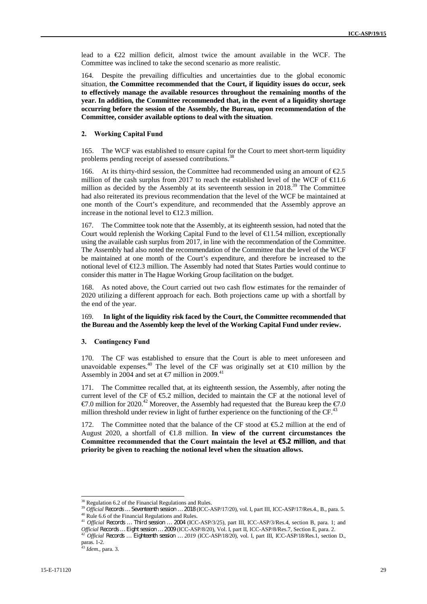lead to a €22 million deficit, almost twice the amount available in the WCF. The Committee was inclined to take the second scenario as more realistic.

164. Despite the prevailing difficulties and uncertainties due to the global economic situation, **the Committee recommended that the Court, if liquidity issues do occur, seek to effectively manage the available resources throughout the remaining months of the year. In addition, the Committee recommended that,in the event of a liquidity shortage occurring before the session of the Assembly, the Bureau, upon recommendation of the Committee, consider available options to deal with the situation**.

#### **2. Working Capital Fund**

165. The WCF was established to ensure capital for the Court to meet short-term liquidity problems pending receipt of assessed contributions.<sup>38</sup>

166. At its thirty-third session, the Committee had recommended using an amount of  $\epsilon$ .5 million of the cash surplus from 2017 to reach the established level of the WCF of  $\text{€1.6}$ million as decided by the Assembly at its seventeenth session in 2018.<sup>39</sup> The Committee had also reiterated its previous recommendation that the level of the WCF be maintained at one month of the Court's expenditure, and recommended that the Assembly approve an increase in the notional level to  $\in$  2.3 million.

167. The Committee took note that the Assembly, at its eighteenth session, had noted that the Court would replenish the Working Capital Fund to the level of  $\bigoplus$  1.54 million, exceptionally using the available cash surplus from 2017, in line with the recommendation of the Committee. The Assembly had also noted the recommendation of the Committee that the level of the WCF be maintained at one month of the Court's expenditure, and therefore be increased to the notional level of €12.3 million. The Assembly had noted that States Parties would continue to consider this matter in The Hague Working Group facilitation on the budget.

168. As noted above, the Court carried out two cash flow estimates for the remainder of 2020 utilizing a different approach for each. Both projections came up with a shortfall by the end of the year.

#### 169. **In light of the liquidity risk faced by the Court, the Committee recommended that the Bureau and the Assembly keep the level of the Working Capital Fund under review.**

#### **3. Contingency Fund**

170. The CF was established to ensure that the Court is able to meet unforeseen and unavoidable expenses.<sup>40</sup> The level of the CF was originally set at  $\in$ 10 million by the Assembly in 2004 and set at  $\text{\textsterling}7$  million in 2009.<sup>41</sup>

171. The Committee recalled that, at its eighteenth session, the Assembly, after noting the current level of the CF of €5.2 million, decided to maintain the CF at the notional level of €7.0 million for 2020.<sup>42</sup> Moreover, the Assembly had requested that the Bureau keep the €7.0 million threshold under review in light of further experience on the functioning of the CF.<sup>43</sup>

172. The Committee noted that the balance of the CF stood at €5.2 million at the end of August 2020, a shortfall of €1.8 million. **In view of the current circumstances the Committee recommended that the Court maintain the level at €5.2 million, and that priority be given to reaching the notional level when the situation allows.**

<sup>&</sup>lt;sup>38</sup> Regulation 6.2 of the Financial Regulations and Rules.<br><sup>39</sup> Official Records ... Seventeenth session ... 2018 (ICC-ASP/17/20), vol. I, part III, ICC-ASP/17/Res.4., B., para. 5. <sup>40</sup> Rule 6.6 of the Financial Regulations and Rules.<br><sup>41</sup> Official Records ... Third session ... 2004 (ICC-ASP/3/25), part III, ICC-ASP/3/Res.4, section B, para. 1; and

Official Records ... Eight session ... 2009 (ICC-ASP/8/20), Vol. I, part II, ICC-ASP/8/Res.7, Section E, para. 2.<br><sup>42</sup> Official Records ... Eighteenth session ... 2019 (ICC-ASP/18/20), vol. I, part III, ICC-ASP/18/Res.1, s

paras. 1-2.

<sup>43</sup> *Idem.,* para. 3.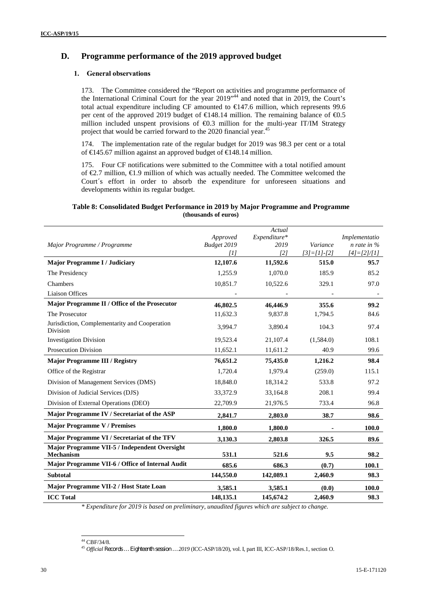## **D. Programme performance of the 2019 approved budget**

#### **1. General observations**

173. The Committee considered the "Report on activities and programme performance of the International Criminal Court for the year 2019" <sup>44</sup> and noted that in 2019, the Court's total actual expenditure including CF amounted to  $\in$ 147.6 million, which represents 99.6 per cent of the approved 2019 budget of  $\in$  48.14 million. The remaining balance of  $\in$ 0.5 million included unspent provisions of €0.3 million for the multi-year IT/IM Strategy project that would be carried forward to the 2020 financial year.<sup>45</sup>

174. The implementation rate of the regular budget for 2019 was 98.3 per cent or a total of €145.67 million against an approved budget of €148.14 million.

175. Four CF notifications were submitted to the Committee with a total notified amount of  $\epsilon$ , 7 million,  $\epsilon$ , 1.9 million of which was actually needed. The Committee welcomed the Court´s effort in order to absorb the expenditure for unforeseen situations and developments within its regular budget.

#### **Table 8: Consolidated Budget Performance in 2019 by Major Programme and Programme (thousands of euros)**

|                                                            | Approved    | Actual<br>Expenditure* |               | Implementatio   |
|------------------------------------------------------------|-------------|------------------------|---------------|-----------------|
| Major Programme / Programme                                | Budget 2019 | 2019                   | Variance      | $n$ rate in $%$ |
|                                                            | [1]         | [2]                    | $[3]=[1]-[2]$ | $[4]=[2]/[1]$   |
| <b>Major Programme I / Judiciary</b>                       | 12,107.6    | 11,592.6               | 515.0         | 95.7            |
| The Presidency                                             | 1,255.9     | 1,070.0                | 185.9         | 85.2            |
| Chambers                                                   | 10,851.7    | 10,522.6               | 329.1         | 97.0            |
| <b>Liaison Offices</b>                                     |             |                        |               |                 |
| Major Programme II / Office of the Prosecutor              | 46,802.5    | 46,446.9               | 355.6         | 99.2            |
| The Prosecutor                                             | 11,632.3    | 9,837.8                | 1,794.5       | 84.6            |
| Jurisdiction, Complementarity and Cooperation<br>Division  | 3,994.7     | 3,890.4                | 104.3         | 97.4            |
| <b>Investigation Division</b>                              | 19,523.4    | 21,107.4               | (1,584.0)     | 108.1           |
| <b>Prosecution Division</b>                                | 11,652.1    | 11,611.2               | 40.9          | 99.6            |
| <b>Major Programme III / Registry</b>                      | 76,651.2    | 75,435.0               | 1,216.2       | 98.4            |
| Office of the Registrar                                    | 1,720.4     | 1,979.4                | (259.0)       | 115.1           |
| Division of Management Services (DMS)                      | 18,848.0    | 18,314.2               | 533.8         | 97.2            |
| Division of Judicial Services (DJS)                        | 33,372.9    | 33,164.8               | 208.1         | 99.4            |
| Division of External Operations (DEO)                      | 22,709.9    | 21,976.5               | 733.4         | 96.8            |
| Major Programme IV / Secretariat of the ASP                | 2,841.7     | 2,803.0                | 38.7          | 98.6            |
| <b>Major Programme V / Premises</b>                        | 1,800.0     | 1,800.0                |               | 100.0           |
| Major Programme VI / Secretariat of the TFV                | 3,130.3     | 2,803.8                | 326.5         | 89.6            |
| Major Programme VII-5 / Independent Oversight<br>Mechanism | 531.1       | 521.6                  | 9.5           | 98.2            |
| Major Programme VII-6 / Office of Internal Audit           | 685.6       | 686.3                  | (0.7)         | 100.1           |
| <b>Subtotal</b>                                            | 144,550.0   | 142,089.1              | 2,460.9       | 98.3            |
| Major Programme VII-2 / Host State Loan                    | 3,585.1     | 3,585.1                | (0.0)         | 100.0           |
| <b>ICC Total</b>                                           | 148,135.1   | 145,674.2              | 2,460.9       | 98.3            |

*\* Expenditure for 2019 is based on preliminary, unaudited figures which are subject to change.*

<sup>44</sup> CBF/34/8.

<sup>45</sup> *Official Records … Eighteenth session … 2019* (ICC-ASP/18/20), vol. I, part III, ICC-ASP/18/Res.1, section O.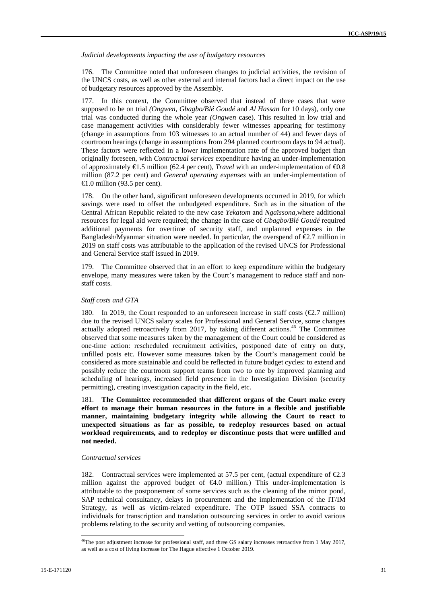*Judicial developments impacting the use of budgetary resources*

176. The Committee noted that unforeseen changes to judicial activities, the revision of the UNCS costs, as well as other external and internal factors had a direct impact on the use of budgetary resources approved by the Assembly.

177. In this context, the Committee observed that instead of three cases that were supposed to be on trial *(Ongwen, Gbagbo/Blé Goudé* and *Al Hassan* for 10 days), only one trial was conducted during the whole year *(Ongwen* case). This resulted in low trial and case management activities with considerably fewer witnesses appearing for testimony (change in assumptions from 103 witnesses to an actual number of 44) and fewer days of courtroom hearings (change in assumptions from 294 planned courtroom days to 94 actual). These factors were reflected in a lower implementation rate of the approved budget than originally foreseen, with *Contractual services* expenditure having an under-implementation of approximately  $\in$ 1.5 million (62.4 per cent), *Travel* with an under-implementation of  $\in$ 0.8 million (87.2 per cent) and *General operating expenses* with an under-implementation of  $\triangleleft$  .0 million (93.5 per cent).

178. On the other hand, significant unforeseen developments occurred in 2019, for which savings were used to offset the unbudgeted expenditure. Such as in the situation of the Central African Republic related to the new case *Yekatom* and *Ngaïssona,*where additional resources for legal aid were required; the change in the case of *Gbagbo/Blé Goudé* required additional payments for overtime of security staff, and unplanned expenses in the Bangladesh/Myanmar situation were needed. In particular, the overspend of  $\epsilon$ 2.7 million in 2019 on staff costs was attributable to the application of the revised UNCS for Professional and General Service staff issued in 2019.

179. The Committee observed that in an effort to keep expenditure within the budgetary envelope, many measures were taken by the Court's management to reduce staff and non staff costs.

#### *Staff costs and GTA*

180. In 2019, the Court responded to an unforeseen increase in staff costs ( $\epsilon$ 2.7 million) due to the revised UNCS salary scales for Professional and General Service, some changes actually adopted retroactively from 2017, by taking different actions.<sup>46</sup> The Committee observed that some measures taken by the management of the Court could be considered as one-time action: rescheduled recruitment activities, postponed date of entry on duty, unfilled posts etc. However some measures taken by the Court's management could be considered as more sustainable and could be reflected in future budget cycles: to extend and possibly reduce the courtroom support teams from two to one by improved planning and scheduling of hearings, increased field presence in the Investigation Division (security permitting), creating investigation capacity in the field, etc.

181. **The Committee recommended that different organs of the Court make every effort to manage their human resources in the future in a flexible and justifiable manner, maintaining budgetary integrity while allowing the Court to react to unexpected situations as far as possible, to redeploy resources based on actual workload requirements, and to redeploy or discontinue posts that were unfilled and not needed.**

#### *Contractual services*

182. Contractual services were implemented at 57.5 per cent, (actual expenditure of €2.3 million against the approved budget of  $\bigoplus$ . million.) This under-implementation is attributable to the postponement of some services such as the cleaning of the mirror pond, SAP technical consultancy, delays in procurement and the implementation of the IT/IM Strategy, as well as victim-related expenditure. The OTP issued SSA contracts to individuals for transcription and translation outsourcing services in order to avoid various problems relating to the security and vetting of outsourcing companies.

<sup>&</sup>lt;sup>46</sup>The post adjustment increase for professional staff, and three GS salary increases retroactive from 1 May 2017, as well as a cost of living increase for The Hague effective 1 October 2019.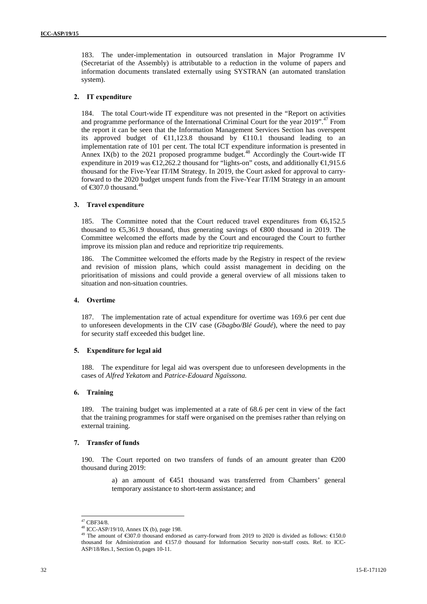183. The under-implementation in outsourced translation in Major Programme IV (Secretariat of the Assembly) is attributable to a reduction in the volume of papers and information documents translated externally using SYSTRAN (an automated translation system).

#### **2. IT expenditure**

184. The total Court-wide IT expenditure was not presented in the "Report on activities and programme performance of the International Criminal Court for the year 2019".<sup>47</sup> From the report it can be seen that the Information Management Services Section has overspent its approved budget of  $\bigoplus$ 1,123.8 thousand by  $\bigoplus$ 10.1 thousand leading to an implementation rate of 101 per cent. The total ICT expenditure information is presented in Annex IX(b) to the 2021 proposed programme budget.<sup>48</sup> Accordingly the Court-wide IT expenditure in 2019 was €12,262.2 thousand for "lights-on" costs, and additionally €1,915.6 thousand for the Five-Year IT/IM Strategy. In 2019, the Court asked for approval to carryforward to the 2020 budget unspent funds from the Five-Year IT/IM Strategy in an amount of  $\text{\textsterling}307.0$  thousand.<sup>49</sup>

#### **3. Travel expenditure**

185. The Committee noted that the Court reduced travel expenditures from €6,152.5 thousand to  $\epsilon$ ,361.9 thousand, thus generating savings of  $\epsilon$ 800 thousand in 2019. The Committee welcomed the efforts made by the Court and encouraged the Court to further improve its mission plan and reduce and reprioritize trip requirements.

186. The Committee welcomed the efforts made by the Registry in respect of the review and revision of mission plans, which could assist management in deciding on the prioritisation of missions and could provide a general overview of all missions taken to situation and non-situation countries.

#### **4. Overtime**

187. The implementation rate of actual expenditure for overtime was 169.6 per cent due to unforeseen developments in the CIV case (*Gbagbo/Blé Goudé*), where the need to pay for security staff exceeded this budget line.

#### **5. Expenditure for legal aid**

188. The expenditure for legal aid was overspent due to unforeseen developments in the cases of *Alfred Yekatom* and *Patrice-Edouard Ngaïssona.*

#### **6. Training**

189. The training budget was implemented at a rate of 68.6 per cent in view of the fact that the training programmes for staff were organised on the premises rather than relying on external training.

#### **7. Transfer of funds**

190. The Court reported on two transfers of funds of an amount greater than €200 thousand during 2019:

> a) an amount of €451 thousand was transferred from Chambers' general temporary assistance to short-term assistance; and

<sup>47</sup> CBF34/8.

<sup>48</sup> ICC-ASP/19/10, Annex IX (b), page 198.

The amount of  $\text{\textsterling}307.0$  thousand endorsed as carry-forward from 2019 to 2020 is divided as follows:  $\text{\textsterling}150.0$ thousand for Administration and €157.0 thousand for Information Security non-staff costs. Ref. to ICC- ASP/18/Res.1, Section O, pages 10-11.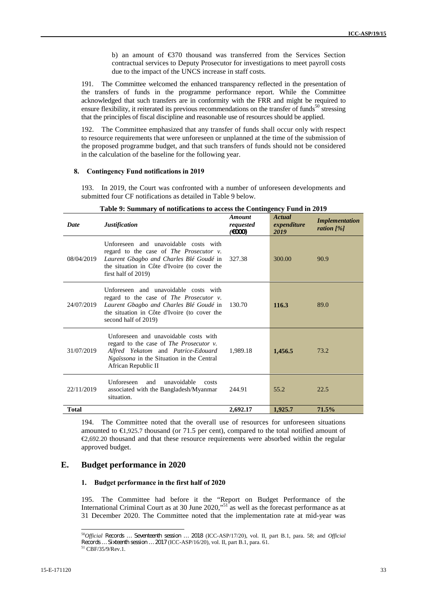b) an amount of €370 thousand was transferred from the Services Section contractual services to Deputy Prosecutor for investigations to meet payroll costs due to the impact of the UNCS increase in staff costs.

191. The Committee welcomed the enhanced transparency reflected in the presentation of the transfers of funds in the programme performance report. While the Committee acknowledged that such transfers are in conformity with the FRR and might be required to ensure flexibility, it reiterated its previous recommendations on the transfer of funds<sup>50</sup> stressing that the principles of fiscal discipline and reasonable use of resources should be applied.

192. The Committee emphasized that any transfer of funds shall occur only with respect to resource requirements that were unforeseen or unplanned at the time of the submission of the proposed programme budget, and that such transfers of funds should not be considered in the calculation of the baseline for the following year.

#### **8. Contingency Fund notifications in 2019**

193. In 2019, the Court was confronted with a number of unforeseen developments and submitted four CF notifications as detailed in Table 9 below.

| Date         | <b>Justification</b>                                                                                                                                                                                        | Amount<br>requested<br>$(\epsilon 000)$ | Actual<br>expenditure<br>2019 | <b>Implementation</b><br>ration $[%]$ |
|--------------|-------------------------------------------------------------------------------------------------------------------------------------------------------------------------------------------------------------|-----------------------------------------|-------------------------------|---------------------------------------|
| 08/04/2019   | Unforeseen and unavoidable costs with<br>regard to the case of <i>The Prosecutor v</i> .<br>Laurent Gbagbo and Charles Blé Goudé in<br>the situation in Côte d'Ivoire (to cover the<br>first half of 2019)  | 327.38                                  | 300.00                        | 90.9                                  |
| 24/07/2019   | Unforeseen and unavoidable costs with<br>regard to the case of <i>The Prosecutor v</i> .<br>Laurent Gbagbo and Charles Blé Goudé in<br>the situation in Côte d'Ivoire (to cover the<br>second half of 2019) | 130.70                                  | 116.3                         | 89.0                                  |
| 31/07/2019   | Unforeseen and unavoidable costs with<br>regard to the case of <i>The Prosecutor v</i> .<br>Alfred Yekatom and Patrice-Edouard<br>Ngaïssona in the Situation in the Central<br>African Republic II          | 1,989.18                                | 1,456.5                       | 73.2                                  |
| 22/11/2019   | <b>Unforeseen</b><br>and<br>unavoidable<br>costs<br>associated with the Bangladesh/Myanmar<br>situation.                                                                                                    | 244.91                                  | 55.2                          | 22.5                                  |
| <b>Total</b> |                                                                                                                                                                                                             | 2,692.17                                | 1,925.7                       | 71.5%                                 |

**Table 9: Summary of notifications to access the Contingency Fund in 2019**

194. The Committee noted that the overall use of resources for unforeseen situations amounted to  $\bigoplus$ , 925.7 thousand (or 71.5 per cent), compared to the total notified amount of  $\epsilon$ 2,692.20 thousand and that these resource requirements were absorbed within the regular approved budget.

#### **E. Budget performance in 2020**

#### **1. Budget performance in the first half of 2020**

195. The Committee had before it the "Report on Budget Performance of the International Criminal Court as at 30 June 2020,"<sup>51</sup> as well as the forecast performance as at 31 December 2020. The Committee noted that the implementation rate at mid-year was

<sup>50</sup>*Official Records … Seventeenth session … 2018* (ICC-ASP/17/20), vol. II, part B.1, para. 58; and *Official Records … Sixteenth session … 2017* (ICC-ASP/16/20), vol. II, part B.1, para. 61. 51 CBF/35/9/Rev.1.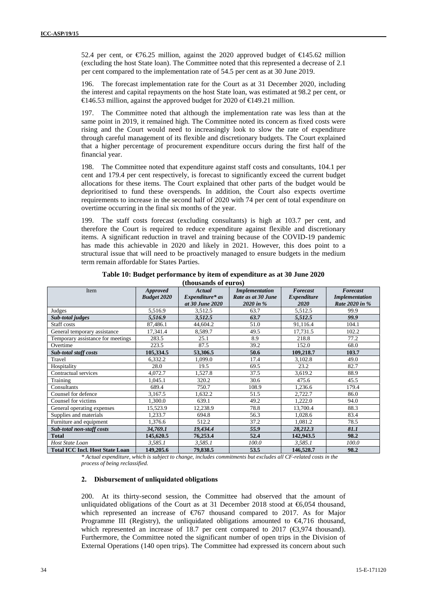52.4 per cent, or €76.25 million, against the 2020 approved budget of €145.62 million (excluding the host State loan). The Committee noted that this represented a decrease of 2.1 per cent compared to the implementation rate of 54.5 per cent as at 30 June 2019.

196. The forecast implementation rate for the Court as at 31 December 2020, including the interest and capital repayments on the host State loan, was estimated at 98.2 per cent, or  $\triangleq$ 46.53 million, against the approved budget for 2020 of  $\triangleq$ 49.21 million.

197. The Committee noted that although the implementation rate was less than at the same point in 2019, it remained high. The Committee noted its concern as fixed costs were rising and the Court would need to increasingly look to slow the rate of expenditure through careful management of its flexible and discretionary budgets. The Court explained that a higher percentage of procurement expenditure occurs during the first half of the financial year.

198. The Committee noted that expenditure against staff costs and consultants, 104.1 per cent and 179.4 per cent respectively, is forecast to significantly exceed the current budget allocations for these items. The Court explained that other parts of the budget would be deprioritised to fund these overspends. In addition, the Court also expects overtime requirements to increase in the second half of 2020 with 74 per cent of total expenditure on overtime occurring in the final six months of the year.

199. The staff costs forecast (excluding consultants) is high at 103.7 per cent, and therefore the Court is required to reduce expenditure against flexible and discretionary items. A significant reduction in travel and training because of the COVID-19 pandemic has made this achievable in 2020 and likely in 2021. However, this does point to a structural issue that will need to be proactively managed to ensure budgets in the medium term remain affordable for States Parties.

| Item                                   | <b>Approved</b>    | Actual          | <i>Implementation</i> | Forecast           | Forecast              |
|----------------------------------------|--------------------|-----------------|-----------------------|--------------------|-----------------------|
|                                        | <b>Budget 2020</b> | Expenditure* as | Rate as at 30 June    | <i>Expenditure</i> | <b>Implementation</b> |
|                                        |                    | at 30 June 2020 | 2020 in %             | <b>2020</b>        | Rate 2020 in %        |
| Judges                                 | 5,516.9            | 3,512.5         | 63.7                  | 5,512.5            | 99.9                  |
| Sub-total judges                       | 5.516.9            | 3.512.5         | 63.7                  | 5,512.5            | 99.9                  |
| Staff costs                            | 87,486.1           | 44,604.2        | 51.0                  | 91,116.4           | 104.1                 |
| General temporary assistance           | 17,341.4           | 8,589.7         | 49.5                  | 17,731.5           | 102.2                 |
| Temporary assistance for meetings      | 283.5              | 25.1            | 8.9                   | 218.8              | 77.2                  |
| Overtime                               | 223.5              | 87.5            | 39.2                  | 152.0              | 68.0                  |
| Sub-total staff costs                  | 105,334.5          | 53,306.5        | 50.6                  | 109,218.7          | 103.7                 |
| Travel                                 | 6,332.2            | 1.099.0         | 17.4                  | 3,102.8            | 49.0                  |
| Hospitality                            | 28.0               | 19.5            | 69.5                  | 23.2               | 82.7                  |
| Contractual services                   | 4,072.7            | 1,527.8         | 37.5                  | 3,619.2            | 88.9                  |
| Training                               | 1,045.1            | 320.2           | 30.6                  | 475.6              | 45.5                  |
| Consultants                            | 689.4              | 750.7           | 108.9                 | 1,236.6            | 179.4                 |
| Counsel for defence                    | 3,167.5            | 1,632.2         | 51.5                  | 2,722.7            | 86.0                  |
| Counsel for victims                    | 1.300.0            | 639.1           | 49.2                  | 1,222.0            | 94.0                  |
| General operating expenses             | 15,523.9           | 12,238.9        | 78.8                  | 13,700.4           | 88.3                  |
| Supplies and materials                 | 1,233.7            | 694.8           | 56.3                  | 1,028.6            | 83.4                  |
| Furniture and equipment                | 1,376.6            | 512.2           | 37.2                  | 1,081.2            | 78.5                  |
| Sub-total non-staff costs              | 34,769.1           | 19,434.4        | 55.9                  | 28,212.3           | 81.1                  |
| <b>Total</b>                           | 145,620.5          | 76,253.4        | 52.4                  | 142,943.5          | 98.2                  |
| <b>Host State Loan</b>                 | 3,585.1            | 3,585.1         | 100.0                 | 3,585.1            | 100.0                 |
| <b>Total ICC Incl. Host State Loan</b> | 149,205.6          | 79,838.5        | 53.5                  | 146,528.7          | 98.2                  |

**Table 10: Budget performance by item of expenditure as at 30 June 2020 (thousands of euros)**

*\* Actual expenditure, which is subject to change, includes commitments but excludes all CF-related costs in the process of being reclassified.*

#### **2. Disbursement of unliquidated obligations**

200. At its thirty-second session, the Committee had observed that the amount of unliquidated obligations of the Court as at 31 December 2018 stood at  $\epsilon$ 6,054 thousand, which represented an increase of  $\epsilon$ 767 thousand compared to 2017. As for Major Programme III (Registry), the unliquidated obligations amounted to  $\Theta$ ,716 thousand, which represented an increase of 18.7 per cent compared to 2017 ( $\bigoplus$ , 974 thousand). Furthermore, the Committee noted the significant number of open trips in the Division of External Operations (140 open trips). The Committee had expressed its concern about such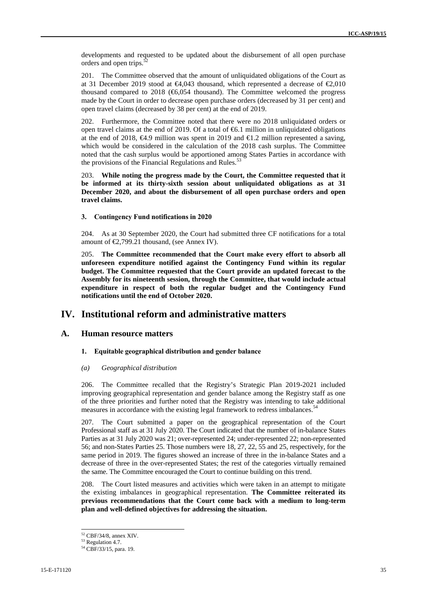developments and requested to be updated about the disbursement of all open purchase orders and open trips.<sup>3</sup>

201. The Committee observed that the amount of unliquidated obligations of the Court as at 31 December 2019 stood at  $\Theta$ 4,043 thousand, which represented a decrease of  $\Theta$ <sub>6</sub>,010 thousand compared to 2018 ( $66,054$  thousand). The Committee welcomed the progress made by the Court in order to decrease open purchase orders (decreased by 31 per cent) and open travel claims (decreased by 38 per cent) at the end of 2019.

202. Furthermore, the Committee noted that there were no 2018 unliquidated orders or open travel claims at the end of 2019. Of a total of  $66.1$  million in unliquidated obligations at the end of 2018,  $\epsilon$ 4.9 million was spent in 2019 and  $\epsilon$ 1.2 million represented a saving, which would be considered in the calculation of the 2018 cash surplus. The Committee noted that the cash surplus would be apportioned among States Parties in accordance with the provisions of the Financial Regulations and Rules.<sup>53</sup>

203. **While noting the progress made by the Court, the Committee requested that it be informed at its thirty-sixth session about unliquidated obligations as at 31 December 2020, and about the disbursement of all open purchase orders and open travel claims.**

#### **3. Contingency Fund notifications in 2020**

204. As at 30 September 2020, the Court had submitted three CF notifications for a total amount of  $\epsilon$ 2,799.21 thousand, (see Annex IV).

205. **The Committee recommended that the Court make every effort to absorb all unforeseen expenditure notified against the Contingency Fund within its regular budget. The Committee requested that the Court provide an updated forecast to the Assembly for its nineteenth session, through the Committee, that would include actual expenditure in respect of both the regular budget and the Contingency Fund notifications until the end of October 2020.**

## **IV. Institutional reform and administrative matters**

#### **A. Human resource matters**

#### **1. Equitable geographical distribution and gender balance**

#### *(a) Geographical distribution*

206. The Committee recalled that the Registry's Strategic Plan 2019-2021 included improving geographical representation and gender balance among the Registry staff as one of the three priorities and further noted that the Registry was intending to take additional measures in accordance with the existing legal framework to redress imbalances.<sup>54</sup>

207. The Court submitted a paper on the geographical representation of the Court Professional staff as at 31 July 2020. The Court indicated that the number of in-balance States Parties as at 31 July 2020 was 21; over-represented 24; under-represented 22; non-represented 56; and non-States Parties 25. Those numbers were 18, 27, 22, 55 and 25, respectively, for the same period in 2019. The figures showed an increase of three in the in-balance States and a decrease of three in the over-represented States; the rest of the categories virtually remained the same. The Committee encouraged the Court to continue building on this trend.

208. The Court listed measures and activities which were taken in an attempt to mitigate the existing imbalances in geographical representation. **The Committee reiterated its previous recommendations that the Court come back with a medium to long-term plan and well-defined objectives for addressing the situation.**

 $52$  CBF/34/8, annex XIV.<br> $53$  Regulation 4.7.

<sup>54</sup> CBF/33/15, para. 19.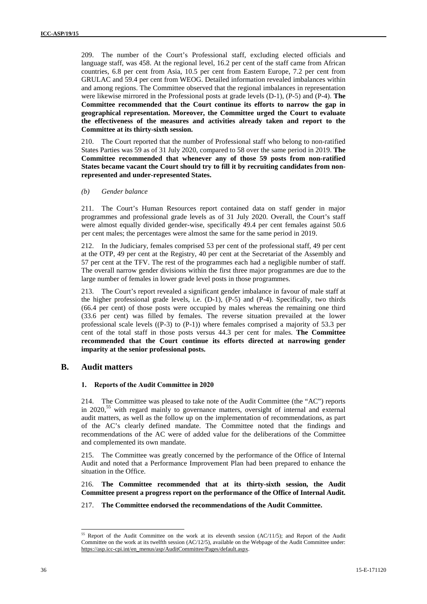209. The number of the Court's Professional staff, excluding elected officials and language staff, was 458. At the regional level, 16.2 per cent of the staff came from African countries, 6.8 per cent from Asia, 10.5 per cent from Eastern Europe, 7.2 per cent from GRULAC and 59.4 per cent from WEOG. Detailed information revealed imbalances within and among regions. The Committee observed that the regional imbalances in representation were likewise mirrored in the Professional posts at grade levels (D-1), (P-5) and (P-4). **The Committee recommended that the Court continue its efforts to narrow the gap in geographical representation. Moreover, the Committee urged the Court to evaluate the effectiveness of the measures and activities already taken and report to the Committee at its thirty-sixth session.**

210. The Court reported that the number of Professional staff who belong to non-ratified States Parties was 59 as of 31 July 2020, compared to 58 over the same period in 2019. **The Committee recommended that whenever any of those 59 posts from non-ratified States became vacant the Court should try to fill it by recruiting candidates from non represented and under-represented States.**

*(b) Gender balance*

211. The Court's Human Resources report contained data on staff gender in major programmes and professional grade levels as of 31 July 2020. Overall, the Court's staff were almost equally divided gender-wise, specifically 49.4 per cent females against 50.6 per cent males; the percentages were almost the same for the same period in 2019.

212. In the Judiciary, females comprised 53 per cent of the professional staff, 49 per cent at the OTP, 49 per cent at the Registry, 40 per cent at the Secretariat of the Assembly and 57 per cent at the TFV. The rest of the programmes each had a negligible number of staff. The overall narrow gender divisions within the first three major programmes are due to the large number of females in lower grade level posts in those programmes.

213. The Court's report revealed a significant gender imbalance in favour of male staff at the higher professional grade levels, i.e.  $(D-1)$ ,  $(P-5)$  and  $(P-4)$ . Specifically, two thirds (66.4 per cent) of those posts were occupied by males whereas the remaining one third (33.6 per cent) was filled by females. The reverse situation prevailed at the lower professional scale levels  $((P-3)$  to  $(P-1)$ ) where females comprised a majority of 53.3 per cent of the total staff in those posts versus 44.3 per cent for males. **The Committee recommended that the Court continue its efforts directed at narrowing gender imparity at the senior professional posts.**

### **B. Audit matters**

#### **1. Reports of the Audit Committee in 2020**

214. The Committee was pleased to take note of the Audit Committee (the "AC") reports in  $2020$ <sup>55</sup> with regard mainly to governance matters, oversight of internal and external audit matters, as well as the follow up on the implementation of recommendations, as part of the AC's clearly defined mandate. The Committee noted that the findings and recommendations of the AC were of added value for the deliberations of the Committee and complemented its own mandate.

215. The Committee was greatly concerned by the performance of the Office of Internal Audit and noted that a Performance Improvement Plan had been prepared to enhance the situation in the Office.

216. **The Committee recommended that at its thirty-sixth session, the Audit Committee present a progress report on the performance of the Office of Internal Audit.**

217. **The Committee endorsed the recommendations of the Audit Committee.**

<sup>&</sup>lt;sup>55</sup> Report of the Audit Committee on the work at its eleventh session (AC/11/5); and Report of the Audit Committee on the work at its twelfth session (AC/12/5), available on the Webpage of the Audit Committee under: https://asp.icc-cpi.int/en\_menus/asp/AuditCommittee/Pages/default.aspx.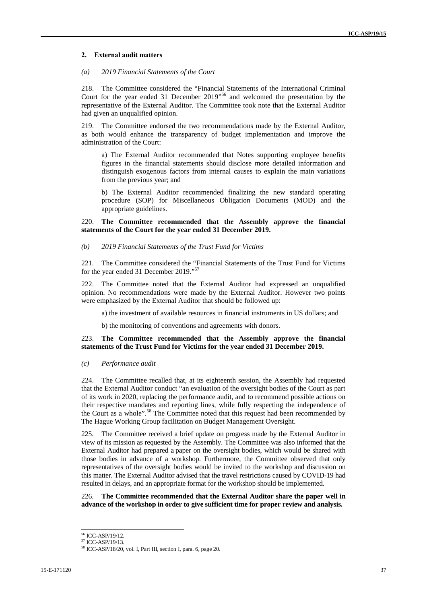#### **2. External audit matters**

#### *(a) 2019 Financial Statements of the Court*

218. The Committee considered the "Financial Statements of the International Criminal Court for the year ended 31 December 2019" <sup>56</sup> and welcomed the presentation by the representative of the External Auditor. The Committee took note that the External Auditor had given an unqualified opinion.

219. The Committee endorsed the two recommendations made by the External Auditor, as both would enhance the transparency of budget implementation and improve the administration of the Court:

a) The External Auditor recommended that Notes supporting employee benefits figures in the financial statements should disclose more detailed information and distinguish exogenous factors from internal causes to explain the main variations from the previous year; and

b) The External Auditor recommended finalizing the new standard operating procedure (SOP) for Miscellaneous Obligation Documents (MOD) and the appropriate guidelines.

#### 220. **The Committee recommended that the Assembly approve the financial statements of the Court for the year ended 31 December 2019.**

#### *(b) 2019 Financial Statements of the Trust Fund for Victims*

221. The Committee considered the "Financial Statements of the Trust Fund for Victims for the year ended 31 December 2019."<sup>57</sup>

222. The Committee noted that the External Auditor had expressed an unqualified opinion. No recommendations were made by the External Auditor. However two points were emphasized by the External Auditor that should be followed up:

a) the investment of available resources in financial instruments in US dollars; and

b) the monitoring of conventions and agreements with donors.

#### 223. **The Committee recommended that the Assembly approve the financial statements of the Trust Fund for Victims for the year ended 31 December 2019.**

#### *(c) Performance audit*

224. The Committee recalled that, at its eighteenth session, the Assembly had requested that the External Auditor conduct "an evaluation of the oversight bodies of the Court as part of its work in 2020, replacing the performance audit, and to recommend possible actions on their respective mandates and reporting lines, while fully respecting the independence of the Court as a whole".<sup>58</sup> The Committee noted that this request had been recommended by The Hague Working Group facilitation on Budget Management Oversight.

225. The Committee received a brief update on progress made by the External Auditor in view of its mission as requested by the Assembly. The Committee was also informed that the External Auditor had prepared a paper on the oversight bodies, which would be shared with those bodies in advance of a workshop. Furthermore, the Committee observed that only representatives of the oversight bodies would be invited to the workshop and discussion on this matter. The External Auditor advised that the travel restrictions caused by COVID-19 had resulted in delays, and an appropriate format for the workshop should be implemented.

226. **The Committee recommended that the External Auditor share the paper well in advance of the workshop in order to give sufficient time for proper review and analysis.**

<sup>&</sup>lt;sup>56</sup> ICC-ASP/19/12.<br><sup>57</sup> ICC-ASP/19/13.

<sup>58</sup> ICC-ASP/18/20, vol. I, Part III, section I, para. 6, page 20.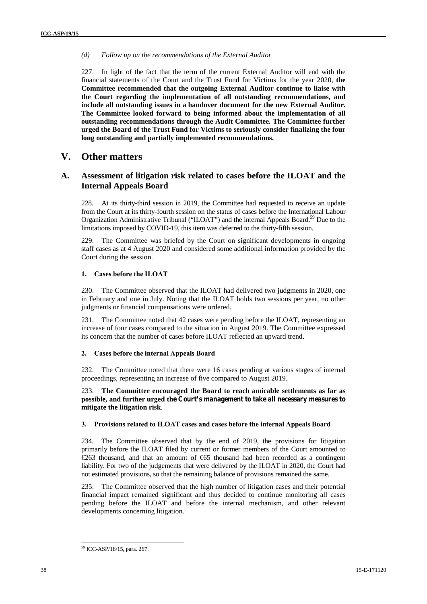*(d) Follow up on the recommendations of the External Auditor*

227. In light of the fact that the term of the current External Auditor will end with the financial statements of the Court and the Trust Fund for Victims for the year 2020, **the Committee recommended that the outgoing External Auditor continue to liaise with the Court regarding the implementation of all outstanding recommendations, and include all outstanding issues in a handover document for the new External Auditor. The Committee looked forward to being informed about the implementation of all outstanding recommendations through the Audit Committee. The Committee further urged the Board of the Trust Fund for Victims to seriously consider finalizing the four long outstanding and partially implemented recommendations.**

## **V. Other matters**

### **A. Assessment of litigation risk related to cases before the ILOAT and the Internal Appeals Board**

228. At its thirty-third session in 2019, the Committee had requested to receive an update from the Court at its thirty-fourth session on the status of cases before the International Labour Organization Administrative Tribunal ("ILOAT") and the internal Appeals Board.<sup>59</sup> Due to the limitations imposed by COVID-19, this item was deferred to the thirty-fifth session.

229. The Committee was briefed by the Court on significant developments in ongoing staff cases as at 4 August 2020 and considered some additional information provided by the Court during the session.

#### **1. Cases before the ILOAT**

230. The Committee observed that the ILOAT had delivered two judgments in 2020, one in February and one in July. Noting that the ILOAT holds two sessions per year, no other judgments or financial compensations were ordered.

231. The Committee noted that 42 cases were pending before the ILOAT, representing an increase of four cases compared to the situation in August 2019. The Committee expressed its concern that the number of cases before ILOAT reflected an upward trend.

#### **2. Cases before the internal Appeals Board**

232. The Committee noted that there were 16 cases pending at various stages of internal proceedings, representing an increase of five compared to August 2019.

233. **The Committee encouraged the Board to reach amicable settlements as far as possible, and further urged the Court's management to take all necessary measures to mitigate the litigation risk**.

#### **3. Provisions related to ILOAT cases and cases before the internal Appeals Board**

234. The Committee observed that by the end of 2019, the provisions for litigation primarily before the ILOAT filed by current or former members of the Court amounted to €263 thousand, and that an amount of €65 thousand had been recorded as a contingent liability. For two of the judgements that were delivered by the ILOAT in 2020, the Court had not estimated provisions, so that the remaining balance of provisions remained the same.

235. The Committee observed that the high number of litigation cases and their potential financial impact remained significant and thus decided to continue monitoring all cases pending before the ILOAT and before the internal mechanism, and other relevant developments concerning litigation.

<sup>59</sup> ICC-ASP/18/15, para. 267.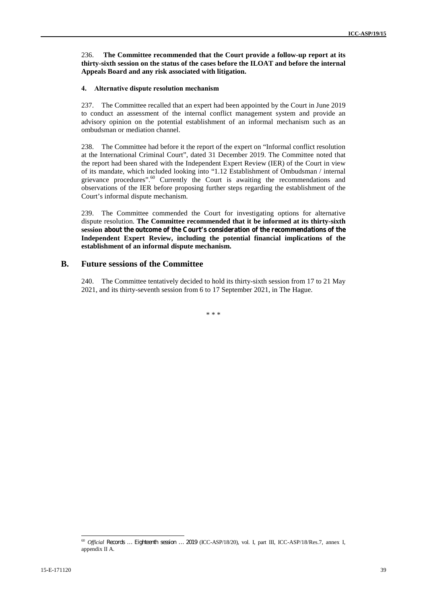#### 236. **The Committee recommended that the Court provide a follow-up report at its thirty-sixth session on the status of the cases before the ILOAT and before the internal Appeals Board and any risk associated with litigation.**

#### **4. Alternative dispute resolution mechanism**

237. The Committee recalled that an expert had been appointed by the Court in June 2019 to conduct an assessment of the internal conflict management system and provide an advisory opinion on the potential establishment of an informal mechanism such as an ombudsman or mediation channel.

238. The Committee had before it the report of the expert on "Informal conflict resolution at the International Criminal Court", dated 31 December 2019. The Committee noted that the report had been shared with the Independent Expert Review (IER) of the Court in view of its mandate, which included looking into "1.12 Establishment of Ombudsman / internal grievance procedures".<sup>60</sup> Currently the Court is awaiting the recommendations and observations of the IER before proposing further steps regarding the establishment of the Court's informal dispute mechanism.

239. The Committee commended the Court for investigating options for alternative dispute resolution. **The Committee recommended that it be informed at its thirty-sixth session about the outcome of the Court's consideration of the recommendations of the Independent Expert Review, including the potential financial implications of the establishment of an informal dispute mechanism.**

#### **B. Future sessions of the Committee**

240. The Committee tentatively decided to hold its thirty-sixth session from 17 to 21 May 2021, and its thirty-seventh session from 6 to 17 September 2021, in The Hague.

\* \* \*

<sup>60</sup> *Official Records … Eighteenth session … 2019* (ICC-ASP/18/20), vol. I, part III, ICC-ASP/18/Res.7, annex I, appendix II A.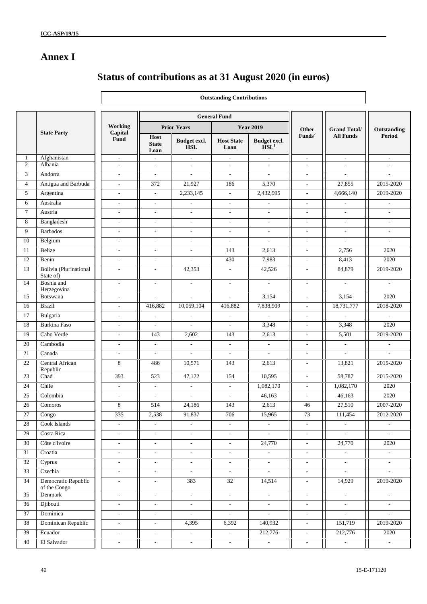## **Annex I**

## **Status of contributions as at 31 August 2020 (in euros)**

|                |                                     |                          |                              |                            | <b>Outstanding Contributions</b> |                                                  |                                    |                                         |                              |
|----------------|-------------------------------------|--------------------------|------------------------------|----------------------------|----------------------------------|--------------------------------------------------|------------------------------------|-----------------------------------------|------------------------------|
|                |                                     |                          |                              |                            |                                  |                                                  |                                    |                                         |                              |
|                |                                     | Working                  |                              |                            | <b>General Fund</b>              |                                                  |                                    |                                         |                              |
|                | <b>State Party</b>                  | Capital                  |                              | <b>Prior Years</b>         |                                  | <b>Year 2019</b>                                 | <b>Other</b><br>Funds <sup>2</sup> | <b>Grand Total/</b><br><b>All Funds</b> | Outstanding<br><b>Period</b> |
|                |                                     | Fund                     | Host<br><b>State</b><br>Loan | Budget excl.<br><b>HSL</b> | <b>Host State</b><br>Loan        | Budget excl.<br>$\overline{\text{H}}\text{SL}^1$ |                                    |                                         |                              |
| $\mathbf{1}$   | Afghanistan                         | $\overline{\phantom{a}}$ | $\mathcal{L}_{\mathcal{A}}$  | $\overline{\phantom{a}}$   | $\overline{\phantom{a}}$         | $\overline{\phantom{a}}$                         | $\overline{\phantom{a}}$           | $\sim$                                  | $\overline{\phantom{a}}$     |
| $\overline{2}$ | Albania                             | $\mathbf{r}$             | $\mathbf{r}$                 | $\sim$                     | $\overline{\phantom{a}}$         | $\sim$                                           | $\sim$                             | $\mathcal{L}_{\mathcal{A}}$             | $\overline{\phantom{a}}$     |
| 3              | Andorra                             | $\sim$                   | $\mathcal{L}$                | $\mathcal{L}$              | $\overline{\phantom{a}}$         | $\sim$                                           | $\sim$                             | $\sim$                                  | $\overline{a}$               |
| $\overline{4}$ | Antigua and Barbuda                 | $\overline{\phantom{a}}$ | 372                          | 21,927                     | 186                              | 5,370                                            | $\overline{\phantom{a}}$           | 27,855                                  | 2015-2020                    |
| 5              | Argentina                           | $\overline{\phantom{a}}$ | $\overline{\phantom{a}}$     | 2,233,145                  | $\overline{\phantom{a}}$         | 2,432,995                                        | $\overline{a}$                     | 4,666,140                               | 2019-2020                    |
| 6              | Australia                           | $\overline{\phantom{a}}$ | $\overline{\phantom{a}}$     | $\overline{\phantom{a}}$   | $\overline{\phantom{a}}$         | $\overline{\phantom{a}}$                         | $\overline{\phantom{a}}$           | $\overline{\phantom{a}}$                | $\overline{\phantom{a}}$     |
| $\tau$         | Austria                             | $\overline{\phantom{a}}$ | $\blacksquare$               | $\blacksquare$             | $\overline{\phantom{a}}$         | $\overline{\phantom{a}}$                         | $\mathbf{r}$                       | $\sim$                                  | $\overline{\phantom{a}}$     |
| 8              | Bangladesh                          | $\overline{\phantom{a}}$ | $\sim$                       | $\overline{\phantom{a}}$   | ٠                                | $\sim$                                           | $\sim$                             | $\sim$                                  | $\sim$                       |
| 9              | <b>Barbados</b>                     | $\overline{\phantom{a}}$ | $\sim$                       | $\sim$                     | $\overline{\phantom{a}}$         | $\overline{\phantom{a}}$                         | $\overline{\phantom{a}}$           | $\overline{\phantom{a}}$                | $\overline{\phantom{a}}$     |
| $10\,$         | Belgium                             | $\overline{\phantom{a}}$ | $\overline{\phantom{a}}$     | $\overline{\phantom{a}}$   | $\overline{\phantom{a}}$         | $\overline{\phantom{a}}$                         | $\overline{\phantom{a}}$           | $\overline{\phantom{a}}$                | $\overline{\phantom{a}}$     |
| 11             | Belize                              | $\overline{\phantom{a}}$ | $\overline{\phantom{a}}$     | $\overline{\phantom{a}}$   | 143                              | 2,613                                            | $\sim$                             | 2,756                                   | 2020                         |
| 12             | Benin                               | $\overline{\phantom{a}}$ | $\blacksquare$               | $\mathbb{L}^+$             | 430                              | 7,983                                            | $\overline{\phantom{a}}$           | 8,413                                   | 2020                         |
| 13             | Bolivia (Plurinational<br>State of) | $\overline{\phantom{a}}$ | $\sim$                       | 42,353                     | $\overline{\phantom{a}}$         | 42,526                                           | $\sim$                             | 84,879                                  | 2019-2020                    |
| 14             | Bosnia and<br>Herzegovina           | $\overline{\phantom{a}}$ | $\sim$                       | $\overline{\phantom{a}}$   | $\overline{a}$                   | $\overline{\phantom{a}}$                         | $\overline{\phantom{a}}$           | $\overline{\phantom{a}}$                | $\overline{\phantom{a}}$     |
| 15             | Botswana                            | $\overline{\phantom{a}}$ | $\overline{\phantom{a}}$     | $\mathbb{L}$               | ÷,                               | 3,154                                            | $\overline{\phantom{a}}$           | 3,154                                   | 2020                         |
| 16             | <b>Brazil</b>                       | $\overline{\phantom{a}}$ | 416,882                      | 10,059,104                 | 416,882                          | 7,838,909                                        | $\overline{\phantom{a}}$           | 18,731,777                              | 2018-2020                    |
| 17             | Bulgaria                            | $\overline{\phantom{a}}$ | $\overline{\phantom{a}}$     | $\mathcal{L}$              | $\overline{\phantom{a}}$         | $\sim$                                           | $\sim$                             | $\mathcal{L}_{\mathcal{A}}$             | $\overline{\phantom{a}}$     |
| 18             | Burkina Faso                        | $\sim$                   | $\sim$                       |                            | ÷                                | 3,348                                            | $\sim$                             | 3,348                                   | 2020                         |
| 19             | Cabo Verde                          | $\overline{\phantom{a}}$ | 143                          | 2,602                      | 143                              | 2,613                                            | $\sim$                             | 5,501                                   | 2019-2020                    |
| $20\,$         | Cambodia                            | $\overline{\phantom{a}}$ | $\overline{\phantom{a}}$     | $\overline{\phantom{a}}$   | $\overline{\phantom{a}}$         | $\overline{\phantom{a}}$                         | $\overline{\phantom{a}}$           | $\overline{\phantom{a}}$                | $\overline{\phantom{a}}$     |
| 21             | Canada                              | $\overline{\phantom{a}}$ | $\blacksquare$               | $\overline{\phantom{a}}$   | $\overline{\phantom{a}}$         | $\overline{\phantom{a}}$                         | $\overline{\phantom{a}}$           | $\overline{\phantom{a}}$                | $\overline{a}$               |
| 22             | Central African<br>Republic         | 8                        | 486                          | 10,571                     | 143                              | 2,613                                            | $\overline{\phantom{a}}$           | 13,821                                  | 2015-2020                    |
| 23             | Chad                                | 393                      | 523                          | 47,122                     | 154                              | 10,595                                           | $\sim$                             | 58,787                                  | 2015-2020                    |
| 24             | Chile                               | $\overline{\phantom{a}}$ | $\mathcal{L}$                | $\sim$                     | $\overline{\phantom{a}}$         | 1,082,170                                        | $\sim$                             | 1,082,170                               | 2020                         |
| $25\,$         | Colombia                            | $\overline{\phantom{a}}$ | $\overline{\phantom{a}}$     | $\overline{\phantom{a}}$   | $\overline{\phantom{a}}$         | 46,163                                           | $\overline{\phantom{a}}$           | 46,163                                  | 2020                         |
| 26             | Comoros                             | 8                        | 514                          | 24,186                     | 143                              | 2,613                                            | 46                                 | 27,510                                  | 2007-2020                    |
| $27\,$         | Congo                               | 335                      | 2,538                        | 91,837                     | 706                              | 15,965                                           | 73                                 | 111,454                                 | Ш<br>2012-2020               |
| 28             | Cook Islands                        | $\overline{\phantom{a}}$ | $\overline{\phantom{a}}$     | $\overline{\phantom{a}}$   | $\overline{\phantom{a}}$         | $\overline{\phantom{a}}$                         | $\sim$                             | $\blacksquare$                          | $\sim$                       |
| 29             | Costa Rica                          | $\overline{\phantom{a}}$ | $\overline{\phantom{a}}$     | $\sim$                     | $\blacksquare$                   | $\overline{\phantom{a}}$                         | $\sim$                             | $\blacksquare$                          | $\overline{\phantom{a}}$     |
| 30             | Côte d'Ivoire                       | $\blacksquare$           | $\sim$                       | $\blacksquare$             | $\overline{\phantom{a}}$         | 24,770                                           | $\overline{\phantom{a}}$           | 24,770                                  | 2020                         |
| $31\,$         | Croatia                             | $\overline{\phantom{a}}$ | $\overline{\phantom{a}}$     | $\overline{\phantom{a}}$   | $\overline{\phantom{a}}$         | $\overline{\phantom{a}}$                         | $\blacksquare$                     | $\sim$                                  | $\overline{\phantom{a}}$     |
| 32             | Cyprus                              | $\blacksquare$           | $\omega$                     | $\omega$                   | $\omega$                         | $\omega$                                         | $\mathbb{L}^2$                     | $\omega$                                | $\mathcal{L}^{\mathcal{L}}$  |
| 33             | Czechia                             | $\overline{\phantom{a}}$ | $\overline{\phantom{a}}$     | $\overline{\phantom{a}}$   | $\overline{\phantom{a}}$         | $\sim$                                           | $\overline{\phantom{a}}$           | $\mathcal{L}_{\mathcal{A}}$             | $\blacksquare$               |
| 34             | Democratic Republic<br>of the Congo | $\overline{\phantom{a}}$ | $\blacksquare$               | 383                        | 32                               | 14,514                                           | $\overline{\phantom{a}}$           | 14,929                                  | 2019-2020                    |
| 35             | Denmark                             | $\overline{\phantom{a}}$ | $\blacksquare$               | $\sim$                     | $\sim$                           | $\sim$                                           | $\overline{\phantom{a}}$           | $\sim$                                  | $\overline{\phantom{a}}$     |
| 36             | Djibouti                            | $\overline{\phantom{a}}$ | $\omega$                     | $\overline{\phantom{a}}$   | $\mathcal{L}^{\pm}$              | $\sim$                                           | $\mathbb{L}$                       | $\mathcal{L}_{\mathcal{A}}$             | $\mathcal{L}^{\mathcal{L}}$  |
| 37             | Dominica                            | $\blacksquare$           | $\sim$                       | $\omega$                   | $\omega$                         | $\omega$                                         | $\sim$                             | $\omega$                                | $\mathbb{Z}^{\mathbb{Z}}$    |
| 38             | Dominican Republic                  | $\blacksquare$           | $\blacksquare$               | 4,395                      | 6,392                            | 140,932                                          | $\blacksquare$                     | 151,719                                 | 2019-2020                    |
| 39             | Ecuador                             | $\overline{\phantom{a}}$ | $\overline{\phantom{a}}$     | $\sim$                     | $\overline{\phantom{a}}$         | 212,776                                          | $\overline{\phantom{a}}$           | 212,776                                 | 2020                         |
| 40             | El Salvador                         | $\overline{\phantom{a}}$ | $\overline{\phantom{a}}$     | $\overline{\phantom{a}}$   | $\sim$                           | $\sim$                                           | $\overline{\phantom{a}}$           | $\sim$                                  | $\sim$                       |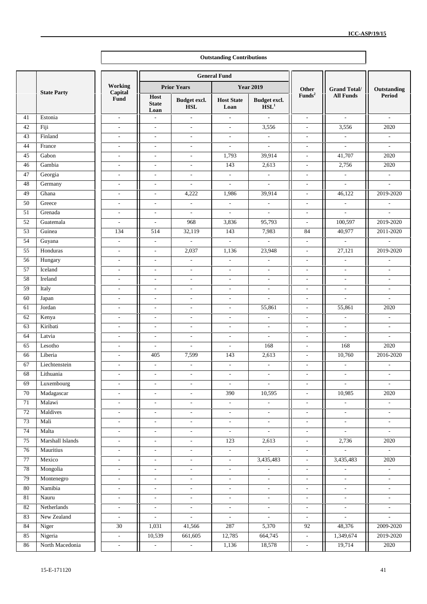|          |                      |                          |                                                      |                            | <b>Outstanding Contributions</b>     |                                                  |                          |                             |                          |
|----------|----------------------|--------------------------|------------------------------------------------------|----------------------------|--------------------------------------|--------------------------------------------------|--------------------------|-----------------------------|--------------------------|
|          |                      |                          |                                                      |                            | <b>General Fund</b>                  |                                                  |                          |                             |                          |
|          |                      | Working                  |                                                      | <b>Prior Years</b>         |                                      | <b>Year 2019</b>                                 | Other                    | <b>Grand Total/</b>         | Outstanding              |
|          | <b>State Party</b>   | Capital<br>Fund          | Host<br><b>State</b><br>Loan                         | Budget excl.<br><b>HSL</b> | <b>Host State</b><br>Loan            | Budget excl.<br>$\overline{\text{H}}\text{SL}^1$ | $\mathbf{Funds}^2$       | <b>All Funds</b>            | Period                   |
| 41       | Estonia              | $\overline{\phantom{a}}$ | $\overline{\phantom{a}}$                             | $\overline{\phantom{a}}$   | $\blacksquare$                       | $\sim$                                           | $\overline{\phantom{a}}$ | $\sim$                      | $\overline{\phantom{a}}$ |
| 42       | Fiji                 | $\sim$                   | $\overline{\phantom{a}}$                             | $\overline{\phantom{a}}$   | $\sim$                               | 3,556                                            | $\mathbf{r}$             | 3,556                       | 2020                     |
| 43       | Finland              | $\overline{\phantom{a}}$ | $\overline{\phantom{a}}$                             | $\overline{\phantom{a}}$   | $\overline{\phantom{a}}$             | $\overline{\phantom{a}}$                         | $\overline{\phantom{a}}$ | $\overline{\phantom{a}}$    | $\overline{\phantom{a}}$ |
| 44       | France               | $\mathbf{r}$             | $\overline{\phantom{a}}$                             | $\overline{\phantom{a}}$   | $\sim$                               | $\sim$                                           | $\mathbf{r}$             | $\sim$                      | $\mathcal{L}$            |
| 45       | Gabon                | $\overline{a}$           | $\sim$                                               | $\sim$                     | 1,793                                | 39,914                                           | ٠                        | 41,707                      | 2020                     |
| 46       | Gambia               | $\overline{\phantom{a}}$ | $\overline{\phantom{a}}$                             | $\overline{\phantom{a}}$   | 143                                  | 2,613                                            | $\overline{a}$           | 2,756                       | 2020                     |
| 47       | Georgia              | $\overline{\phantom{a}}$ | $\overline{\phantom{a}}$                             | $\overline{\phantom{a}}$   | $\mathcal{L}_{\mathcal{A}}$          | $\sim$                                           | $\overline{\phantom{a}}$ | $\sim$                      | $\overline{\phantom{a}}$ |
| 48       | Germany              | $\overline{\phantom{a}}$ | $\overline{\phantom{a}}$                             | $\overline{\phantom{a}}$   | $\mathcal{L}_{\mathcal{A}}$          | $\mathcal{L}_{\mathcal{A}}$                      | $\overline{\phantom{a}}$ | $\overline{\phantom{a}}$    | $\overline{\phantom{a}}$ |
| 49       | Ghana                | $\sim$                   | $\sim$                                               | 4,222                      | 1,986                                | 39,914                                           | $\sim$                   | 46,122                      | 2019-2020                |
| 50       | Greece               | $\overline{\phantom{a}}$ | $\sim$                                               | $\overline{\phantom{a}}$   | $\overline{\phantom{a}}$             | $\overline{\phantom{a}}$                         | $\overline{\phantom{a}}$ | $\overline{\phantom{a}}$    | $\overline{\phantom{a}}$ |
| 51       | Grenada              | $\overline{\phantom{a}}$ | $\overline{\phantom{a}}$                             | $\overline{\phantom{a}}$   | $\overline{\phantom{a}}$             | $\overline{\phantom{a}}$                         | $\overline{\phantom{a}}$ | $\overline{\phantom{a}}$    | $\overline{\phantom{a}}$ |
| 52       | Guatemala            | $\mathcal{L}$            | $\overline{\phantom{a}}$                             | 968                        | 3,836                                | 95,793                                           | $\blacksquare$           | 100,597                     | 2019-2020                |
| 53       | Guinea               | 134                      | 514                                                  | 32,119                     | 143                                  | 7,983                                            | 84                       | 40,977                      | 2011-2020                |
| 54       | Guyana               | $\mathbf{r}$             | $\mathbb{L}$                                         | $\bar{\phantom{a}}$        | $\mathbf{r}$                         | $\mathbf{r}$                                     | $\mathcal{L}$            | $\mathbf{r}$                | $\mathcal{L}$            |
| 55       | Honduras             | $\overline{\phantom{a}}$ | $\overline{\phantom{a}}$                             | 2,037                      | 1,136                                | 23,948                                           | $\overline{\phantom{a}}$ | 27,121                      | 2019-2020                |
| 56       | Hungary              | $\sim$                   | $\overline{\phantom{a}}$                             | $\overline{\phantom{a}}$   | $\overline{\phantom{a}}$             | $\overline{\phantom{a}}$                         | $\sim$                   | $\overline{\phantom{a}}$    | $\overline{\phantom{a}}$ |
| 57       | Iceland              | $\sim$                   | $\overline{\phantom{a}}$                             | $\sim$                     | $\overline{\phantom{a}}$             | $\sim$                                           | $\overline{a}$           | $\sim$                      | $\mathbf{r}$             |
| 58       | Ireland              | $\mathbf{r}$             | $\overline{\phantom{a}}$                             | $\overline{\phantom{a}}$   | $\sim$                               | $\overline{\phantom{a}}$                         | $\overline{\phantom{a}}$ | $\mathcal{L}_{\mathcal{A}}$ | $\overline{\phantom{a}}$ |
| 59       | Italy                | $\overline{\phantom{a}}$ | $\overline{\phantom{a}}$                             | $\overline{\phantom{a}}$   | $\overline{\phantom{a}}$             | $\overline{\phantom{a}}$                         | $\overline{\phantom{a}}$ | $\overline{\phantom{a}}$    | $\overline{\phantom{a}}$ |
| 60       | Japan                | $\overline{\phantom{a}}$ | $\overline{\phantom{a}}$                             | $\overline{\phantom{a}}$   | $\overline{\phantom{a}}$             | $\overline{\phantom{a}}$                         | $\overline{\phantom{a}}$ | $\overline{\phantom{a}}$    | $\overline{\phantom{a}}$ |
| 61       | Jordan               | $\overline{\phantom{a}}$ | $\overline{\phantom{a}}$                             | $\overline{\phantom{a}}$   | $\overline{\phantom{a}}$             | 55,861                                           | $\overline{\phantom{a}}$ | 55,861                      | 2020                     |
| 62       | Kenya                | $\sim$                   | $\sim$                                               | $\sim$                     | $\sim$                               | $\overline{\phantom{a}}$                         | $\sim$                   | $\overline{\phantom{a}}$    | $\overline{\phantom{a}}$ |
| 63       | Kiribati             | $\sim$                   | $\overline{\phantom{a}}$                             | $\sim$                     | $\sim$                               | $\sim$                                           | $\sim$                   | $\mathcal{L}_{\mathcal{A}}$ | $\sim$                   |
| 64       | Latvia               | $\overline{a}$           | $\overline{\phantom{a}}$                             | $\overline{\phantom{a}}$   | L.                                   | $\overline{\phantom{a}}$                         | L.                       | $\overline{\phantom{a}}$    | $\overline{\phantom{a}}$ |
| 65       | Lesotho              | $\overline{\phantom{a}}$ | $\overline{\phantom{a}}$                             | $\overline{\phantom{a}}$   | $\overline{\phantom{a}}$             | 168                                              | $\overline{\phantom{a}}$ | 168                         | 2020                     |
| 66       | Liberia              | $\overline{\phantom{a}}$ | 405                                                  | 7,599                      | 143                                  | 2,613                                            | $\overline{\phantom{a}}$ | 10,760                      | 2016-2020                |
| 67       | Liechtenstein        | $\mathbf{r}$             | $\overline{\phantom{a}}$                             | $\overline{\phantom{a}}$   | $\sim$                               | $\sim$                                           | $\overline{\phantom{a}}$ | $\overline{\phantom{a}}$    | $\overline{\phantom{a}}$ |
| 68       | Lithuania            | $\overline{a}$           | $\overline{\phantom{a}}$                             | $\overline{\phantom{a}}$   | $\overline{\phantom{a}}$             | ٠                                                | $\overline{\phantom{a}}$ | $\overline{\phantom{a}}$    | $\overline{\phantom{a}}$ |
| 69       | Luxembourg           | $\mathbf{r}$             | $\overline{\phantom{a}}$                             | $\overline{\phantom{a}}$   | $\overline{\phantom{a}}$             | L.                                               | $\overline{\phantom{a}}$ |                             |                          |
| 70       | Madagascar           | $\overline{\phantom{a}}$ | $\overline{\phantom{a}}$                             | $\overline{\phantom{a}}$   | 390                                  | 10,595                                           | $\overline{\phantom{a}}$ | 10,985                      | 2020                     |
| $71\,$   | Malawi               | $\overline{\phantom{a}}$ | $\overline{\phantom{a}}$                             | $\overline{\phantom{a}}$   | $\sim$                               | $\blacksquare$                                   | $\overline{\phantom{a}}$ | $\overline{\phantom{a}}$    | $\overline{\phantom{a}}$ |
| $72\,$   | Maldives             | $\blacksquare$           | $\blacksquare$                                       | $\overline{\phantom{a}}$   | $\overline{\phantom{a}}$             | $\overline{\phantom{a}}$                         | ÷,                       | $\overline{\phantom{a}}$    | $\overline{\phantom{a}}$ |
| 73       | Mali                 | $\overline{\phantom{a}}$ | $\overline{\phantom{a}}$                             | $\overline{\phantom{a}}$   | $\overline{\phantom{a}}$             | $\overline{\phantom{a}}$                         | $\overline{\phantom{a}}$ | $\overline{\phantom{a}}$    | $\overline{\phantom{a}}$ |
| 74       | Malta                | $\overline{\phantom{a}}$ | $\overline{\phantom{a}}$                             | $\overline{\phantom{a}}$   | $\overline{\phantom{a}}$             | $\overline{\phantom{a}}$                         | $\overline{\phantom{a}}$ | $\overline{\phantom{a}}$    | $\overline{\phantom{a}}$ |
| 75       | Marshall Islands     | $\overline{\phantom{a}}$ | $\overline{\phantom{a}}$                             | $\overline{\phantom{a}}$   | 123                                  | 2,613                                            | $\overline{\phantom{a}}$ | 2,736                       | 2020                     |
| $76\,$   | Mauritius            | $\overline{\phantom{a}}$ | $\overline{\phantom{a}}$                             | $\overline{\phantom{a}}$   | $\overline{\phantom{a}}$             | ÷.                                               | $\overline{\phantom{a}}$ | $\Box$                      | $\blacksquare$           |
| $77\,$   | Mexico               | $\mathbb{L}$             | $\overline{\phantom{a}}$                             | $\bar{\phantom{a}}$        | ä,                                   | 3,435,483                                        | L.                       | 3,435,483                   | 2020                     |
| 78       | Mongolia             | $\overline{\phantom{a}}$ | $\overline{\phantom{a}}$                             | $\overline{\phantom{a}}$   | $\overline{\phantom{a}}$             | $\overline{\phantom{a}}$                         | $\overline{\phantom{a}}$ | $\overline{\phantom{a}}$    | $\overline{\phantom{a}}$ |
| 79       | Montenegro           | $\mathbb{Z}^2$           | $\overline{\phantom{a}}$                             |                            | $\sim$                               | $\blacksquare$                                   | $\overline{\phantom{a}}$ | $\overline{\phantom{a}}$    | $\overline{\phantom{a}}$ |
| 80       | Namibia              |                          |                                                      | $\overline{\phantom{a}}$   |                                      |                                                  |                          |                             |                          |
|          |                      | $\overline{\phantom{a}}$ | $\overline{\phantom{a}}$                             | $\overline{\phantom{a}}$   | $\overline{\phantom{a}}$             | $\sim$                                           | $\overline{\phantom{a}}$ | $\blacksquare$              | $\overline{\phantom{a}}$ |
| 81<br>82 | Nauru<br>Netherlands | $\overline{\phantom{a}}$ | $\overline{\phantom{a}}$<br>$\overline{\phantom{a}}$ | $\overline{\phantom{a}}$   | $\overline{\phantom{a}}$<br>$\omega$ | $\overline{\phantom{a}}$<br>$\mathbb{L}^+$       | $\overline{\phantom{a}}$ | $\sim$                      | $\overline{\phantom{a}}$ |
|          |                      | $\blacksquare$           |                                                      | $\overline{\phantom{a}}$   |                                      |                                                  | $\blacksquare$           | $\sim$                      | $\overline{\phantom{a}}$ |
| 83       | New Zealand          | $\overline{\phantom{a}}$ | ÷,                                                   | $\blacksquare$             | $\overline{\phantom{a}}$             | $\overline{\phantom{a}}$                         | $\overline{\phantom{a}}$ | $\overline{\phantom{a}}$    | $\blacksquare$           |
| 84       | Niger                | $30\,$                   | 1,031                                                | 41,566                     | 287                                  | 5,370                                            | 92                       | 48,376                      | 2009-2020                |
| 85       | Nigeria              | $\overline{\phantom{a}}$ | 10,539                                               | 661,605                    | 12,785                               | 664,745                                          | $\overline{\phantom{a}}$ | 1,349,674                   | 2019-2020                |
| 86       | North Macedonia      | $\blacksquare$           | $\blacksquare$                                       | $\sim$                     | 1,136                                | 18,578                                           | $\overline{\phantom{a}}$ | 19,714                      | $2020\,$                 |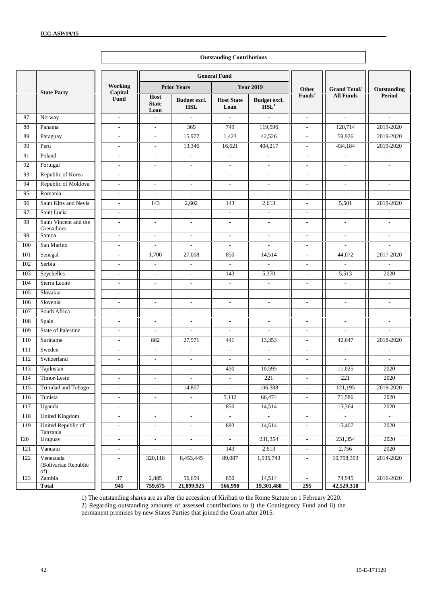|     |                                          | <b>Outstanding Contributions</b> |                              |                             |                             |                                  |                          |                             |                             |  |  |
|-----|------------------------------------------|----------------------------------|------------------------------|-----------------------------|-----------------------------|----------------------------------|--------------------------|-----------------------------|-----------------------------|--|--|
|     |                                          |                                  |                              |                             | <b>General Fund</b>         |                                  |                          |                             |                             |  |  |
|     |                                          | Working                          |                              | <b>Prior Years</b>          |                             | <b>Year 2019</b>                 | Other                    | <b>Grand Total/</b>         | Outstanding                 |  |  |
|     | <b>State Party</b>                       | Capital<br>Fund                  | Host<br><b>State</b><br>Loan | Budget excl.<br><b>HSL</b>  | <b>Host State</b><br>Loan   | Budget excl.<br>HSL <sup>1</sup> | Funds <sup>2</sup>       | <b>All Funds</b>            | <b>Period</b>               |  |  |
| 87  | Norway                                   | $\mathcal{L}^{\pm}$              | $\overline{\phantom{a}}$     | $\mathcal{L}^{\mathcal{A}}$ | $\mathcal{L}^{\mathcal{A}}$ | $\mathcal{L}$                    | $\mathbb{L}^2$           | $\mathcal{L}^{\mathcal{L}}$ | $\mathcal{L}^{\mathcal{A}}$ |  |  |
| 88  | Panama                                   | $\mathbf{r}$                     | $\overline{\phantom{a}}$     | 369                         | 749                         | 119,596                          | $\mathbf{r}$             | 120,714                     | 2019-2020                   |  |  |
| 89  | Paraguay                                 | $\overline{\phantom{a}}$         | $\overline{\phantom{a}}$     | 15,977                      | 1,423                       | 42,526                           | $\overline{\phantom{a}}$ | 59,926                      | 2019-2020                   |  |  |
| 90  | Peru                                     | $\mathbf{r}$                     | $\overline{\phantom{a}}$     | 13,346                      | 16,621                      | 404,217                          | L.                       | 434,184                     | 2019-2020                   |  |  |
| 91  | Poland                                   | $\overline{\phantom{a}}$         | $\overline{\phantom{a}}$     | $\overline{\phantom{a}}$    | $\overline{\phantom{a}}$    | $\overline{\phantom{a}}$         | $\overline{a}$           | $\overline{\phantom{a}}$    | $\overline{\phantom{a}}$    |  |  |
| 92  | Portugal                                 | $\overline{\phantom{a}}$         | $\overline{\phantom{a}}$     | $\sim$                      | $\mathcal{L}^{\mathcal{A}}$ | $\sim$                           | $\overline{\phantom{a}}$ | $\overline{\phantom{a}}$    | $\overline{\phantom{a}}$    |  |  |
| 93  | Republic of Korea                        | $\overline{\phantom{a}}$         | $\overline{\phantom{a}}$     | $\sim$                      | $\sim$                      | $\overline{\phantom{a}}$         | $\overline{\phantom{a}}$ | $\overline{\phantom{a}}$    | $\overline{\phantom{a}}$    |  |  |
| 94  | Republic of Moldova                      | $\overline{\phantom{a}}$         | $\overline{\phantom{a}}$     | $\overline{\phantom{a}}$    | $\overline{\phantom{a}}$    | $\overline{\phantom{a}}$         | $\overline{\phantom{a}}$ | $\overline{\phantom{a}}$    | $\overline{\phantom{a}}$    |  |  |
| 95  | Romania                                  | $\sim$                           | $\overline{\phantom{a}}$     | $\overline{\phantom{a}}$    | $\sim$                      | $\overline{\phantom{a}}$         | $\mathbf{r}$             | $\overline{\phantom{a}}$    | $\overline{\phantom{a}}$    |  |  |
| 96  | Saint Kitts and Nevis                    | $\mathbf{r}$                     | 143                          | 2,602                       | 143                         | 2,613                            | $\overline{\phantom{a}}$ | 5,501                       | 2019-2020                   |  |  |
| 97  | Saint Lucia                              | $\mathbf{r}$                     | $\bar{\phantom{a}}$          | $\overline{\phantom{a}}$    | $\mathbf{r}$                | $\overline{\phantom{a}}$         | $\mathcal{L}$            | $\overline{\phantom{a}}$    | $\overline{\phantom{a}}$    |  |  |
| 98  | Saint Vincent and the<br>Grenadines      | $\overline{a}$                   | $\overline{a}$               | $\overline{\phantom{a}}$    | L.                          | $\overline{\phantom{a}}$         | L.                       | ٠                           | $\overline{\phantom{a}}$    |  |  |
| 99  | Samoa                                    | $\overline{\phantom{a}}$         | $\overline{\phantom{a}}$     | $\overline{\phantom{a}}$    | $\overline{\phantom{a}}$    | $\overline{\phantom{a}}$         | $\overline{\phantom{a}}$ | $\overline{\phantom{a}}$    | $\overline{\phantom{a}}$    |  |  |
| 100 | San Marino                               | $\overline{\phantom{a}}$         | $\overline{\phantom{a}}$     | $\overline{\phantom{a}}$    | $\overline{\phantom{a}}$    | $\overline{\phantom{a}}$         | $\overline{\phantom{a}}$ | $\overline{\phantom{a}}$    | $\overline{\phantom{a}}$    |  |  |
| 101 | Senegal                                  | $\sim$                           | 1,700                        | 27,008                      | 850                         | 14,514                           | $\overline{\phantom{a}}$ | 44,072                      | 2017-2020                   |  |  |
| 102 | Serbia                                   | $\overline{\phantom{a}}$         | $\overline{\phantom{a}}$     | $\overline{\phantom{a}}$    | $\omega$                    | $\overline{a}$                   | $\overline{\phantom{a}}$ | $\omega$                    | $\mathcal{L}$               |  |  |
| 103 | Seychelles                               | $\overline{a}$                   | $\overline{a}$               | $\overline{\phantom{a}}$    | 143                         | 5,370                            | $\overline{\phantom{a}}$ | 5,513                       | 2020                        |  |  |
| 104 | Sierra Leone                             | $\overline{\phantom{a}}$         | $\overline{\phantom{a}}$     | $\overline{\phantom{a}}$    | $\overline{\phantom{a}}$    | $\sim$                           | $\overline{\phantom{a}}$ | $\overline{\phantom{a}}$    | $\overline{\phantom{a}}$    |  |  |
| 105 | Slovakia                                 | $\mathbf{r}$                     | $\overline{\phantom{a}}$     | $\sim$                      | $\sim$                      | $\sim$                           | $\mathbf{r}$             | $\sim$                      | $\mathbf{r}$                |  |  |
| 106 | Slovenia                                 | $\sim$                           | $\overline{\phantom{a}}$     | $\sim$                      | $\sim$                      | $\sim$                           | $\sim$                   | $\sim$                      | $\overline{\phantom{a}}$    |  |  |
| 107 | South Africa                             | $\mathbf{r}$                     | $\overline{\phantom{a}}$     | $\sim$                      | $\overline{\phantom{a}}$    | ÷.                               | $\overline{\phantom{a}}$ | ÷                           | $\overline{\phantom{a}}$    |  |  |
| 108 | Spain                                    | $\sim$                           | $\overline{a}$               | L.                          | L.                          | $\overline{\phantom{a}}$         | L.                       | $\overline{a}$              | $\overline{\phantom{a}}$    |  |  |
| 109 | <b>State of Palestine</b>                | $\overline{\phantom{a}}$         | $\overline{\phantom{a}}$     | ÷,                          | $\overline{\phantom{a}}$    | ÷,                               | $\overline{\phantom{a}}$ | $\overline{\phantom{a}}$    | $\blacksquare$              |  |  |
| 110 | Suriname                                 | $\overline{\phantom{a}}$         | 882                          | 27,971                      | 441                         | 13,353                           | $\overline{\phantom{a}}$ | 42,647                      | 2018-2020                   |  |  |
| 111 | Sweden                                   | $\mathbf{r}$                     | $\overline{\phantom{a}}$     | $\overline{\phantom{a}}$    | $\mathcal{L}_{\mathcal{A}}$ | $\overline{\phantom{a}}$         | $\overline{\phantom{a}}$ | $\sim$                      | $\overline{\phantom{a}}$    |  |  |
| 112 | Switzerland                              | $\overline{\phantom{a}}$         | $\overline{\phantom{a}}$     | $\overline{\phantom{a}}$    | $\overline{\phantom{a}}$    | $\overline{\phantom{a}}$         | $\overline{\phantom{a}}$ | $\overline{\phantom{a}}$    | $\mathbf{r}$                |  |  |
| 113 | Tajikistan                               | $\sim$                           | $\overline{\phantom{a}}$     | $\sim$                      | 430                         | 10,595                           | L.                       | 11,025                      | 2020                        |  |  |
| 114 | Timor-Leste                              | $\overline{\phantom{a}}$         | $\overline{\phantom{a}}$     | $\overline{\phantom{a}}$    | $\overline{\phantom{a}}$    | 221                              | $\blacksquare$           | 221                         | 2020                        |  |  |
| 115 | Trinidad and Tobago                      | $\overline{a}$                   | $\overline{a}$               | 14,807                      | $\overline{\phantom{a}}$    | 106,388                          | $\overline{a}$           | 121,195                     | 2019-2020                   |  |  |
| 116 | Tunisia                                  | $\overline{\phantom{a}}$         | $\blacksquare$               | $\overline{\phantom{a}}$    | 5,112                       | 66,474                           | $\overline{a}$           | 71,586                      | 2020                        |  |  |
| 117 | Uganda                                   | $\overline{\phantom{a}}$         | $\overline{\phantom{a}}$     | $\overline{a}$              | 850                         | 14,514                           | $\overline{\phantom{a}}$ | 15,364                      | 2020                        |  |  |
| 118 | <b>United Kingdom</b>                    | $\overline{\phantom{a}}$         | $\blacksquare$               | $\overline{\phantom{a}}$    | $\overline{\phantom{a}}$    |                                  | ÷,                       |                             |                             |  |  |
| 119 | United Republic of<br>Tanzania           | $\overline{\phantom{a}}$         | $\overline{\phantom{a}}$     | $\overline{\phantom{a}}$    | 893                         | 14,514                           | $\overline{\phantom{a}}$ | 15,407                      | 2020                        |  |  |
| 120 | Uruguay                                  | $\overline{\phantom{a}}$         | $\blacksquare$               | $\overline{\phantom{a}}$    | $\Box$                      | 231,354                          | $\overline{\phantom{a}}$ | 231,354                     | 2020                        |  |  |
| 121 | Vanuatu                                  | $\overline{\phantom{a}}$         | $\overline{\phantom{a}}$     | $\omega$                    | 143                         | 2,613                            | $\overline{\phantom{a}}$ | 2,756                       | 2020                        |  |  |
| 122 | Venezuela<br>(Bolivarian Republic<br>of) |                                  | 320,118                      | 8,453,445                   | 89,087                      | 1,935,743                        | $\overline{a}$           | 10,798,393                  | 2014-2020                   |  |  |
| 123 | Zambia                                   | 37                               | 2,885                        | 56,659                      | 850                         | 14,514                           | $\blacksquare$           | 74,945                      | 2016-2020                   |  |  |
|     | <b>Total</b>                             | 945                              | 759,675                      | 21,899,925                  | 566,990                     | 19,301,488                       | 295                      | 42,529,318                  |                             |  |  |

1) The outstanding shares are as after the accession of Kiribati to the Rome Statute on 1 February 2020. 2) Regarding outstanding amounts of assessed contributions to i) the Contingency Fund and ii) the permanent premises by new States Parties that joined the Court after 2015.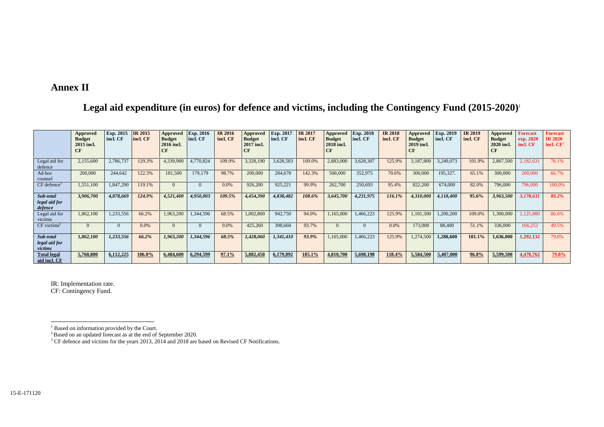## **Annex II**

## **Legal aid expenditure (in euros) for defence and victims, including the Contingency Fund (2015-2020)** 1

|                                        | Approved<br><b>Budget</b><br>2015 incl.<br>CF | Exp. 2015<br>incl. CF | <b>IR 2015</b><br>incl. CF | Approved<br><b>Budget</b><br>2016 incl.<br>CF | <b>Exp. 2016</b><br>incl. CF | <b>IR 2016</b><br>incl. CF | Approved<br><b>Budget</b><br>2017 incl.<br>CF | Exp. 2017<br>incl. CF | <b>IR 2017</b><br>incl. CF | Approved<br><b>Budget</b><br>2018 incl. | <b>Exp. 2018</b><br>incl. CF | <b>IR 2018</b><br>incl. CF | Approved<br><b>Budget</b><br>2019 incl.<br><b>CF</b> | Exp. 2019<br>incl. CF | <b>IR 2019</b><br>incl. CF | Approved<br><b>Budget</b><br>2020 incl.<br>CF | <b>Forecast</b><br>exp. 2020<br>incl. CF | <b>Forecast</b><br><b>IR 2020</b><br>incl. $CF2$ |
|----------------------------------------|-----------------------------------------------|-----------------------|----------------------------|-----------------------------------------------|------------------------------|----------------------------|-----------------------------------------------|-----------------------|----------------------------|-----------------------------------------|------------------------------|----------------------------|------------------------------------------------------|-----------------------|----------------------------|-----------------------------------------------|------------------------------------------|--------------------------------------------------|
| Legal aid for<br>defence               | 2,155,600                                     | 2,786,737             | 129.3%                     | 4,339,900                                     | 4,770,824                    | 109.9%                     | 3,328,190                                     | 3,628,583             | 109.0%                     | 2,883,000                               | 3,628,307                    | 125.9%                     | 3,187,800                                            | 3,249,073             | 101.9%                     | 2,867,500                                     | 2,182,631                                | 76.1%                                            |
| Ad-hoc<br>counsel                      | 200,000                                       | 244,642               | 122.3%                     | 181,500                                       | 179,179                      | 98.7%                      | 200,000                                       | 284,678               | 142.3%                     | 500,000                                 | 352,975                      | 70.6%                      | 300,000                                              | 195,327.              | 65.1%                      | 300,000                                       | 200,000                                  | 66.7%                                            |
| $CF$ defence <sup>3</sup>              | 1,551,100                                     | 1,847,290             | 119.1%                     | $\Omega$                                      | $\Omega$                     | 0.0%                       | 926,200                                       | 925,221               | 99.9%                      | 262,700                                 | 250,693                      | 95.4%                      | 822,200                                              | 674,000               | 82.0%                      | 796,000                                       | 796,000                                  | 100.0%                                           |
| Sub-total<br>legal aid for<br>defence  | 3,906,700                                     | 4,878,669             | 124.9%                     | 4,521,400                                     | 4,950,003                    | 109.5%                     | 4,454,390                                     | 4,838,482             | 108.6%                     | 3,645,700                               | 4,231,975                    | 116.1%                     | 4,310,000                                            | 4,118,400             | 95.6%                      | 3,963,500                                     | 3,178,631                                | 80.2%                                            |
| Legal aid for<br>victims               | 1,862,100                                     | 1,233,556             | 66.2%                      | 1,963,200                                     | 1,344,596                    | 68.5%                      | 1,002,800                                     | 942,750               | 94.0%                      | 1,165,000                               | 1,466,223                    | 125.9%                     | 1,101,500                                            | ,200,200              | 109.0%                     | 1,300,000                                     | 1,125,880                                | 86.6%                                            |
| $CF$ victims <sup><math>7</math></sup> | $\Omega$                                      |                       | 0.0%                       | $\Omega$                                      |                              | 0.0%                       | 425,260                                       | 398,660               | 93.7%                      | $\Omega$                                |                              | 0.0%                       | 173,000                                              | 88,400                | 51.1%                      | 336,000                                       | 166,252                                  | 49.5%                                            |
| Sub-total<br>legal aid for<br>victims  | 1,862,100                                     | 1,233,556             | 66.2%                      | 1,963,200                                     | 1,344,596                    | 68.5%                      | 1,428,060                                     | 1,341,410             | 93.9%                      | 1,165,000                               | 1,466,223                    | 125.9%                     | 1,274,500                                            | 1,288,600             | 101.1%                     | 1,636,000                                     | 1,292,132                                | 79.0%                                            |
| <b>Total legal</b><br>aid incl. CF     | 5,768,800                                     | 6,112,225             | 106.0%                     | 6,484,600                                     | 6,294,599                    | 97.1%                      | 5,882,450                                     | 6,179,892             | 105.1%                     | 4,810,700                               | 5,698,198                    | 118.4%                     | 5,584,500                                            | 5,407,000             | 96.8%                      | 5,599,500                                     | 4,470,762                                | 79.8%                                            |

IR: Implementation rate. CF: Contingency Fund.

 $1 \text{ Based on information provided by the Court.}$ <br> $2 \text{Based on an updated forecast as at the end of September 2020.}$ 

<sup>&</sup>lt;sup>3</sup> CF defence and victims for the years 2013, 2014 and 2018 are based on Revised CF Notifications.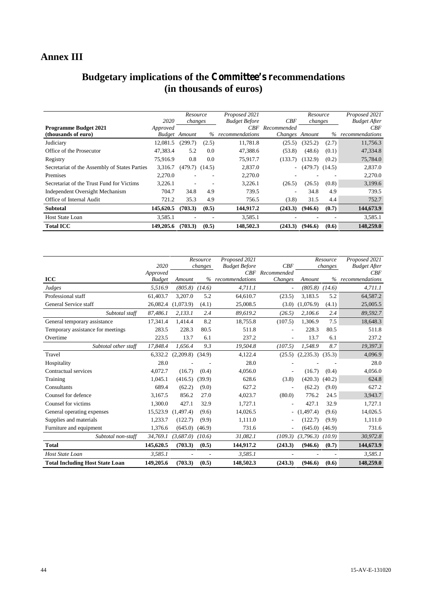## **Annex III**

## **Budgetary implications of the Committee's recommendations (in thousands of euros)**

|                                               |           | Resource             |       | Proposed 2021        |                | Resource           |       | Proposed 2021       |
|-----------------------------------------------|-----------|----------------------|-------|----------------------|----------------|--------------------|-------|---------------------|
|                                               | 2020      | changes              |       | <b>Budget Before</b> | CBF            | changes            |       | <b>Budget After</b> |
| <b>Programme Budget 2021</b>                  | Approved  |                      |       | CBF -                | Recommended    |                    |       | CBF                 |
| (thousands of euro)                           |           | <b>Budget</b> Amount |       | % recommendations    | Changes Amount |                    |       | % recommendations   |
| Judiciary                                     | 12.081.5  | (299.7)              | (2.5) | 11.781.8             | (25.5)         | (325.2)            | (2.7) | 11,756.3            |
| Office of the Prosecutor                      | 47,383.4  | 5.2                  | 0.0   | 47,388.6             | (53.8)         | (48.6)             | (0.1) | 47,334.8            |
| Registry                                      | 75.916.9  | 0.8                  | 0.0   | 75,917.7             | (133.7)        | (132.9)            | (0.2) | 75,784.0            |
| Secretariat of the Assembly of States Parties | 3,316.7   | $(479.7)$ $(14.5)$   |       | 2,837.0              | $\sim$         | $(479.7)$ $(14.5)$ |       | 2,837.0             |
| Premises                                      | 2.270.0   |                      |       | 2,270.0              |                |                    |       | 2,270.0             |
| Secretariat of the Trust Fund for Victims     | 3,226.1   |                      |       | 3,226.1              | (26.5)         | (26.5)             | (0.8) | 3,199.6             |
| Independent Oversight Mechanism               | 704.7     | 34.8                 | 4.9   | 739.5                |                | 34.8               | 4.9   | 739.5               |
| Office of Internal Audit                      | 721.2     | 35.3                 | 4.9   | 756.5                | (3.8)          | 31.5               | 4.4   | 752.7               |
| <b>Subtotal</b>                               | 145,620.5 | (703.3)              | (0.5) | 144,917.2            | (243.3)        | (946.6)            | (0.7) | 144,673.9           |
| <b>Host State Loan</b>                        | 3.585.1   |                      |       | 3,585.1              |                | ۰                  |       | 3,585.1             |
| <b>Total ICC</b>                              | 149,205.6 | (703.3)              | (0.5) | 148,502.3            | (243.3)        | (946.6)            | (0.6) | 148,259.0           |

|                                        | 2020<br>Approved |                      | Resource<br>changes | Proposed 2021<br><b>Budget Before</b><br>CBF | CBF<br>Recommended       |                      | Resource<br>changes | Proposed 2021<br><b>Budget After</b><br>CBF |
|----------------------------------------|------------------|----------------------|---------------------|----------------------------------------------|--------------------------|----------------------|---------------------|---------------------------------------------|
| <b>ICC</b>                             | <b>Budget</b>    | Amount               | $\%$                | recommendations                              | Changes                  | Amount               |                     | % recommendations                           |
| Judges                                 | 5,516.9          | $(805.8)$ $(14.6)$   |                     | 4,711.1                                      | $\tilde{\phantom{a}}$    | (805.8)              | (14.6)              | 4,711.1                                     |
| Professional staff                     | 61,403.7         | 3,207.0              | 5.2                 | 64,610.7                                     | (23.5)                   | 3,183.5              | 5.2                 | 64,587.2                                    |
| General Service staff                  | 26,082.4         | (1,073.9)            | (4.1)               | 25,008.5                                     | (3.0)                    | (1,076.9)            | (4.1)               | 25,005.5                                    |
| Subtotal staff                         | 87,486.1         | 2,133.1              | 2.4                 | 89,619.2                                     | (26.5)                   | 2,106.6              | 2.4                 | 89,592.7                                    |
| General temporary assistance           | 17,341.4         | 1,414.4              | 8.2                 | 18,755.8                                     | (107.5)                  | 1,306.9              | 7.5                 | 18,648.3                                    |
| Temporary assistance for meetings      | 283.5            | 228.3                | 80.5                | 511.8                                        |                          | 228.3                | 80.5                | 511.8                                       |
| Overtime                               | 223.5            | 13.7                 | 6.1                 | 237.2                                        |                          | 13.7                 | 6.1                 | 237.2                                       |
| Subtotal other staff                   | 17,848.4         | 1.656.4              | 9.3                 | 19,504.8                                     | (107.5)                  | 1,548.9              | 8.7                 | 19,397.3                                    |
| Travel                                 | 6,332.2          | $(2,209.8)$ $(34.9)$ |                     | 4,122.4                                      | (25.5)                   | $(2,235.3)$ $(35.3)$ |                     | 4,096.9                                     |
| Hospitality                            | 28.0             |                      |                     | 28.0                                         |                          |                      |                     | 28.0                                        |
| Contractual services                   | 4,072.7          | (16.7)               | (0.4)               | 4,056.0                                      |                          | (16.7)               | (0.4)               | 4,056.0                                     |
| Training                               | 1,045.1          | (416.5)              | (39.9)              | 628.6                                        | (3.8)                    | (420.3)              | (40.2)              | 624.8                                       |
| Consultants                            | 689.4            | (62.2)               | (9.0)               | 627.2                                        |                          | (62.2)               | (9.0)               | 627.2                                       |
| Counsel for defence                    | 3.167.5          | 856.2                | 27.0                | 4.023.7                                      | (80.0)                   | 776.2                | 24.5                | 3,943.7                                     |
| Counsel for victims                    | 1.300.0          | 427.1                | 32.9                | 1,727.1                                      |                          | 427.1                | 32.9                | 1,727.1                                     |
| General operating expenses             | 15,523.9         | (1,497.4)            | (9.6)               | 14,026.5                                     | $\overline{\phantom{a}}$ | (1,497.4)            | (9.6)               | 14,026.5                                    |
| Supplies and materials                 | 1,233.7          | (122.7)              | (9.9)               | 1,111.0                                      |                          | (122.7)              | (9.9)               | 1,111.0                                     |
| Furniture and equipment                | 1,376.6          | (645.0)              | (46.9)              | 731.6                                        |                          | (645.0)              | (46.9)              | 731.6                                       |
| Subtotal non-staff                     | 34,769.1         | (3,687.0)            | (10.6)              | 31,082.1                                     | (109.3)                  | (3,796.3)            | (10.9)              | 30,972.8                                    |
| <b>Total</b>                           | 145,620.5        | (703.3)              | (0.5)               | 144,917.2                                    | (243.3)                  | (946.6)              | (0.7)               | 144,673.9                                   |
| Host State Loan                        | 3,585.1          |                      |                     | 3,585.1                                      |                          |                      |                     | 3,585.1                                     |
| <b>Total Including Host State Loan</b> | 149,205.6        | (703.3)              | (0.5)               | 148,502.3                                    | (243.3)                  | (946.6)              | (0.6)               | 148,259.0                                   |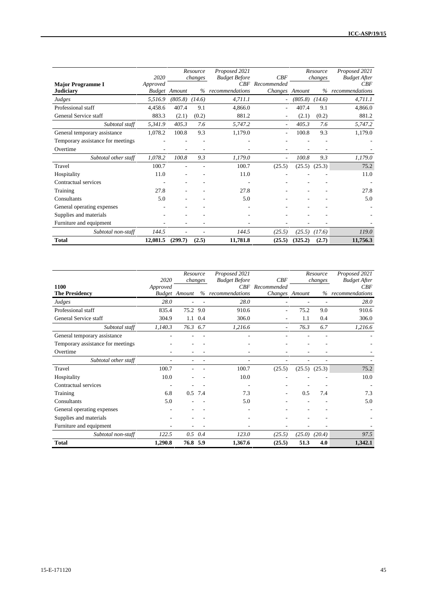|                                              | 2020     |                      | Resource<br>changes | Proposed 2021<br><b>Budget Before</b> | CBF                           |         | Resource<br>changes | Proposed 2021<br><b>Budget After</b> |
|----------------------------------------------|----------|----------------------|---------------------|---------------------------------------|-------------------------------|---------|---------------------|--------------------------------------|
| <b>Major Programme I</b><br><b>Judiciary</b> | Approved | <b>Budget</b> Amount | $\%$                | CBF<br>recommendations                | Recommended<br>Changes Amount |         | $\%$                | CBF<br>recommendations               |
| Judges                                       | 5,516.9  | (805.8)              | (14.6)              | 4,711.1                               |                               | (805.8) | (14.6)              | 4,711.1                              |
| Professional staff                           | 4,458.6  | 407.4                | 9.1                 | 4,866.0                               |                               | 407.4   | 9.1                 | 4,866.0                              |
| General Service staff                        | 883.3    | (2.1)                | (0.2)               | 881.2                                 | ۰                             | (2.1)   | (0.2)               | 881.2                                |
| Subtotal staff                               | 5,341.9  | 405.3                | 7.6                 | 5,747.2                               |                               | 405.3   | 7.6                 | 5,747.2                              |
| General temporary assistance                 | 1,078.2  | 100.8                | 9.3                 | 1,179.0                               | $\overline{\phantom{a}}$      | 100.8   | 9.3                 | 1,179.0                              |
| Temporary assistance for meetings            |          |                      |                     |                                       |                               |         |                     |                                      |
| Overtime                                     |          |                      |                     |                                       |                               |         |                     |                                      |
| Subtotal other staff                         | 1,078.2  | 100.8                | 9.3                 | 1,179.0                               |                               | 100.8   | 9.3                 | 1,179.0                              |
| Travel                                       | 100.7    |                      |                     | 100.7                                 | (25.5)                        | (25.5)  | (25.3)              | 75.2                                 |
| Hospitality                                  | 11.0     |                      |                     | 11.0                                  |                               |         |                     | 11.0                                 |
| Contractual services                         |          |                      |                     |                                       |                               |         |                     |                                      |
| Training                                     | 27.8     |                      |                     | 27.8                                  |                               |         |                     | 27.8                                 |
| Consultants                                  | 5.0      |                      |                     | 5.0                                   |                               |         |                     | 5.0                                  |
| General operating expenses                   |          |                      |                     |                                       |                               |         |                     |                                      |
| Supplies and materials                       |          |                      |                     |                                       |                               |         |                     |                                      |
| Furniture and equipment                      |          |                      |                     |                                       |                               |         |                     |                                      |
| Subtotal non-staff                           | 144.5    |                      |                     | 144.5                                 | (25.5)                        | (25.5)  | (17.6)              | 119.0                                |
| <b>Total</b>                                 | 12,081.5 | (299.7)              | (2.5)               | 11,781.8                              | (25.5)                        | (325.2) | (2.7)               | 11,756.3                             |

|                                   | 2020     | Resource             | changes         | Proposed 2021<br><b>Budget Before</b> | CBF            |        | Resource<br>changes | Proposed 2021<br><b>Budget After</b> |
|-----------------------------------|----------|----------------------|-----------------|---------------------------------------|----------------|--------|---------------------|--------------------------------------|
| 1100                              | Approved |                      |                 | CBF                                   | Recommended    |        |                     | CBF                                  |
| <b>The Presidency</b>             |          | <b>Budget</b> Amount | %               | recommendations                       | Changes Amount |        | %                   | recommendations                      |
| Judges                            | 28.0     |                      |                 | 28.0                                  |                |        |                     | 28.0                                 |
| Professional staff                | 835.4    | 75.2 9.0             |                 | 910.6                                 |                | 75.2   | 9.0                 | 910.6                                |
| General Service staff             | 304.9    |                      | 1.1 0.4         | 306.0                                 |                | 1.1    | 0.4                 | 306.0                                |
| Subtotal staff                    | 1,140.3  | 76.3 6.7             |                 | 1,216.6                               |                | 76.3   | 6.7                 | 1,216.6                              |
| General temporary assistance      |          |                      |                 |                                       |                |        |                     |                                      |
| Temporary assistance for meetings |          |                      |                 |                                       |                |        |                     |                                      |
| Overtime                          |          |                      |                 |                                       |                |        |                     |                                      |
| Subtotal other staff              |          | ٠                    |                 | $\overline{\phantom{a}}$              |                |        | ٠                   |                                      |
| Travel                            | 100.7    |                      |                 | 100.7                                 | (25.5)         | (25.5) | (25.3)              | 75.2                                 |
| Hospitality                       | 10.0     |                      |                 | 10.0                                  |                |        |                     | 10.0                                 |
| Contractual services              |          |                      |                 |                                       |                |        |                     |                                      |
| Training                          | 6.8      |                      | 0.5 7.4         | 7.3                                   |                | 0.5    | 7.4                 | 7.3                                  |
| Consultants                       | 5.0      |                      |                 | 5.0                                   |                |        |                     | 5.0                                  |
| General operating expenses        |          |                      |                 |                                       |                |        |                     |                                      |
| Supplies and materials            |          |                      |                 |                                       |                |        |                     |                                      |
| Furniture and equipment           |          |                      |                 |                                       |                |        |                     |                                      |
| Subtotal non-staff                | 122.5    |                      | $0.5 \quad 0.4$ | 123.0                                 | (25.5)         | (25.0) | (20.4)              | 97.5                                 |
| <b>Total</b>                      | 1,290.8  | 76.8 5.9             |                 | 1,367.6                               | (25.5)         | 51.3   | 4.0                 | 1,342.1                              |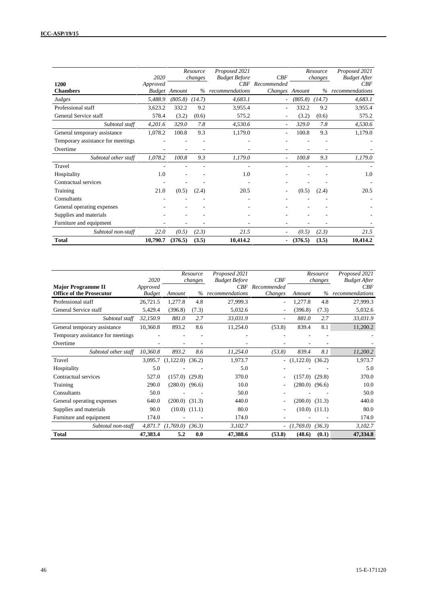|                                   | 2020     |                      | Resource<br>changes | Proposed 2021<br><b>Budget Before</b> | CBF                      |         | Resource<br>changes | Proposed 2021<br><b>Budget After</b> |
|-----------------------------------|----------|----------------------|---------------------|---------------------------------------|--------------------------|---------|---------------------|--------------------------------------|
| 1200                              | Approved |                      |                     | CBF                                   | Recommended              |         |                     | CBF                                  |
| <b>Chambers</b>                   |          | <b>Budget</b> Amount |                     | % recommendations                     | Changes Amount           |         | $\%$                | recommendations                      |
| Judges                            | 5,488.9  | (805.8)              | (14.7)              | 4,683.1                               | $\overline{\phantom{a}}$ | (805.8) | (14.7)              | 4,683.1                              |
| Professional staff                | 3,623.2  | 332.2                | 9.2                 | 3.955.4                               | $\overline{\phantom{a}}$ | 332.2   | 9.2                 | 3,955.4                              |
| General Service staff             | 578.4    | (3.2)                | (0.6)               | 575.2                                 |                          | (3.2)   | (0.6)               | 575.2                                |
| Subtotal staff                    | 4,201.6  | 329.0                | 7.8                 | 4,530.6                               | $\overline{\phantom{a}}$ | 329.0   | 7.8                 | 4,530.6                              |
| General temporary assistance      | 1,078.2  | 100.8                | 9.3                 | 1,179.0                               |                          | 100.8   | 9.3                 | 1,179.0                              |
| Temporary assistance for meetings |          |                      |                     |                                       |                          |         |                     |                                      |
| Overtime                          |          |                      |                     |                                       |                          |         |                     |                                      |
| Subtotal other staff              | 1,078.2  | 100.8                | 9.3                 | 1,179.0                               |                          | 100.8   | 9.3                 | 1,179.0                              |
| Travel                            |          |                      |                     |                                       |                          |         |                     |                                      |
| Hospitality                       | 1.0      |                      |                     | 1.0                                   |                          |         |                     | 1.0                                  |
| Contractual services              |          |                      |                     |                                       |                          |         |                     |                                      |
| Training                          | 21.0     | (0.5)                | (2.4)               | 20.5                                  |                          | (0.5)   | (2.4)               | 20.5                                 |
| Consultants                       |          |                      |                     |                                       |                          |         |                     |                                      |
| General operating expenses        |          |                      |                     |                                       |                          |         |                     |                                      |
| Supplies and materials            |          |                      |                     |                                       |                          |         |                     |                                      |
| Furniture and equipment           | ۰        |                      |                     |                                       |                          |         | ٠                   |                                      |
| Subtotal non-staff                | 22.0     | (0.5)                | (2.3)               | 21.5                                  |                          | (0.5)   | (2.3)               | 21.5                                 |
| <b>Total</b>                      | 10,790.7 | (376.5)              | (3.5)               | 10,414.2                              | $\overline{\phantom{a}}$ | (376.5) | (3.5)               | 10,414.2                             |

|                                                              | 2020                      |                      | Resource<br>changes | Proposed 2021<br><b>Budget Before</b> | CBF                      |                    | Resource<br>changes | Proposed 2021<br><b>Budget After</b> |
|--------------------------------------------------------------|---------------------------|----------------------|---------------------|---------------------------------------|--------------------------|--------------------|---------------------|--------------------------------------|
| <b>Major Programme II</b><br><b>Office of the Prosecutor</b> | Approved<br><b>Budget</b> | Amount               | $\%$                | CRF<br>recommendations                | Recommended<br>Changes   | Amount             | $\%$                | CBF<br>recommendations               |
| Professional staff                                           | 26,721.5                  | 1,277.8              | 4.8                 | 27,999.3                              | ٠                        | 1,277.8            | 4.8                 | 27,999.3                             |
| General Service staff                                        | 5,429.4                   | (396.8)              | (7.3)               | 5,032.6                               | ۰                        | (396.8)            | (7.3)               | 5,032.6                              |
| Subtotal staff                                               | 32,150.9                  | 881.0                | 2.7                 | 33,031.9                              | $\overline{\phantom{a}}$ | 881.0              | 2.7                 | 33,031.9                             |
| General temporary assistance                                 | 10,360.8                  | 893.2                | 8.6                 | 11,254.0                              | (53.8)                   | 839.4              | 8.1                 | 11,200.2                             |
| Temporary assistance for meetings                            |                           |                      |                     |                                       |                          |                    |                     |                                      |
| Overtime                                                     |                           |                      |                     |                                       |                          |                    |                     |                                      |
| Subtotal other staff                                         | 10,360.8                  | 893.2                | 8.6                 | 11,254.0                              | (53.8)                   | 839.4              | 8.1                 | 11,200.2                             |
| Travel                                                       | 3,095.7                   | $(1,122.0)$ $(36.2)$ |                     | 1,973.7                               | $\overline{\phantom{a}}$ | (1,122.0)          | (36.2)              | 1,973.7                              |
| Hospitality                                                  | 5.0                       |                      |                     | 5.0                                   |                          |                    |                     | 5.0                                  |
| Contractual services                                         | 527.0                     | $(157.0)$ $(29.8)$   |                     | 370.0                                 |                          | $(157.0)$ $(29.8)$ |                     | 370.0                                |
| Training                                                     | 290.0                     | (280.0)              | (96.6)              | 10.0                                  | ۰                        | $(280.0)$ $(96.6)$ |                     | 10.0                                 |
| Consultants                                                  | 50.0                      |                      |                     | 50.0                                  |                          |                    |                     | 50.0                                 |
| General operating expenses                                   | 640.0                     | (200.0)              | (31.3)              | 440.0                                 |                          | (200.0)            | (31.3)              | 440.0                                |
| Supplies and materials                                       | 90.0                      | $(10.0)$ $(11.1)$    |                     | 80.0                                  | ۰                        |                    | $(10.0)$ $(11.1)$   | 80.0                                 |
| Furniture and equipment                                      | 174.0                     |                      |                     | 174.0                                 |                          |                    |                     | 174.0                                |
| Subtotal non-staff                                           | 4,871.7                   | (1,769.0)            | (36.3)              | 3,102.7                               | $\overline{\phantom{a}}$ | (1,769.0)          | (36.3)              | 3,102.7                              |
| Total                                                        | 47,383.4                  | 5.2                  | 0.0                 | 47,388.6                              | (53.8)                   | (48.6)             | (0.1)               | 47,334.8                             |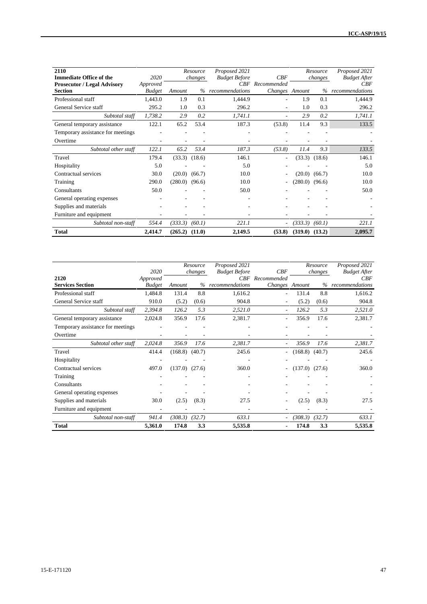| 2110<br><b>Immediate Office of the</b>               | 2020                      |         | Resource<br>changes | Proposed 2021<br><b>Budget Before</b> | CBF                               |                    | Resource<br>changes | Proposed 2021<br><b>Budget After</b> |
|------------------------------------------------------|---------------------------|---------|---------------------|---------------------------------------|-----------------------------------|--------------------|---------------------|--------------------------------------|
| <b>Prosecutor / Legal Advisory</b><br><b>Section</b> | Approved<br><b>Budget</b> | Amount  | $\%$                | recommendations                       | CBF Recommended<br>Changes Amount |                    | $\%$                | CBF<br>recommendations               |
| Professional staff                                   | 1,443.0                   | 1.9     | 0.1                 | 1,444.9                               |                                   | 1.9                | 0.1                 | 1,444.9                              |
| General Service staff                                | 295.2                     | 1.0     | 0.3                 | 296.2                                 |                                   | 1.0                | 0.3                 | 296.2                                |
| Subtotal staff                                       | 1,738.2                   | 2.9     | 0.2                 | 1,741.1                               |                                   | 2.9                | 0.2                 | 1,741.1                              |
| General temporary assistance                         | 122.1                     | 65.2    | 53.4                | 187.3                                 | (53.8)                            | 11.4               | 9.3                 | 133.5                                |
| Temporary assistance for meetings                    |                           |         |                     |                                       |                                   |                    |                     |                                      |
| Overtime                                             |                           |         |                     |                                       |                                   |                    |                     |                                      |
| Subtotal other staff                                 | 122.1                     | 65.2    | 53.4                | 187.3                                 | (53.8)                            | 11.4               | 9.3                 | 133.5                                |
| Travel                                               | 179.4                     | (33.3)  | (18.6)              | 146.1                                 |                                   | (33.3)             | (18.6)              | 146.1                                |
| Hospitality                                          | 5.0                       |         |                     | 5.0                                   |                                   |                    |                     | 5.0                                  |
| Contractual services                                 | 30.0                      | (20.0)  | (66.7)              | 10.0                                  |                                   | (20.0)             | (66.7)              | 10.0                                 |
| Training                                             | 290.0                     | (280.0) | (96.6)              | 10.0                                  |                                   | $(280.0)$ $(96.6)$ |                     | 10.0                                 |
| Consultants                                          | 50.0                      |         |                     | 50.0                                  |                                   |                    |                     | 50.0                                 |
| General operating expenses                           |                           |         |                     | ٠                                     |                                   |                    |                     |                                      |
| Supplies and materials                               |                           |         |                     |                                       |                                   |                    |                     |                                      |
| Furniture and equipment                              |                           |         |                     | ٠                                     |                                   |                    |                     |                                      |
| Subtotal non-staff                                   | 554.4                     | (333.3) | (60.1)              | 221.1                                 |                                   | (333.3)            | (60.1)              | 221.1                                |
| <b>Total</b>                                         | 2,414.7                   | (265.2) | (11.0)              | 2,149.5                               | (53.8)                            | (319.0)            | (13.2)              | 2,095.7                              |

|                                   | 2020                      |         | Resource<br>changes | Proposed 2021<br><b>Budget Before</b><br>CBF | CBF<br>Recommended       |         | Resource<br>changes | Proposed 2021<br><b>Budget After</b><br>CBF |
|-----------------------------------|---------------------------|---------|---------------------|----------------------------------------------|--------------------------|---------|---------------------|---------------------------------------------|
| 2120<br><b>Services Section</b>   | Approved<br><b>Budget</b> | Amount  | $\%$                | recommendations                              | Changes Amount           |         | $\%$                | recommendations                             |
| Professional staff                | 1,484.8                   | 131.4   | 8.8                 | 1,616.2                                      |                          | 131.4   | 8.8                 | 1,616.2                                     |
| General Service staff             | 910.0                     | (5.2)   | (0.6)               | 904.8                                        | ۰                        | (5.2)   | (0.6)               | 904.8                                       |
| Subtotal staff                    | 2,394.8                   | 126.2   | 5.3                 | 2,521.0                                      |                          | 126.2   | 5.3                 | 2,521.0                                     |
| General temporary assistance      | 2,024.8                   | 356.9   | 17.6                | 2,381.7                                      |                          | 356.9   | 17.6                | 2,381.7                                     |
| Temporary assistance for meetings |                           |         |                     |                                              |                          |         |                     |                                             |
| Overtime                          |                           |         |                     |                                              |                          |         |                     |                                             |
| Subtotal other staff              | 2,024.8                   | 356.9   | 17.6                | 2,381.7                                      | $\overline{\phantom{a}}$ | 356.9   | 17.6                | 2,381.7                                     |
| Travel                            | 414.4                     | (168.8) | (40.7)              | 245.6                                        |                          | (168.8) | (40.7)              | 245.6                                       |
| Hospitality                       |                           |         |                     |                                              |                          |         |                     |                                             |
| Contractual services              | 497.0                     | (137.0) | (27.6)              | 360.0                                        |                          | (137.0) | (27.6)              | 360.0                                       |
| Training                          |                           |         |                     |                                              |                          |         |                     |                                             |
| Consultants                       |                           |         |                     |                                              |                          |         |                     |                                             |
| General operating expenses        |                           |         |                     |                                              |                          |         |                     |                                             |
| Supplies and materials            | 30.0                      | (2.5)   | (8.3)               | 27.5                                         |                          | (2.5)   | (8.3)               | 27.5                                        |
| Furniture and equipment           |                           |         |                     |                                              |                          |         |                     |                                             |
| Subtotal non-staff                | 941.4                     | (308.3) | (32.7)              | 633.1                                        | ۰.                       | (308.3) | (32.7)              | 633.1                                       |
| <b>Total</b>                      | 5,361.0                   | 174.8   | 3.3                 | 5,535.8                                      |                          | 174.8   | 3.3                 | 5,535.8                                     |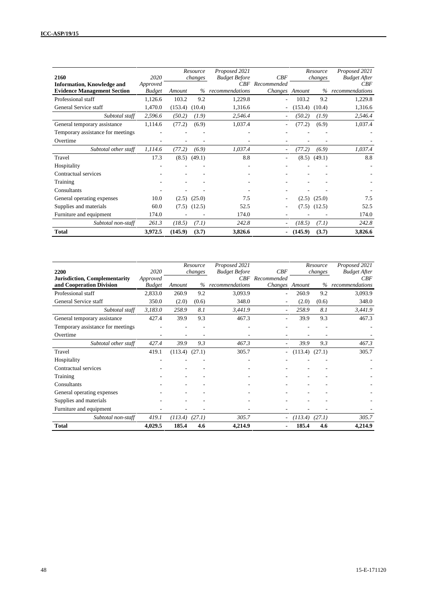| 2160                               | 2020          |         | Resource<br>changes | Proposed 2021<br><b>Budget Before</b> | CBF            |         | Resource<br>changes | Proposed 2021<br><b>Budget After</b> |
|------------------------------------|---------------|---------|---------------------|---------------------------------------|----------------|---------|---------------------|--------------------------------------|
| <b>Information, Knowledge and</b>  | Approved      |         |                     | CBF                                   | Recommended    |         |                     | CBF                                  |
| <b>Evidence Management Section</b> | <b>Budget</b> | Amount  | $\%$                | recommendations                       | Changes Amount |         | $\%$                | recommendations                      |
| Professional staff                 | 1,126.6       | 103.2   | 9.2                 | 1,229.8                               |                | 103.2   | 9.2                 | 1,229.8                              |
| General Service staff              | 1,470.0       | (153.4) | (10.4)              | 1,316.6                               |                | (153.4) | (10.4)              | 1,316.6                              |
| Subtotal staff                     | 2,596.6       | (50.2)  | (1.9)               | 2,546.4                               |                | (50.2)  | (1.9)               | 2,546.4                              |
| General temporary assistance       | 1,114.6       | (77.2)  | (6.9)               | 1,037.4                               |                | (77.2)  | (6.9)               | 1,037.4                              |
| Temporary assistance for meetings  |               |         |                     |                                       |                |         |                     |                                      |
| Overtime                           |               |         |                     |                                       |                |         |                     |                                      |
| Subtotal other staff               | 1,114.6       | (77.2)  | (6.9)               | 1,037.4                               |                | (77.2)  | (6.9)               | 1,037.4                              |
| Travel                             | 17.3          | (8.5)   | (49.1)              | 8.8                                   |                | (8.5)   | (49.1)              | 8.8                                  |
| Hospitality                        |               |         |                     |                                       |                |         |                     |                                      |
| Contractual services               |               |         |                     |                                       |                |         |                     |                                      |
| Training                           |               |         |                     |                                       |                |         |                     |                                      |
| Consultants                        |               |         |                     |                                       |                |         |                     |                                      |
| General operating expenses         | 10.0          | (2.5)   | (25.0)              | 7.5                                   |                | (2.5)   | (25.0)              | 7.5                                  |
| Supplies and materials             | 60.0          | (7.5)   | (12.5)              | 52.5                                  |                | (7.5)   | (12.5)              | 52.5                                 |
| Furniture and equipment            | 174.0         |         |                     | 174.0                                 |                |         |                     | 174.0                                |
| Subtotal non-staff                 | 261.3         | (18.5)  | (7.1)               | 242.8                                 |                | (18.5)  | (7.1)               | 242.8                                |
| <b>Total</b>                       | 3,972.5       | (145.9) | (3.7)               | 3,826.6                               |                | (145.9) | (3.7)               | 3,826.6                              |

| 2200                                                             | 2020                      |         | Resource<br>changes | Proposed 2021<br><b>Budget Before</b> | CBF                           |                    | Resource<br>changes | Proposed 2021<br><b>Budget After</b> |
|------------------------------------------------------------------|---------------------------|---------|---------------------|---------------------------------------|-------------------------------|--------------------|---------------------|--------------------------------------|
| <b>Jurisdiction, Complementarity</b><br>and Cooperation Division | Approved<br><b>Budget</b> | Amount  | $\%$                | CBF<br>recommendations                | Recommended<br>Changes Amount |                    | $\%$                | CBF<br>recommendations               |
| Professional staff                                               | 2,833.0                   | 260.9   | 9.2                 | 3,093.9                               |                               | 260.9              | 9.2                 | 3,093.9                              |
| General Service staff                                            | 350.0                     | (2.0)   | (0.6)               | 348.0                                 |                               | (2.0)              | (0.6)               | 348.0                                |
| Subtotal staff                                                   | 3,183.0                   | 258.9   | 8.1                 | 3,441.9                               |                               | 258.9              | 8.1                 | 3,441.9                              |
| General temporary assistance                                     | 427.4                     | 39.9    | 9.3                 | 467.3                                 |                               | 39.9               | 9.3                 | 467.3                                |
| Temporary assistance for meetings                                |                           |         |                     |                                       |                               |                    |                     |                                      |
| Overtime                                                         |                           |         |                     |                                       |                               |                    |                     |                                      |
| Subtotal other staff                                             | 427.4                     | 39.9    | 9.3                 | 467.3                                 | $\overline{\phantom{a}}$      | 39.9               | 9.3                 | 467.3                                |
| Travel                                                           | 419.1                     | (113.4) | (27.1)              | 305.7                                 | $\sim$                        | $(113.4)$ $(27.1)$ |                     | 305.7                                |
| Hospitality                                                      |                           |         |                     |                                       |                               |                    |                     |                                      |
| Contractual services                                             |                           |         |                     |                                       |                               |                    |                     |                                      |
| Training                                                         |                           |         |                     |                                       |                               |                    |                     |                                      |
| Consultants                                                      |                           |         |                     |                                       |                               |                    |                     |                                      |
| General operating expenses                                       |                           |         |                     |                                       |                               |                    |                     |                                      |
| Supplies and materials                                           |                           |         |                     |                                       |                               |                    |                     |                                      |
| Furniture and equipment                                          |                           |         |                     |                                       |                               |                    |                     |                                      |
| Subtotal non-staff                                               | 419.1                     | (113.4) | (27.1)              | 305.7                                 |                               | (113.4)            | (27.1)              | 305.7                                |
| <b>Total</b>                                                     | 4,029.5                   | 185.4   | 4.6                 | 4,214.9                               |                               | 185.4              | 4.6                 | 4,214.9                              |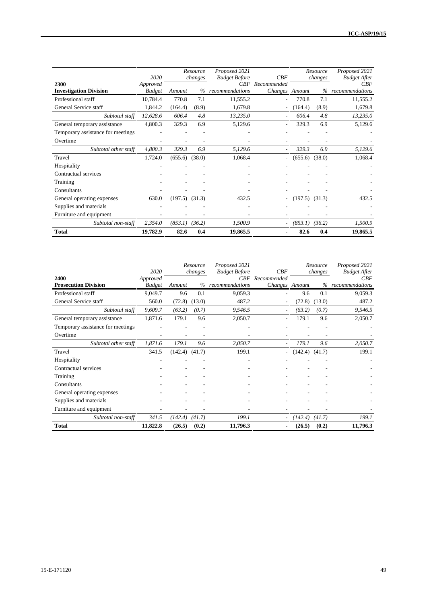|                                                     | 2020                      |         | Resource<br>changes | Proposed 2021<br><b>Budget Before</b> | CBF                      |         | Resource<br>changes | Proposed 2021<br><b>Budget After</b> |
|-----------------------------------------------------|---------------------------|---------|---------------------|---------------------------------------|--------------------------|---------|---------------------|--------------------------------------|
| 2300                                                | Approved                  | Amount  | $\%$                | CBF<br>recommendations                | Recommended              |         | $\%$                | CBF<br>recommendations               |
| <b>Investigation Division</b><br>Professional staff | <b>Budget</b><br>10,784.4 | 770.8   | 7.1                 | 11,555.2                              | Changes Amount           | 770.8   | 7.1                 | 11,555.2                             |
| General Service staff                               | 1,844.2                   | (164.4) | (8.9)               | 1,679.8                               |                          | (164.4) | (8.9)               | 1,679.8                              |
|                                                     |                           |         |                     |                                       |                          |         |                     |                                      |
| Subtotal staff                                      | 12,628.6                  | 606.4   | 4.8                 | 13,235.0                              | $\overline{\phantom{a}}$ | 606.4   | 4.8                 | 13,235.0                             |
| General temporary assistance                        | 4,800.3                   | 329.3   | 6.9                 | 5,129.6                               |                          | 329.3   | 6.9                 | 5,129.6                              |
| Temporary assistance for meetings                   |                           |         |                     |                                       |                          |         |                     |                                      |
| Overtime                                            |                           |         |                     |                                       |                          |         |                     |                                      |
| Subtotal other staff                                | 4,800.3                   | 329.3   | 6.9                 | 5,129.6                               |                          | 329.3   | 6.9                 | 5,129.6                              |
| Travel                                              | 1,724.0                   | (655.6) | (38.0)              | 1,068.4                               |                          | (655.6) | (38.0)              | 1,068.4                              |
| Hospitality                                         |                           |         |                     |                                       |                          |         |                     |                                      |
| Contractual services                                |                           |         |                     |                                       |                          |         |                     |                                      |
| Training                                            |                           |         |                     |                                       |                          |         |                     |                                      |
| Consultants                                         |                           |         |                     |                                       |                          |         |                     |                                      |
| General operating expenses                          | 630.0                     | (197.5) | (31.3)              | 432.5                                 |                          | (197.5) | (31.3)              | 432.5                                |
| Supplies and materials                              |                           |         |                     |                                       |                          |         |                     |                                      |
| Furniture and equipment                             |                           |         |                     |                                       |                          |         |                     |                                      |
| Subtotal non-staff                                  | 2,354.0                   | (853.1) | (36.2)              | 1,500.9                               | $\sim$                   | (853.1) | (36.2)              | 1,500.9                              |
| <b>Total</b>                                        | 19,782.9                  | 82.6    | 0.4                 | 19,865.5                              |                          | 82.6    | 0.4                 | 19,865.5                             |

|                                   | 2020          |         | Resource | Proposed 2021<br><b>Budget Before</b> | CBF                      |         | Resource | Proposed 2021<br><b>Budget After</b> |
|-----------------------------------|---------------|---------|----------|---------------------------------------|--------------------------|---------|----------|--------------------------------------|
| 2400                              | Approved      |         | changes  |                                       | CBF Recommended          |         | changes  | CBF                                  |
| <b>Prosecution Division</b>       | <b>Budget</b> | Amount  | $\%$     | recommendations                       | Changes Amount           |         | $\%$     | recommendations                      |
| Professional staff                | 9,049.7       | 9.6     | 0.1      | 9,059.3                               |                          | 9.6     | 0.1      | 9,059.3                              |
| General Service staff             | 560.0         | (72.8)  | (13.0)   | 487.2                                 |                          | (72.8)  | (13.0)   | 487.2                                |
| Subtotal staff                    | 9,609.7       | (63.2)  | (0.7)    | 9,546.5                               |                          | (63.2)  | (0.7)    | 9,546.5                              |
| General temporary assistance      | 1,871.6       | 179.1   | 9.6      | 2,050.7                               |                          | 179.1   | 9.6      | 2,050.7                              |
| Temporary assistance for meetings |               |         |          |                                       |                          |         |          |                                      |
| Overtime                          |               |         |          |                                       |                          |         |          |                                      |
| Subtotal other staff              | 1,871.6       | 179.1   | 9.6      | 2,050.7                               | $\overline{\phantom{a}}$ | 179.1   | 9.6      | 2,050.7                              |
| Travel                            | 341.5         | (142.4) | (41.7)   | 199.1                                 | $\sim$                   | (142.4) | (41.7)   | 199.1                                |
| Hospitality                       |               |         |          |                                       |                          |         |          |                                      |
| Contractual services              |               |         |          |                                       |                          |         |          |                                      |
| Training                          |               |         |          |                                       |                          |         |          |                                      |
| Consultants                       |               |         |          |                                       |                          |         |          |                                      |
| General operating expenses        |               |         |          |                                       |                          |         |          |                                      |
| Supplies and materials            |               |         |          |                                       |                          |         |          |                                      |
| Furniture and equipment           |               |         |          |                                       |                          |         |          |                                      |
| Subtotal non-staff                | 341.5         | (142.4) | (41.7)   | 199.1                                 | $\sim$                   | (142.4) | (41.7)   | 199.1                                |
| <b>Total</b>                      | 11,822.8      | (26.5)  | (0.2)    | 11,796.3                              |                          | (26.5)  | (0.2)    | 11,796.3                             |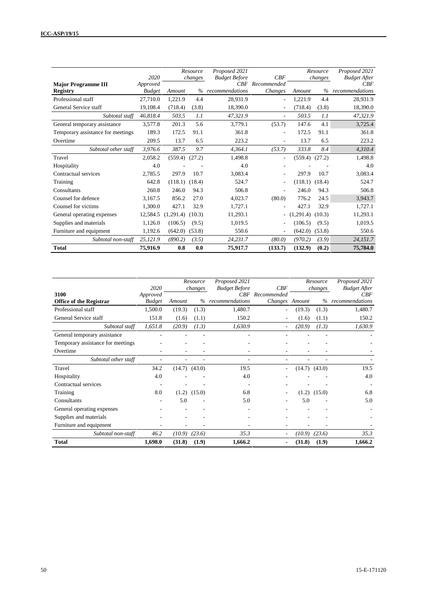|                                   | 2020          |           | Resource<br>changes | Proposed 2021<br><b>Budget Before</b> | CBF                      |                | Resource<br>changes | Proposed 2021<br><b>Budget After</b> |
|-----------------------------------|---------------|-----------|---------------------|---------------------------------------|--------------------------|----------------|---------------------|--------------------------------------|
| <b>Major Programme III</b>        | Approved      |           |                     | CBF                                   | Recommended              |                |                     | CBF                                  |
| <b>Registry</b>                   | <b>Budget</b> | Amount    | $\%$                | recommendations                       | Changes                  | Amount         | $\%$                | recommendations                      |
| Professional staff                | 27,710.0      | 1,221.9   | 4.4                 | 28,931.9                              | $\overline{\phantom{0}}$ | 1,221.9        | 4.4                 | 28,931.9                             |
| General Service staff             | 19,108.4      | (718.4)   | (3.8)               | 18,390.0                              | ٠                        | (718.4)        | (3.8)               | 18,390.0                             |
| Subtotal staff                    | 46.818.4      | 503.5     | 1.1                 | 47,321.9                              | $\overline{\phantom{a}}$ | 503.5          | 1.1                 | 47,321.9                             |
| General temporary assistance      | 3,577.8       | 201.3     | 5.6                 | 3,779.1                               | (53.7)                   | 147.6          | 4.1                 | 3,725.4                              |
| Temporary assistance for meetings | 189.3         | 172.5     | 91.1                | 361.8                                 | ٠                        | 172.5          | 91.1                | 361.8                                |
| Overtime                          | 209.5         | 13.7      | 6.5                 | 223.2                                 | $\overline{\phantom{0}}$ | 13.7           | 6.5                 | 223.2                                |
| Subtotal other staff              | 3,976.6       | 387.5     | 9.7                 | 4,364.1                               | (53.7)                   | 333.8          | 8.4                 | 4,310.4                              |
| Travel                            | 2.058.2       | (559.4)   | (27.2)              | 1,498.8                               | $\overline{\phantom{0}}$ | (559.4)        | (27.2)              | 1,498.8                              |
| Hospitality                       | 4.0           |           |                     | 4.0                                   |                          |                |                     | 4.0                                  |
| Contractual services              | 2.785.5       | 297.9     | 10.7                | 3,083.4                               |                          | 297.9          | 10.7                | 3,083.4                              |
| Training                          | 642.8         | (118.1)   | (18.4)              | 524.7                                 | ٠                        | (118.1)        | (18.4)              | 524.7                                |
| Consultants                       | 260.8         | 246.0     | 94.3                | 506.8                                 | ٠                        | 246.0          | 94.3                | 506.8                                |
| Counsel for defence               | 3.167.5       | 856.2     | 27.0                | 4,023.7                               | (80.0)                   | 776.2          | 24.5                | 3,943.7                              |
| Counsel for victims               | 1,300.0       | 427.1     | 32.9                | 1,727.1                               | ٠                        | 427.1          | 32.9                | 1,727.1                              |
| General operating expenses        | 12,584.5      | (1.291.4) | (10.3)              | 11,293.1                              | -                        | ,291.4)<br>(1) | (10.3)              | 11,293.1                             |
| Supplies and materials            | 1.126.0       | (106.5)   | (9.5)               | 1,019.5                               | ٠                        | (106.5)        | (9.5)               | 1,019.5                              |
| Furniture and equipment           | 1,192.6       | (642.0)   | (53.8)              | 550.6                                 | $\overline{\phantom{a}}$ | (642.0)        | (53.8)              | 550.6                                |
| Subtotal non-staff                | 25,121.9      | (890.2)   | (3.5)               | 24,231.7                              | (80.0)                   | (970.2)        | (3.9)               | 24,151.7                             |
| <b>Total</b>                      | 75,916.9      | 0.8       | 0.0                 | 75,917.7                              | (133.7)                  | (132.9)        | (0.2)               | 75,784.0                             |

| 3100                              | 2020                      |                   | Resource<br>changes | Proposed 2021<br><b>Budget Before</b><br>CBF | CBF<br>Recommended |                   | Resource<br>changes | Proposed 2021<br><b>Budget After</b><br>CBF |
|-----------------------------------|---------------------------|-------------------|---------------------|----------------------------------------------|--------------------|-------------------|---------------------|---------------------------------------------|
| <b>Office of the Registrar</b>    | Approved<br><b>Budget</b> | Amount            |                     | % recommendations                            | Changes Amount     |                   |                     | % recommendations                           |
| Professional staff                | 1,500.0                   | (19.3)            | (1.3)               | 1,480.7                                      | ٠                  | (19.3)            | (1.3)               | 1,480.7                                     |
| General Service staff             | 151.8                     | (1.6)             | (1.1)               | 150.2                                        |                    | (1.6)             | (1.1)               | 150.2                                       |
| Subtotal staff                    | 1,651.8                   | (20.9)            | (1.3)               | 1,630.9                                      |                    | (20.9)            | (1.3)               | 1,630.9                                     |
| General temporary assistance      |                           |                   |                     |                                              |                    |                   |                     |                                             |
| Temporary assistance for meetings |                           |                   |                     |                                              |                    |                   |                     |                                             |
| Overtime                          |                           |                   |                     |                                              |                    |                   |                     |                                             |
| Subtotal other staff              |                           |                   |                     | ۰.                                           |                    |                   |                     |                                             |
| Travel                            | 34.2                      | $(14.7)$ $(43.0)$ |                     | 19.5                                         | ۰.                 | $(14.7)$ $(43.0)$ |                     | 19.5                                        |
| Hospitality                       | 4.0                       |                   |                     | 4.0                                          |                    |                   |                     | 4.0                                         |
| Contractual services              |                           |                   |                     |                                              |                    |                   |                     |                                             |
| Training                          | 8.0                       | (1.2)             | (15.0)              | 6.8                                          |                    | (1.2)             | (15.0)              | 6.8                                         |
| Consultants                       | ۰                         | 5.0               |                     | 5.0                                          |                    | 5.0               |                     | 5.0                                         |
| General operating expenses        |                           |                   |                     |                                              |                    |                   |                     |                                             |
| Supplies and materials            |                           |                   |                     |                                              |                    |                   |                     |                                             |
| Furniture and equipment           |                           |                   |                     |                                              |                    |                   |                     |                                             |
| Subtotal non-staff                | 46.2                      | (10.9)            | (23.6)              | 35.3                                         |                    | (10.9)            | (23.6)              | 35.3                                        |
| <b>Total</b>                      | 1,698.0                   | (31.8)            | (1.9)               | 1,666.2                                      |                    | (31.8)            | (1.9)               | 1,666.2                                     |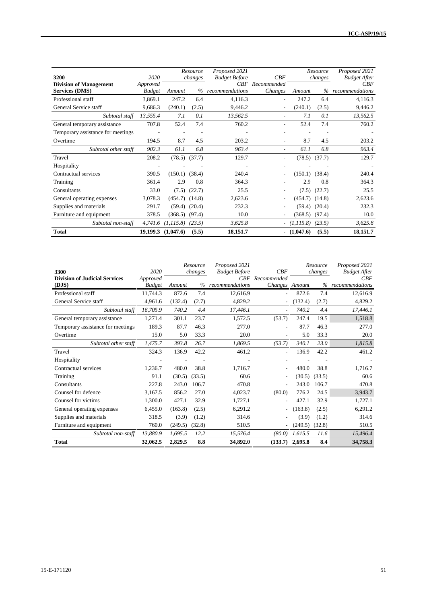| 3200                                                   | 2020                      |                    | Resource<br>changes | Proposed 2021<br><b>Budget Before</b><br>CRF | CBF                    |                    | Resource<br>changes | Proposed 2021<br><b>Budget After</b> |
|--------------------------------------------------------|---------------------------|--------------------|---------------------|----------------------------------------------|------------------------|--------------------|---------------------|--------------------------------------|
| <b>Division of Management</b><br><b>Services (DMS)</b> | Approved<br><b>Budget</b> | Amount             | $\%$                | recommendations                              | Recommended<br>Changes | Amount             | $\%$                | CBF<br>recommendations               |
| Professional staff                                     | 3,869.1                   | 247.2              | 6.4                 | 4,116.3                                      | ٠                      | 247.2              | 6.4                 | 4,116.3                              |
| General Service staff                                  | 9,686.3                   | (240.1)            | (2.5)               | 9,446.2                                      | ۰                      | (240.1)            | (2.5)               | 9,446.2                              |
| Subtotal staff                                         | 13,555.4                  | 7.1                | 0.1                 | 13,562.5                                     | $\sim$                 | 7.1                | 0.1                 | 13,562.5                             |
| General temporary assistance                           | 707.8                     | 52.4               | 7.4                 | 760.2                                        | ٠                      | 52.4               | 7.4                 | 760.2                                |
| Temporary assistance for meetings                      |                           |                    |                     |                                              |                        |                    |                     |                                      |
| Overtime                                               | 194.5                     | 8.7                | 4.5                 | 203.2                                        | ۰                      | 8.7                | 4.5                 | 203.2                                |
| Subtotal other staff                                   | 902.3                     | 61.1               | 6.8                 | 963.4                                        | ٠                      | 61.1               | 6.8                 | 963.4                                |
| Travel                                                 | 208.2                     | $(78.5)$ $(37.7)$  |                     | 129.7                                        | ۰                      | (78.5)             | (37.7)              | 129.7                                |
| Hospitality                                            |                           |                    |                     |                                              |                        |                    |                     |                                      |
| Contractual services                                   | 390.5                     | $(150.1)$ $(38.4)$ |                     | 240.4                                        |                        | $(150.1)$ $(38.4)$ |                     | 240.4                                |
| Training                                               | 361.4                     | 2.9                | 0.8                 | 364.3                                        |                        | 2.9                | 0.8                 | 364.3                                |
| Consultants                                            | 33.0                      | (7.5)              | (22.7)              | 25.5                                         |                        | (7.5)              | (22.7)              | 25.5                                 |
| General operating expenses                             | 3,078.3                   | (454.7)            | (14.8)              | 2,623.6                                      | ۰                      | (454.7)            | (14.8)              | 2,623.6                              |
| Supplies and materials                                 | 291.7                     | (59.4)             | (20.4)              | 232.3                                        | ۰                      | (59.4)             | (20.4)              | 232.3                                |
| Furniture and equipment                                | 378.5                     | $(368.5)$ $(97.4)$ |                     | 10.0                                         | ٠                      | (368.5)            | (97.4)              | 10.0                                 |
| Subtotal non-staff                                     | 4,741.6                   | (1, 115.8)         | (23.5)              | 3,625.8                                      | $\sim$                 | (1, 115.8)         | (23.5)              | 3,625.8                              |
| <b>Total</b>                                           | 19,199.3                  | (1,047.6)          | (5.5)               | 18,151.7                                     |                        | $- (1,047.6)$      | (5.5)               | 18,151.7                             |

| 3300                                          | 2020                      |         | Resource<br>changes | Proposed 2021<br><b>Budget Before</b> | CBF                               |         | Resource<br>changes | Proposed 2021<br><b>Budget After</b> |
|-----------------------------------------------|---------------------------|---------|---------------------|---------------------------------------|-----------------------------------|---------|---------------------|--------------------------------------|
| <b>Division of Judicial Services</b><br>(DJS) | Approved<br><b>Budget</b> | Amount  |                     | % recommendations                     | CBF Recommended<br>Changes Amount |         | $\%$                | CBF<br>recommendations               |
| Professional staff                            | 11,744.3                  | 872.6   | 7.4                 | 12,616.9                              |                                   | 872.6   | 7.4                 | 12,616.9                             |
| General Service staff                         | 4,961.6                   | (132.4) | (2.7)               | 4,829.2                               |                                   | (132.4) | (2.7)               | 4,829.2                              |
| Subtotal staff                                | 16,705.9                  | 740.2   | 4.4                 | 17,446.1                              | $\overline{a}$                    | 740.2   | 4.4                 | 17,446.1                             |
| General temporary assistance                  | 1,271.4                   | 301.1   | 23.7                | 1,572.5                               | (53.7)                            | 247.4   | 19.5                | 1,518.8                              |
| Temporary assistance for meetings             | 189.3                     | 87.7    | 46.3                | 277.0                                 |                                   | 87.7    | 46.3                | 277.0                                |
| Overtime                                      | 15.0                      | 5.0     | 33.3                | 20.0                                  |                                   | 5.0     | 33.3                | 20.0                                 |
| Subtotal other staff                          | 1,475.7                   | 393.8   | 26.7                | 1,869.5                               | (53.7)                            | 340.1   | 23.0                | 1,815.8                              |
| Travel                                        | 324.3                     | 136.9   | 42.2                | 461.2                                 | ٠                                 | 136.9   | 42.2                | 461.2                                |
| Hospitality                                   |                           |         |                     |                                       |                                   |         |                     |                                      |
| Contractual services                          | 1.236.7                   | 480.0   | 38.8                | 1.716.7                               |                                   | 480.0   | 38.8                | 1.716.7                              |
| Training                                      | 91.1                      | (30.5)  | (33.5)              | 60.6                                  | ٠                                 | (30.5)  | (33.5)              | 60.6                                 |
| Consultants                                   | 227.8                     | 243.0   | 106.7               | 470.8                                 |                                   | 243.0   | 106.7               | 470.8                                |
| Counsel for defence                           | 3,167.5                   | 856.2   | 27.0                | 4,023.7                               | (80.0)                            | 776.2   | 24.5                | 3,943.7                              |
| Counsel for victims                           | 1,300.0                   | 427.1   | 32.9                | 1,727.1                               |                                   | 427.1   | 32.9                | 1,727.1                              |
| General operating expenses                    | 6,455.0                   | (163.8) | (2.5)               | 6,291.2                               | ۰.                                | (163.8) | (2.5)               | 6,291.2                              |
| Supplies and materials                        | 318.5                     | (3.9)   | (1.2)               | 314.6                                 |                                   | (3.9)   | (1.2)               | 314.6                                |
| Furniture and equipment                       | 760.0                     | (249.5) | (32.8)              | 510.5                                 | ۰.                                | (249.5) | (32.8)              | 510.5                                |
| Subtotal non-staff                            | 13,880.9                  | 1,695.5 | 12.2                | 15,576.4                              | (80.0)                            | 1,615.5 | 11.6                | 15,496.4                             |
| <b>Total</b>                                  | 32,062.5                  | 2,829.5 | 8.8                 | 34,892.0                              | (133.7)                           | 2,695.8 | 8.4                 | 34,758.3                             |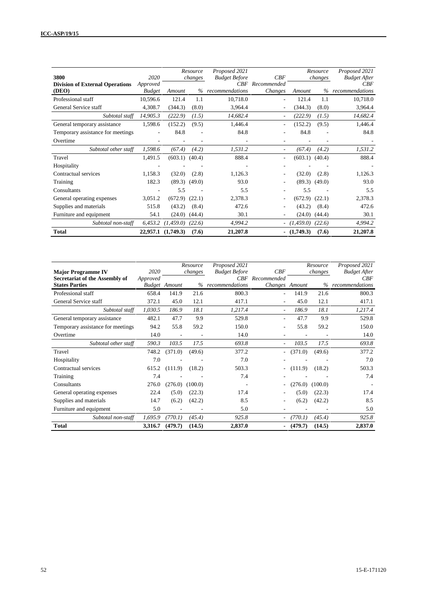| 3800<br><b>Division of External Operations</b> | 2020<br>Approved |                    | Resource<br>changes | Proposed 2021<br><b>Budget Before</b><br>CRF | CBF<br>Recommended       |               | Resource<br>changes | Proposed 2021<br><b>Budget After</b><br>CBF |
|------------------------------------------------|------------------|--------------------|---------------------|----------------------------------------------|--------------------------|---------------|---------------------|---------------------------------------------|
| (DEO)                                          | <b>Budget</b>    | Amount             |                     | % recommendations                            | Changes                  | Amount        | $\%$                | recommendations                             |
| Professional staff                             | 10,596.6         | 121.4              | 1.1                 | 10,718.0                                     | ٠                        | 121.4         | 1.1                 | 10,718.0                                    |
| General Service staff                          | 4,308.7          | (344.3)            | (8.0)               | 3,964.4                                      | ٠                        | (344.3)       | (8.0)               | 3,964.4                                     |
| Subtotal staff                                 | 14,905.3         | (222.9)            | (1.5)               | 14,682.4                                     | ٠                        | (222.9)       | (1.5)               | 14,682.4                                    |
| General temporary assistance                   | 1,598.6          | (152.2)            | (9.5)               | 1,446.4                                      | $\overline{\phantom{a}}$ | (152.2)       | (9.5)               | 1,446.4                                     |
| Temporary assistance for meetings              |                  | 84.8               |                     | 84.8                                         |                          | 84.8          |                     | 84.8                                        |
| Overtime                                       |                  |                    |                     |                                              | ۰                        |               |                     |                                             |
| Subtotal other staff                           | 1,598.6          | (67.4)             | (4.2)               | 1,531.2                                      | $\overline{a}$           | (67.4)        | (4.2)               | 1,531.2                                     |
| Travel                                         | 1,491.5          | (603.1)            | (40.4)              | 888.4                                        | $\overline{\phantom{0}}$ | (603.1)       | (40.4)              | 888.4                                       |
| Hospitality                                    |                  |                    |                     |                                              |                          |               |                     | ٠                                           |
| Contractual services                           | 1,158.3          | (32.0)             | (2.8)               | 1,126.3                                      | ۰                        | (32.0)        | (2.8)               | 1,126.3                                     |
| Training                                       | 182.3            | (89.3)             | (49.0)              | 93.0                                         | $\overline{\phantom{0}}$ | (89.3)        | (49.0)              | 93.0                                        |
| Consultants                                    |                  | 5.5                |                     | 5.5                                          |                          | 5.5           |                     | 5.5                                         |
| General operating expenses                     | 3,051.2          | (672.9)            | (22.1)              | 2,378.3                                      | ۰                        | (672.9)       | (22.1)              | 2,378.3                                     |
| Supplies and materials                         | 515.8            | (43.2)             | (8.4)               | 472.6                                        | ٠                        | (43.2)        | (8.4)               | 472.6                                       |
| Furniture and equipment                        | 54.1             | (24.0)             | (44.4)              | 30.1                                         |                          | (24.0)        | (44.4)              | 30.1                                        |
| Subtotal non-staff                             | 6,453.2          | (1,459.0)          | (22.6)              | 4,994.2                                      |                          | $-(1,459.0)$  | (22.6)              | 4,994.2                                     |
| <b>Total</b>                                   |                  | 22,957.1 (1,749.3) | (7.6)               | 21,207.8                                     |                          | $- (1,749.3)$ | (7.6)               | 21,207.8                                    |

|                                   |          |                      | Resource | Proposed 2021        |                          |         | Resource | Proposed 2021       |
|-----------------------------------|----------|----------------------|----------|----------------------|--------------------------|---------|----------|---------------------|
| <b>Major Programme IV</b>         | 2020     |                      | changes  | <b>Budget Before</b> | CBF                      |         | changes  | <b>Budget After</b> |
| Secretariat of the Assembly of    | Approved |                      |          | CBF                  | Recommended              |         |          | CBF                 |
| <b>States Parties</b>             |          | <b>Budget</b> Amount | $\%$     | recommendations      | Changes Amount           |         | $\%$     | recommendations     |
| Professional staff                | 658.4    | 141.9                | 21.6     | 800.3                | ٠                        | 141.9   | 21.6     | 800.3               |
| General Service staff             | 372.1    | 45.0                 | 12.1     | 417.1                | $\overline{\phantom{a}}$ | 45.0    | 12.1     | 417.1               |
| Subtotal staff                    | 1,030.5  | 186.9                | 18.1     | 1,217.4              | $\overline{\phantom{a}}$ | 186.9   | 18.1     | 1,217.4             |
| General temporary assistance      | 482.1    | 47.7                 | 9.9      | 529.8                | $\overline{\phantom{0}}$ | 47.7    | 9.9      | 529.8               |
| Temporary assistance for meetings | 94.2     | 55.8                 | 59.2     | 150.0                | $\overline{\phantom{a}}$ | 55.8    | 59.2     | 150.0               |
| Overtime                          | 14.0     | ٠                    |          | 14.0                 |                          |         |          | 14.0                |
| Subtotal other staff              | 590.3    | 103.5                | 17.5     | 693.8                | $\overline{\phantom{a}}$ | 103.5   | 17.5     | 693.8               |
| Travel                            | 748.2    | (371.0)              | (49.6)   | 377.2                | $\overline{\phantom{a}}$ | (371.0) | (49.6)   | 377.2               |
| Hospitality                       | 7.0      |                      |          | 7.0                  |                          |         |          | 7.0                 |
| Contractual services              | 615.2    | (111.9)              | (18.2)   | 503.3                | $\overline{\phantom{a}}$ | (111.9) | (18.2)   | 503.3               |
| Training                          | 7.4      |                      |          | 7.4                  |                          |         |          | 7.4                 |
| Consultants                       | 276.0    | (276.0)              | (100.0)  | $\overline{a}$       |                          | (276.0) | (100.0)  | $\overline{a}$      |
| General operating expenses        | 22.4     | (5.0)                | (22.3)   | 17.4                 |                          | (5.0)   | (22.3)   | 17.4                |
| Supplies and materials            | 14.7     | (6.2)                | (42.2)   | 8.5                  | ٠                        | (6.2)   | (42.2)   | 8.5                 |
| Furniture and equipment           | 5.0      |                      |          | 5.0                  |                          |         |          | 5.0                 |
| Subtotal non-staff                | 1,695.9  | (770.1)              | (45.4)   | 925.8                |                          | (770.1) | (45.4)   | 925.8               |
| <b>Total</b>                      | 3,316.7  | (479.7)              | (14.5)   | 2,837.0              | $\blacksquare$           | (479.7) | (14.5)   | 2,837.0             |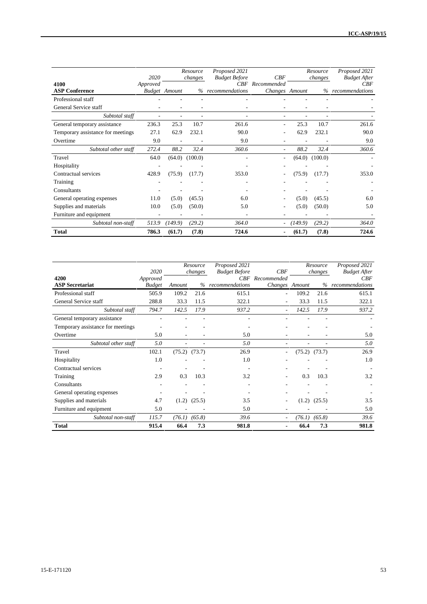|                                   | 2020     |                      | Resource<br>changes | Proposed 2021<br><b>Budget Before</b> | CBF                      |         | Resource<br>changes | Proposed 2021<br><b>Budget After</b> |
|-----------------------------------|----------|----------------------|---------------------|---------------------------------------|--------------------------|---------|---------------------|--------------------------------------|
| 4100                              | Approved |                      |                     | CRF                                   | Recommended              |         |                     | CBF                                  |
| <b>ASP Conference</b>             |          | <b>Budget</b> Amount | $\%$                | recommendations                       | Changes Amount           |         | $\%$                | recommendations                      |
| Professional staff                |          |                      |                     |                                       |                          |         |                     |                                      |
| General Service staff             |          |                      |                     |                                       |                          |         |                     |                                      |
| Subtotal staff                    | ٠        |                      | ٠                   | ٠                                     | ٠                        |         | ٠                   |                                      |
| General temporary assistance      | 236.3    | 25.3                 | 10.7                | 261.6                                 | ٠                        | 25.3    | 10.7                | 261.6                                |
| Temporary assistance for meetings | 27.1     | 62.9                 | 232.1               | 90.0                                  |                          | 62.9    | 232.1               | 90.0                                 |
| Overtime                          | 9.0      | ٠                    |                     | 9.0                                   | $\overline{\phantom{a}}$ |         |                     | 9.0                                  |
| Subtotal other staff              | 272.4    | 88.2                 | 32.4                | 360.6                                 |                          | 88.2    | 32.4                | 360.6                                |
| Travel                            | 64.0     | (64.0)               | (100.0)             |                                       |                          | (64.0)  | (100.0)             |                                      |
| Hospitality                       |          |                      |                     |                                       |                          |         |                     |                                      |
| Contractual services              | 428.9    | (75.9)               | (17.7)              | 353.0                                 |                          | (75.9)  | (17.7)              | 353.0                                |
| Training                          |          |                      |                     |                                       |                          |         |                     |                                      |
| Consultants                       |          |                      |                     |                                       |                          |         |                     |                                      |
| General operating expenses        | 11.0     | (5.0)                | (45.5)              | 6.0                                   | ٠                        | (5.0)   | (45.5)              | 6.0                                  |
| Supplies and materials            | 10.0     | (5.0)                | (50.0)              | 5.0                                   |                          | (5.0)   | (50.0)              | 5.0                                  |
| Furniture and equipment           |          |                      |                     | ٠                                     |                          |         |                     |                                      |
| Subtotal non-staff                | 513.9    | (149.9)              | (29.2)              | 364.0                                 | ٠                        | (149.9) | (29.2)              | 364.0                                |
| <b>Total</b>                      | 786.3    | (61.7)               | (7.8)               | 724.6                                 | $\blacksquare$           | (61.7)  | (7.8)               | 724.6                                |

|                                   | 2020          |        | Resource<br>changes | Proposed 2021<br><b>Budget Before</b> | CBF                    |        | Resource<br>changes | Proposed 2021<br><b>Budget After</b> |
|-----------------------------------|---------------|--------|---------------------|---------------------------------------|------------------------|--------|---------------------|--------------------------------------|
| 4200                              | Approved      |        |                     |                                       | <b>CBF</b> Recommended |        |                     | CBF                                  |
| <b>ASP Secretariat</b>            | <b>Budget</b> | Amount | $\%$                | recommendations                       | Changes Amount         |        | $\%$                | recommendations                      |
| Professional staff                | 505.9         | 109.2  | 21.6                | 615.1                                 | ۰                      | 109.2  | 21.6                | 615.1                                |
| General Service staff             | 288.8         | 33.3   | 11.5                | 322.1                                 |                        | 33.3   | 11.5                | 322.1                                |
| Subtotal staff                    | 794.7         | 142.5  | 17.9                | 937.2                                 |                        | 142.5  | 17.9                | 937.2                                |
| General temporary assistance      |               |        |                     |                                       |                        |        |                     |                                      |
| Temporary assistance for meetings |               |        |                     |                                       |                        |        |                     |                                      |
| Overtime                          | 5.0           |        |                     | 5.0                                   |                        |        |                     | 5.0                                  |
| Subtotal other staff              | 5.0           | ۰      | ٠                   | 5.0                                   |                        |        | ٠                   | 5.0                                  |
| Travel                            | 102.1         |        | $(75.2)$ $(73.7)$   | 26.9                                  |                        | (75.2) | (73.7)              | 26.9                                 |
| Hospitality                       | 1.0           |        |                     | 1.0                                   |                        |        |                     | 1.0                                  |
| Contractual services              |               |        |                     |                                       |                        |        |                     |                                      |
| Training                          | 2.9           | 0.3    | 10.3                | 3.2                                   |                        | 0.3    | 10.3                | 3.2                                  |
| Consultants                       |               |        |                     |                                       |                        |        |                     |                                      |
| General operating expenses        |               |        |                     |                                       |                        |        |                     |                                      |
| Supplies and materials            | 4.7           | (1.2)  | (25.5)              | 3.5                                   |                        |        | $(1.2)$ $(25.5)$    | 3.5                                  |
| Furniture and equipment           | 5.0           |        |                     | 5.0                                   |                        |        |                     | 5.0                                  |
| Subtotal non-staff                | 115.7         | (76.1) | (65.8)              | 39.6                                  |                        | (76.1) | (65.8)              | 39.6                                 |
| <b>Total</b>                      | 915.4         | 66.4   | 7.3                 | 981.8                                 |                        | 66.4   | 7.3                 | 981.8                                |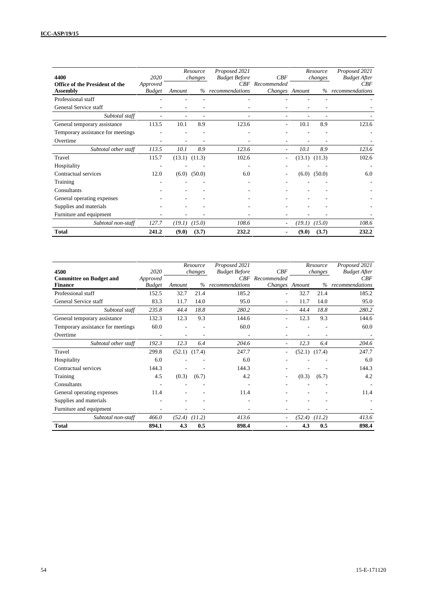| 4400                                  | 2020          |        | Resource<br>changes | Proposed 2021<br><b>Budget Before</b> | CBF                      |        | Resource<br>changes | Proposed 2021<br><b>Budget After</b> |
|---------------------------------------|---------------|--------|---------------------|---------------------------------------|--------------------------|--------|---------------------|--------------------------------------|
| <b>Office of the President of the</b> | Approved      |        |                     |                                       | CBF Recommended          |        |                     | CBF                                  |
| <b>Assembly</b>                       | <b>Budget</b> | Amount |                     | % recommendations                     | Changes Amount           |        |                     | % recommendations                    |
| Professional staff                    |               |        |                     |                                       |                          |        |                     |                                      |
| General Service staff                 |               |        |                     |                                       |                          |        |                     |                                      |
| Subtotal staff                        |               |        |                     |                                       |                          |        |                     |                                      |
| General temporary assistance          | 113.5         | 10.1   | 8.9                 | 123.6                                 | $\overline{\phantom{a}}$ | 10.1   | 8.9                 | 123.6                                |
| Temporary assistance for meetings     |               |        |                     |                                       |                          |        |                     |                                      |
| Overtime                              | ۰             |        |                     | $\overline{\phantom{a}}$              |                          |        |                     |                                      |
| Subtotal other staff                  | 113.5         | 10.1   | 8.9                 | 123.6                                 |                          | 10.1   | 8.9                 | 123.6                                |
| Travel                                | 115.7         |        | $(13.1)$ $(11.3)$   | 102.6                                 |                          |        | $(13.1)$ $(11.3)$   | 102.6                                |
| Hospitality                           | ۰             |        |                     | $\overline{\phantom{a}}$              |                          |        |                     | $\overline{\phantom{a}}$             |
| Contractual services                  | 12.0          | (6.0)  | (50.0)              | 6.0                                   |                          |        | $(6.0)$ $(50.0)$    | 6.0                                  |
| Training                              |               |        |                     |                                       |                          |        |                     |                                      |
| Consultants                           |               |        |                     |                                       |                          |        |                     |                                      |
| General operating expenses            |               |        |                     |                                       |                          |        |                     |                                      |
| Supplies and materials                |               |        |                     |                                       |                          |        |                     |                                      |
| Furniture and equipment               |               |        |                     |                                       |                          |        |                     |                                      |
| Subtotal non-staff                    | 127.7         | (19.1) | (15.0)              | 108.6                                 |                          | (19.1) | (15.0)              | 108.6                                |
| <b>Total</b>                          | 241.2         | (9.0)  | (3.7)               | 232.2                                 |                          | (9.0)  | (3.7)               | 232.2                                |

| 4500                              | 2020                     |        | Resource          | Proposed 2021        | CBF                      |        | Resource | Proposed 2021              |
|-----------------------------------|--------------------------|--------|-------------------|----------------------|--------------------------|--------|----------|----------------------------|
| <b>Committee on Budget and</b>    | Approved                 |        | changes           | <b>Budget Before</b> | <b>CBF</b> Recommended   |        | changes  | <b>Budget After</b><br>CBF |
| <b>Finance</b>                    | <b>Budget</b>            | Amount | $\%$              | recommendations      | Changes Amount           |        | $\%$     | recommendations            |
| Professional staff                | 152.5                    | 32.7   | 21.4              | 185.2                |                          | 32.7   | 21.4     | 185.2                      |
| General Service staff             | 83.3                     | 11.7   | 14.0              | 95.0                 |                          | 11.7   | 14.0     | 95.0                       |
| Subtotal staff                    | 235.8                    | 44.4   | 18.8              | 280.2                |                          | 44.4   | 18.8     | 280.2                      |
| General temporary assistance      | 132.3                    | 12.3   | 9.3               | 144.6                |                          | 12.3   | 9.3      | 144.6                      |
| Temporary assistance for meetings | 60.0                     |        |                   | 60.0                 |                          |        |          | 60.0                       |
| Overtime                          | $\overline{\phantom{a}}$ |        |                   |                      |                          |        |          |                            |
| Subtotal other staff              | 192.3                    | 12.3   | 6.4               | 204.6                | $\overline{\phantom{a}}$ | 12.3   | 6.4      | 204.6                      |
| Travel                            | 299.8                    |        | $(52.1)$ $(17.4)$ | 247.7                |                          | (52.1) | (17.4)   | 247.7                      |
| Hospitality                       | 6.0                      |        |                   | 6.0                  |                          |        |          | 6.0                        |
| Contractual services              | 144.3                    |        |                   | 144.3                |                          |        |          | 144.3                      |
| Training                          | 4.5                      | (0.3)  | (6.7)             | 4.2                  |                          | (0.3)  | (6.7)    | 4.2                        |
| Consultants                       |                          |        |                   |                      |                          |        |          |                            |
| General operating expenses        | 11.4                     |        |                   | 11.4                 |                          |        |          | 11.4                       |
| Supplies and materials            |                          |        |                   |                      |                          |        |          |                            |
| Furniture and equipment           |                          |        |                   |                      |                          |        |          |                            |
| Subtotal non-staff                | 466.0                    |        | $(52.4)$ $(11.2)$ | 413.6                |                          | (52.4) | (11.2)   | 413.6                      |
| <b>Total</b>                      | 894.1                    | 4.3    | 0.5               | 898.4                |                          | 4.3    | 0.5      | 898.4                      |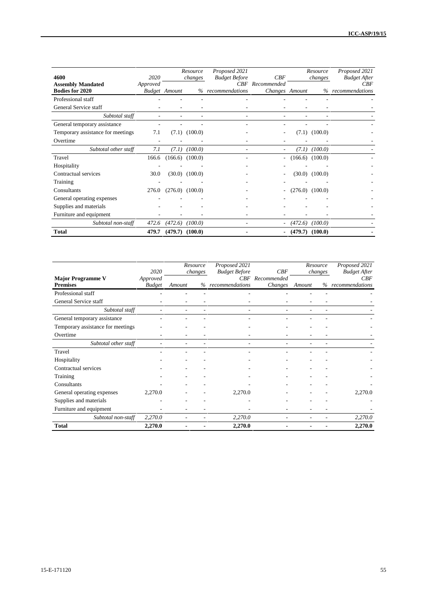| 4600                                               | 2020     |                      | Resource<br>changes | Proposed 2021<br><b>Budget Before</b> | CBF                               |         | Resource<br>changes | Proposed 2021<br><b>Budget After</b> |
|----------------------------------------------------|----------|----------------------|---------------------|---------------------------------------|-----------------------------------|---------|---------------------|--------------------------------------|
| <b>Assembly Mandated</b><br><b>Bodies for 2020</b> | Approved | <b>Budget</b> Amount |                     | % recommendations                     | CBF Recommended<br>Changes Amount |         |                     | CBF<br>% recommendations             |
| Professional staff                                 |          |                      |                     |                                       |                                   |         |                     |                                      |
| General Service staff                              |          |                      |                     |                                       |                                   |         |                     |                                      |
| Subtotal staff                                     | ٠        |                      |                     | ٠                                     |                                   |         |                     |                                      |
| General temporary assistance                       |          |                      |                     |                                       |                                   |         |                     |                                      |
| Temporary assistance for meetings                  | 7.1      |                      | $(7.1)$ $(100.0)$   |                                       |                                   |         | $(7.1)$ $(100.0)$   |                                      |
| Overtime                                           |          |                      |                     |                                       |                                   |         |                     |                                      |
| Subtotal other staff                               | 7.1      | (7.1)                | (100.0)             |                                       |                                   | (7.1)   | (100.0)             |                                      |
| Travel                                             | 166.6    |                      | $(166.6)$ $(100.0)$ |                                       |                                   |         | $(166.6)$ $(100.0)$ |                                      |
| Hospitality                                        |          |                      |                     |                                       |                                   |         |                     |                                      |
| Contractual services                               | 30.0     |                      | $(30.0)$ $(100.0)$  |                                       |                                   |         | $(30.0)$ $(100.0)$  |                                      |
| Training                                           |          |                      |                     |                                       |                                   |         |                     |                                      |
| Consultants                                        | 276.0    |                      | $(276.0)$ $(100.0)$ |                                       |                                   |         | $(276.0)$ $(100.0)$ |                                      |
| General operating expenses                         |          |                      |                     |                                       |                                   |         |                     |                                      |
| Supplies and materials                             |          |                      |                     |                                       |                                   |         |                     |                                      |
| Furniture and equipment                            |          |                      |                     |                                       |                                   |         |                     |                                      |
| Subtotal non-staff                                 | 472.6    | (472.6)              | (100.0)             |                                       | ٠.                                | (472.6) | (100.0)             |                                      |
| <b>Total</b>                                       | 479.7    |                      | $(479.7)$ $(100.0)$ |                                       |                                   | (479.7) | (100.0)             |                                      |

|                                   |                  | Resource                 | Proposed 2021               |                    | Resource |         | Proposed 2021              |
|-----------------------------------|------------------|--------------------------|-----------------------------|--------------------|----------|---------|----------------------------|
| <b>Major Programme V</b>          | 2020<br>Approved | changes                  | <b>Budget Before</b><br>CBF | CBF<br>Recommended |          | changes | <b>Budget After</b><br>CBF |
| <b>Premises</b>                   | <b>Budget</b>    | Amount                   | % recommendations           | Changes            | Amount   | %       | recommendations            |
| Professional staff                |                  |                          |                             |                    |          |         |                            |
| General Service staff             |                  |                          |                             |                    |          |         |                            |
| Subtotal staff                    |                  |                          |                             |                    |          |         |                            |
| General temporary assistance      |                  |                          |                             |                    |          |         |                            |
| Temporary assistance for meetings |                  |                          |                             |                    |          |         |                            |
| Overtime                          | ۰                | ٠                        |                             |                    |          |         |                            |
| Subtotal other staff              |                  | $\overline{\phantom{a}}$ | ٠                           | ٠                  | ۰        | ٠       |                            |
| Travel                            |                  |                          |                             |                    |          |         |                            |
| Hospitality                       |                  |                          |                             |                    |          |         |                            |
| Contractual services              |                  |                          |                             |                    |          |         |                            |
| Training                          |                  |                          |                             |                    |          |         |                            |
| Consultants                       |                  |                          |                             |                    |          |         |                            |
| General operating expenses        | 2,270.0          |                          | 2,270.0                     |                    |          |         | 2,270.0                    |
| Supplies and materials            |                  |                          |                             |                    |          |         |                            |
| Furniture and equipment           |                  |                          |                             |                    |          |         |                            |
| Subtotal non-staff                | 2,270.0          |                          | 2,270.0                     |                    |          |         | 2,270.0                    |
| <b>Total</b>                      | 2,270.0          |                          | 2,270.0                     |                    |          |         | 2,270.0                    |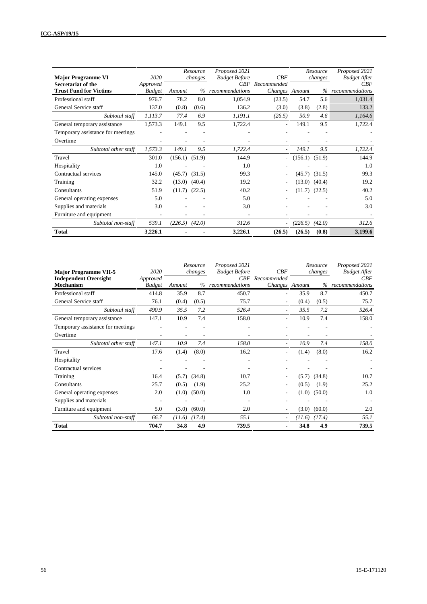| <b>Major Programme VI</b><br>Secretariat of the | 2020<br>Approved |         | Resource<br>changes | Proposed 2021<br><b>Budget Before</b> | CBF<br>CBF Recommended   |         | Resource<br>changes | Proposed 2021<br><b>Budget After</b><br>CBF |
|-------------------------------------------------|------------------|---------|---------------------|---------------------------------------|--------------------------|---------|---------------------|---------------------------------------------|
| <b>Trust Fund for Victims</b>                   | <b>Budget</b>    | Amount  | $\%$                | recommendations                       | Changes Amount           |         | $\%$                | recommendations                             |
| Professional staff                              | 976.7            | 78.2    | 8.0                 | 1,054.9                               | (23.5)                   | 54.7    | 5.6                 | 1,031.4                                     |
| General Service staff                           | 137.0            | (0.8)   | (0.6)               | 136.2                                 | (3.0)                    | (3.8)   | (2.8)               | 133.2                                       |
| Subtotal staff                                  | 1,113.7          | 77.4    | 6.9                 | 1,191.1                               | (26.5)                   | 50.9    | 4.6                 | 1,164.6                                     |
| General temporary assistance                    | 1,573.3          | 149.1   | 9.5                 | 1,722.4                               | $\overline{\phantom{a}}$ | 149.1   | 9.5                 | 1,722.4                                     |
| Temporary assistance for meetings               |                  |         |                     |                                       |                          |         |                     |                                             |
| Overtime                                        |                  |         |                     |                                       |                          |         |                     |                                             |
| Subtotal other staff                            | 1,573.3          | 149.1   | 9.5                 | 1,722.4                               |                          | 149.1   | 9.5                 | 1,722.4                                     |
| Travel                                          | 301.0            | (156.1) | (51.9)              | 144.9                                 |                          | (156.1) | (51.9)              | 144.9                                       |
| Hospitality                                     | 1.0              |         |                     | 1.0                                   |                          |         |                     | 1.0                                         |
| Contractual services                            | 145.0            | (45.7)  | (31.5)              | 99.3                                  |                          | (45.7)  | (31.5)              | 99.3                                        |
| Training                                        | 32.2             | (13.0)  | (40.4)              | 19.2                                  |                          | (13.0)  | (40.4)              | 19.2                                        |
| Consultants                                     | 51.9             | (11.7)  | (22.5)              | 40.2                                  |                          |         | $(11.7)$ $(22.5)$   | 40.2                                        |
| General operating expenses                      | 5.0              |         |                     | 5.0                                   |                          |         |                     | 5.0                                         |
| Supplies and materials                          | 3.0              |         |                     | 3.0                                   |                          |         |                     | 3.0                                         |
| Furniture and equipment                         |                  |         |                     |                                       |                          |         |                     |                                             |
| Subtotal non-staff                              | 539.1            | (226.5) | (42.0)              | 312.6                                 |                          | (226.5) | (42.0)              | 312.6                                       |
| <b>Total</b>                                    | 3,226.1          |         |                     | 3,226.1                               | (26.5)                   | (26.5)  | (0.8)               | 3,199.6                                     |

| <b>Major Programme VII-5</b>      | 2020                     |        | Resource<br>changes | Proposed 2021<br><b>Budget Before</b> | CBF                      |        | Resource<br>changes | Proposed 2021<br><b>Budget After</b> |
|-----------------------------------|--------------------------|--------|---------------------|---------------------------------------|--------------------------|--------|---------------------|--------------------------------------|
| <b>Independent Oversight</b>      | Approved                 |        |                     |                                       | <b>CBF</b> Recommended   |        |                     | CBF                                  |
| <b>Mechanism</b>                  | <b>Budget</b>            | Amount | $\%$                | recommendations                       | Changes Amount           |        | $\%$                | recommendations                      |
| Professional staff                | 414.8                    | 35.9   | 8.7                 | 450.7                                 |                          | 35.9   | 8.7                 | 450.7                                |
| General Service staff             | 76.1                     | (0.4)  | (0.5)               | 75.7                                  |                          | (0.4)  | (0.5)               | 75.7                                 |
| Subtotal staff                    | 490.9                    | 35.5   | 7.2                 | 526.4                                 |                          | 35.5   | 7.2                 | 526.4                                |
| General temporary assistance      | 147.1                    | 10.9   | 7.4                 | 158.0                                 |                          | 10.9   | 7.4                 | 158.0                                |
| Temporary assistance for meetings |                          |        |                     |                                       |                          |        |                     |                                      |
| Overtime                          | $\overline{\phantom{a}}$ |        |                     |                                       |                          |        |                     |                                      |
| Subtotal other staff              | 147.1                    | 10.9   | 7.4                 | 158.0                                 | $\overline{\phantom{a}}$ | 10.9   | 7.4                 | 158.0                                |
| Travel                            | 17.6                     | (1.4)  | (8.0)               | 16.2                                  |                          | (1.4)  | (8.0)               | 16.2                                 |
| Hospitality                       |                          |        |                     |                                       |                          |        |                     |                                      |
| Contractual services              |                          |        |                     |                                       |                          |        |                     |                                      |
| Training                          | 16.4                     | (5.7)  | (34.8)              | 10.7                                  |                          | (5.7)  | (34.8)              | 10.7                                 |
| Consultants                       | 25.7                     | (0.5)  | (1.9)               | 25.2                                  | ٠.                       | (0.5)  | (1.9)               | 25.2                                 |
| General operating expenses        | 2.0                      | (1.0)  | (50.0)              | 1.0                                   |                          | (1.0)  | (50.0)              | 1.0                                  |
| Supplies and materials            |                          |        |                     |                                       |                          |        |                     |                                      |
| Furniture and equipment           | 5.0                      | (3.0)  | (60.0)              | 2.0                                   |                          | (3.0)  | (60.0)              | 2.0                                  |
| Subtotal non-staff                | 66.7                     | (11.6) | (17.4)              | 55.1                                  |                          | (11.6) | (17.4)              | 55.1                                 |
| <b>Total</b>                      | 704.7                    | 34.8   | 4.9                 | 739.5                                 |                          | 34.8   | 4.9                 | 739.5                                |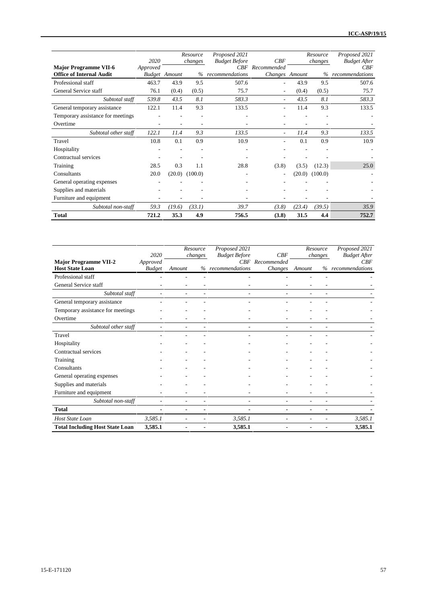|                                                                 | 2020     |                      | Resource<br>changes | Proposed 2021<br><b>Budget Before</b> | CBF                           |        | Resource<br>changes | Proposed 2021<br><b>Budget After</b> |
|-----------------------------------------------------------------|----------|----------------------|---------------------|---------------------------------------|-------------------------------|--------|---------------------|--------------------------------------|
| <b>Major Programme VII-6</b><br><b>Office of Internal Audit</b> | Approved | <b>Budget</b> Amount | $\%$                | CBF<br>recommendations                | Recommended<br>Changes Amount |        | $\%$                | CBF<br>recommendations               |
| Professional staff                                              | 463.7    | 43.9                 | 9.5                 | 507.6                                 | $\overline{\phantom{a}}$      | 43.9   | 9.5                 | 507.6                                |
| General Service staff                                           | 76.1     | (0.4)                | (0.5)               | 75.7                                  | $\overline{\phantom{a}}$      | (0.4)  | (0.5)               | 75.7                                 |
| Subtotal staff                                                  | 539.8    | 43.5                 | 8.1                 | 583.3                                 | $\overline{\phantom{a}}$      | 43.5   | 8.1                 | 583.3                                |
| General temporary assistance                                    | 122.1    | 11.4                 | 9.3                 | 133.5                                 | ٠                             | 11.4   | 9.3                 | 133.5                                |
| Temporary assistance for meetings                               |          |                      |                     |                                       |                               |        |                     |                                      |
| Overtime                                                        |          |                      |                     |                                       |                               |        |                     |                                      |
| Subtotal other staff                                            | 122.1    | 11.4                 | 9.3                 | 133.5                                 | $\overline{a}$                | 11.4   | 9.3                 | 133.5                                |
| Travel                                                          | 10.8     | 0.1                  | 0.9                 | 10.9                                  | $\overline{\phantom{a}}$      | 0.1    | 0.9                 | 10.9                                 |
| Hospitality                                                     |          |                      |                     | ٠                                     |                               |        |                     |                                      |
| Contractual services                                            |          |                      |                     |                                       |                               |        |                     |                                      |
| Training                                                        | 28.5     | 0.3                  | 1.1                 | 28.8                                  | (3.8)                         | (3.5)  | (12.3)              | 25.0                                 |
| Consultants                                                     | 20.0     | (20.0)               | (100.0)             | ٠                                     | $\overline{\phantom{a}}$      | (20.0) | (100.0)             |                                      |
| General operating expenses                                      |          |                      |                     |                                       |                               |        |                     |                                      |
| Supplies and materials                                          |          |                      |                     |                                       |                               |        |                     |                                      |
| Furniture and equipment                                         |          |                      |                     |                                       |                               |        |                     |                                      |
| Subtotal non-staff                                              | 59.3     | (19.6)               | (33.1)              | 39.7                                  | (3.8)                         | (23.4) | (39.5)              | 35.9                                 |
| <b>Total</b>                                                    | 721.2    | 35.3                 | 4.9                 | 756.5                                 | (3.8)                         | 31.5   | 4.4                 | 752.7                                |

|                                        | 2020          |        | Resource | Proposed 2021               | CBF         | Resource |         | Proposed 2021              |
|----------------------------------------|---------------|--------|----------|-----------------------------|-------------|----------|---------|----------------------------|
| <b>Major Programme VII-2</b>           | Approved      |        | changes  | <b>Budget Before</b><br>CBF | Recommended |          | changes | <b>Budget After</b><br>CBF |
| <b>Host State Loan</b>                 | <b>Budget</b> | Amount |          | % recommendations           | Changes     | Amount   |         | % recommendations          |
| Professional staff                     |               |        |          |                             |             |          |         |                            |
| General Service staff                  |               |        |          |                             |             |          |         |                            |
| Subtotal staff                         |               |        |          |                             |             |          |         |                            |
| General temporary assistance           |               |        |          |                             |             |          |         |                            |
| Temporary assistance for meetings      |               |        |          |                             |             |          |         |                            |
| Overtime                               |               |        |          |                             |             |          |         |                            |
| Subtotal other staff                   |               |        |          |                             |             |          |         |                            |
| Travel                                 |               |        |          |                             |             |          |         |                            |
| Hospitality                            |               |        |          |                             |             |          |         |                            |
| Contractual services                   |               |        |          |                             |             |          |         |                            |
| Training                               |               |        |          |                             |             |          |         |                            |
| Consultants                            |               |        |          |                             |             |          |         |                            |
| General operating expenses             |               |        |          |                             |             |          |         |                            |
| Supplies and materials                 |               |        |          |                             |             |          |         |                            |
| Furniture and equipment                |               |        |          |                             |             |          |         |                            |
| Subtotal non-staff                     |               |        |          |                             |             |          |         |                            |
| <b>Total</b>                           |               |        |          |                             |             |          |         |                            |
| Host State Loan                        | 3,585.1       |        |          | 3,585.1                     |             |          |         | 3,585.1                    |
| <b>Total Including Host State Loan</b> | 3,585.1       |        |          | 3,585.1                     |             |          |         | 3,585.1                    |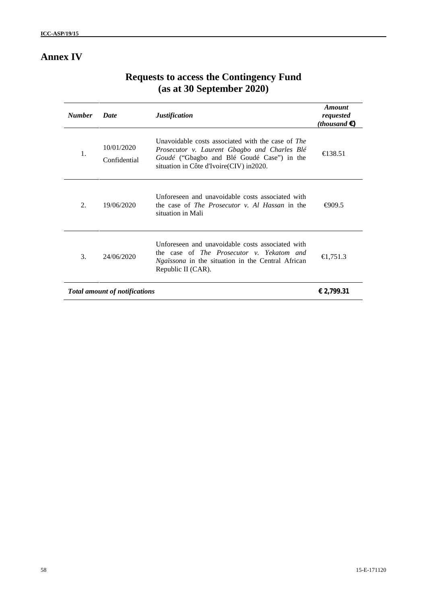## **Annex IV**

| <b>Number</b> | <b>Date</b>                          | <b>Justification</b>                                                                                                                                                                         | Amount<br>requested<br>( <i>thousand</i> $\epsilon$ ) |
|---------------|--------------------------------------|----------------------------------------------------------------------------------------------------------------------------------------------------------------------------------------------|-------------------------------------------------------|
| 1.            | 10/01/2020<br>Confidential           | Unavoidable costs associated with the case of The<br>Prosecutor v. Laurent Gbagbo and Charles Blé<br>Goudé ("Gbagbo and Blé Goudé Case") in the<br>situation in Côte d'Ivoire (CIV) in 2020. | $\bigoplus$ 38.51                                     |
| 2.            | 19/06/2020                           | Unforeseen and unavoidable costs associated with<br>the case of <i>The Prosecutor v. Al Hassan</i> in the<br>situation in Mali                                                               | $\bigoplus$ 09.5                                      |
| 3.            | 24/06/2020                           | Unforeseen and unavoidable costs associated with<br>the case of <i>The Prosecutor v. Yekatom and</i><br><i>Ngaïssona</i> in the situation in the Central African<br>Republic II (CAR).       | €1,751.3                                              |
|               | <b>Total amount of notifications</b> |                                                                                                                                                                                              | € 2,799.31                                            |

## **Requests to access the Contingency Fund (as at 30 September 2020)**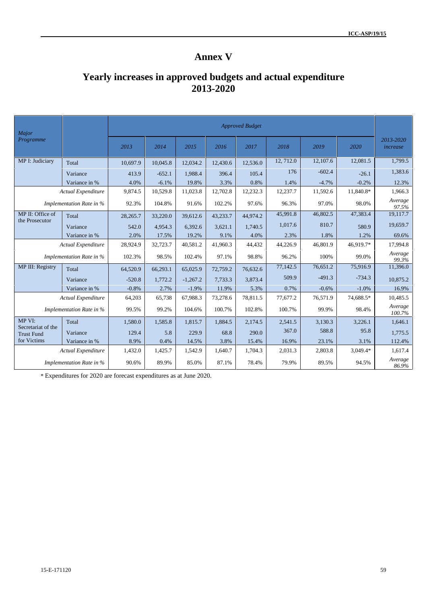## **Annex V**

## **Yearly increases in approved budgets and actual expenditure 2013-2020**

| Major                                   |                          |          |          |            |          | <b>Approved Budget</b> |           |          |            |                       |
|-----------------------------------------|--------------------------|----------|----------|------------|----------|------------------------|-----------|----------|------------|-----------------------|
| Programme                               |                          | 2013     | 2014     | 2015       | 2016     | 2017                   | 2018      | 2019     | 2020       | 2013-2020<br>increase |
| MP I: Judiciary                         | Total                    | 10,697.9 | 10,045.8 | 12,034.2   | 12,430.6 | 12,536.0               | 12, 712.0 | 12,107.6 | 12,081.5   | 1,799.5               |
|                                         | Variance                 | 413.9    | $-652.1$ | 1.988.4    | 396.4    | 105.4                  | 176       | $-602.4$ | $-26.1$    | 1,383.6               |
|                                         | Variance in %            | 4.0%     | $-6.1%$  | 19.8%      | 3.3%     | 0.8%                   | 1.4%      | $-4.7%$  | $-0.2%$    | 12.3%                 |
|                                         | Actual Expenditure       | 9,874.5  | 10,529.8 | 11,023.8   | 12,702.8 | 12,232.3               | 12,237.7  | 11,592.6 | 11,840.8*  | 1,966.3               |
|                                         | Implementation Rate in % | 92.3%    | 104.8%   | 91.6%      | 102.2%   | 97.6%                  | 96.3%     | 97.0%    | 98.0%      | Average<br>97.5%      |
| MP II: Office of                        | Total                    | 28,265.7 | 33,220.0 | 39,612.6   | 43,233.7 | 44.974.2               | 45,991.8  | 46,802.5 | 47,383.4   | 19,117.7              |
| the Prosecutor                          | Variance                 | 542.0    | 4,954.3  | 6.392.6    | 3.621.1  | 1.740.5                | 1.017.6   | 810.7    | 580.9      | 19,659.7              |
|                                         | Variance in %            | 2.0%     | 17.5%    | 19.2%      | 9.1%     | 4.0%                   | 2.3%      | 1.8%     | 1.2%       | 69.6%                 |
|                                         | Actual Expenditure       | 28,924.9 | 32,723.7 | 40,581.2   | 41,960.3 | 44,432                 | 44,226.9  | 46,801.9 | 46,919.7*  | 17,994.8              |
|                                         | Implementation Rate in % | 102.3%   | 98.5%    | 102.4%     | 97.1%    | 98.8%                  | 96.2%     | 100%     | 99.0%      | Average<br>99.3%      |
| MP III: Registry                        | Total                    | 64,520.9 | 66,293.1 | 65,025.9   | 72,759.2 | 76,632.6               | 77,142.5  | 76,651.2 | 75,916.9   | 11,396.0              |
|                                         | Variance                 | $-520.8$ | 1,772.2  | $-1,267.2$ | 7,733.3  | 3,873.4                | 509.9     | $-491.3$ | $-734.3$   | 10,875.2              |
|                                         | Variance in %            | $-0.8%$  | 2.7%     | $-1.9%$    | 11.9%    | 5.3%                   | 0.7%      | $-0.6%$  | $-1.0%$    | 16.9%                 |
|                                         | Actual Expenditure       | 64,203   | 65,738   | 67,988.3   | 73,278.6 | 78,811.5               | 77,677.2  | 76,571.9 | 74,688.5*  | 10,485.5              |
|                                         | Implementation Rate in % | 99.5%    | 99.2%    | 104.6%     | 100.7%   | 102.8%                 | 100.7%    | 99.9%    | 98.4%      | Average<br>100.7%     |
| MP VI:                                  | Total                    | 1.580.0  | 1,585.8  | 1,815.7    | 1.884.5  | 2.174.5                | 2.541.5   | 3,130.3  | 3,226.1    | 1,646.1               |
| Secretariat of the<br><b>Trust Fund</b> | Variance                 | 129.4    | 5.8      | 229.9      | 68.8     | 290.0                  | 367.0     | 588.8    | 95.8       | 1.775.5               |
| for Victims                             | Variance in %            | 8.9%     | 0.4%     | 14.5%      | 3.8%     | 15.4%                  | 16.9%     | 23.1%    | 3.1%       | 112.4%                |
|                                         | Actual Expenditure       | 1,432.0  | 1,425.7  | 1,542.9    | 1.640.7  | 1.704.3                | 2,031.3   | 2,803.8  | $3.049.4*$ | 1.617.4               |
|                                         | Implementation Rate in % | 90.6%    | 89.9%    | 85.0%      | 87.1%    | 78.4%                  | 79.9%     | 89.5%    | 94.5%      | Average<br>86.9%      |

\* Expenditures for 2020 are forecast expenditures as at June 2020.